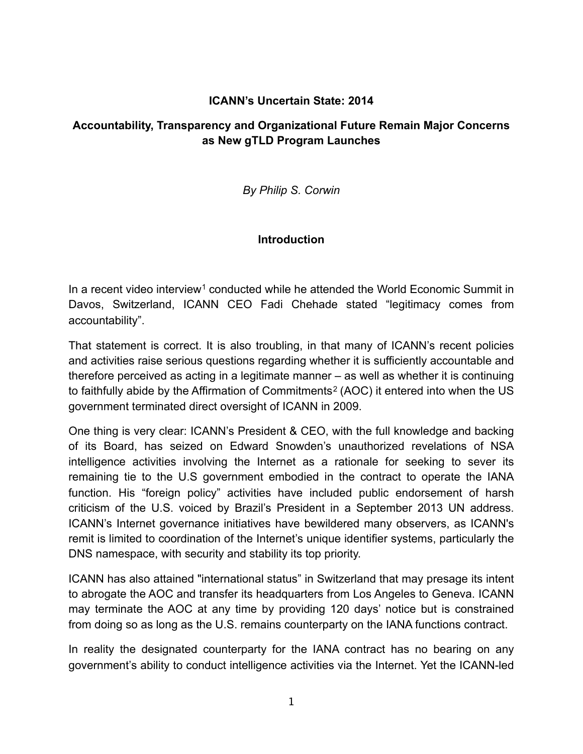### **ICANN's Uncertain State: 2014**

## **Accountability, Transparency and Organizational Future Remain Major Concerns as New gTLD Program Launches**

*By Philip S. Corwin*

## **Introduction**

In a recent video interview<sup>[1](#page-59-0)</sup> conducted while he attended the World Economic Summit in Davos, Switzerland, ICANN CEO Fadi Chehade stated "legitimacy comes from accountability".

That statement is correct. It is also troubling, in that many of ICANN's recent policies and activities raise serious questions regarding whether it is sufficiently accountable and therefore perceived as acting in a legitimate manner – as well as whether it is continuing to faithfully abide by the Affirmation of Commitments<sup>[2](#page-59-1)</sup> (AOC) it entered into when the US government terminated direct oversight of ICANN in 2009.

One thing is very clear: ICANN's President & CEO, with the full knowledge and backing of its Board, has seized on Edward Snowden's unauthorized revelations of NSA intelligence activities involving the Internet as a rationale for seeking to sever its remaining tie to the U.S government embodied in the contract to operate the IANA function. His "foreign policy" activities have included public endorsement of harsh criticism of the U.S. voiced by Brazil's President in a September 2013 UN address. ICANN's Internet governance initiatives have bewildered many observers, as ICANN's remit is limited to coordination of the Internet's unique identifier systems, particularly the DNS namespace, with security and stability its top priority.

ICANN has also attained "international status" in Switzerland that may presage its intent to abrogate the AOC and transfer its headquarters from Los Angeles to Geneva. ICANN may terminate the AOC at any time by providing 120 days' notice but is constrained from doing so as long as the U.S. remains counterparty on the IANA functions contract.

In reality the designated counterparty for the IANA contract has no bearing on any government's ability to conduct intelligence activities via the Internet. Yet the ICANN-led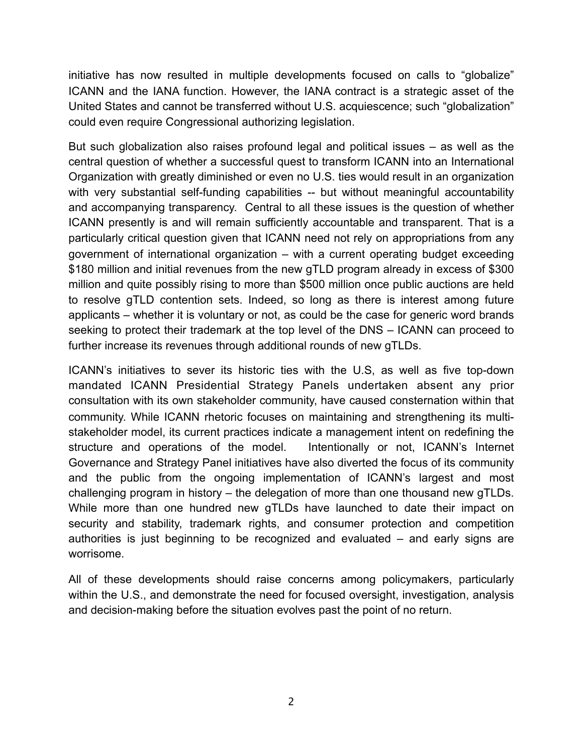initiative has now resulted in multiple developments focused on calls to "globalize" ICANN and the IANA function. However, the IANA contract is a strategic asset of the United States and cannot be transferred without U.S. acquiescence; such "globalization" could even require Congressional authorizing legislation.

But such globalization also raises profound legal and political issues – as well as the central question of whether a successful quest to transform ICANN into an International Organization with greatly diminished or even no U.S. ties would result in an organization with very substantial self-funding capabilities -- but without meaningful accountability and accompanying transparency. Central to all these issues is the question of whether ICANN presently is and will remain sufficiently accountable and transparent. That is a particularly critical question given that ICANN need not rely on appropriations from any government of international organization – with a current operating budget exceeding \$180 million and initial revenues from the new gTLD program already in excess of \$300 million and quite possibly rising to more than \$500 million once public auctions are held to resolve gTLD contention sets. Indeed, so long as there is interest among future applicants – whether it is voluntary or not, as could be the case for generic word brands seeking to protect their trademark at the top level of the DNS – ICANN can proceed to further increase its revenues through additional rounds of new gTLDs.

ICANN's initiatives to sever its historic ties with the U.S, as well as five top-down mandated ICANN Presidential Strategy Panels undertaken absent any prior consultation with its own stakeholder community, have caused consternation within that community. While ICANN rhetoric focuses on maintaining and strengthening its multistakeholder model, its current practices indicate a management intent on redefining the structure and operations of the model. Intentionally or not, ICANN's Internet Governance and Strategy Panel initiatives have also diverted the focus of its community and the public from the ongoing implementation of ICANN's largest and most challenging program in history – the delegation of more than one thousand new gTLDs. While more than one hundred new gTLDs have launched to date their impact on security and stability, trademark rights, and consumer protection and competition authorities is just beginning to be recognized and evaluated – and early signs are worrisome.

All of these developments should raise concerns among policymakers, particularly within the U.S., and demonstrate the need for focused oversight, investigation, analysis and decision-making before the situation evolves past the point of no return.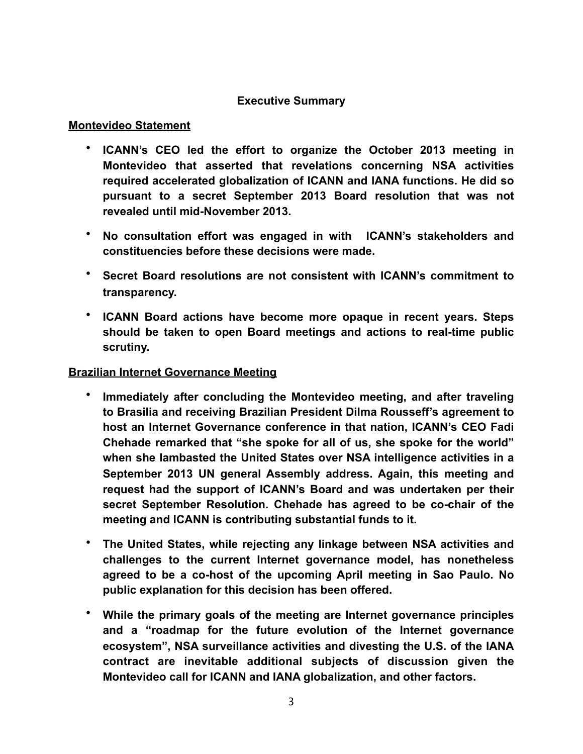## **Executive Summary**

#### **Montevideo Statement**

- **ICANN's CEO led the effort to organize the October 2013 meeting in Montevideo that asserted that revelations concerning NSA activities required accelerated globalization of ICANN and IANA functions. He did so pursuant to a secret September 2013 Board resolution that was not revealed until mid-November 2013.**
- **No consultation effort was engaged in with ICANN's stakeholders and constituencies before these decisions were made.**
- **Secret Board resolutions are not consistent with ICANN's commitment to transparency.**
- **ICANN Board actions have become more opaque in recent years. Steps should be taken to open Board meetings and actions to real-time public scrutiny.**

#### **Brazilian Internet Governance Meeting**

- **Immediately after concluding the Montevideo meeting, and after traveling to Brasilia and receiving Brazilian President Dilma Rousseff's agreement to host an Internet Governance conference in that nation, ICANN's CEO Fadi Chehade remarked that "she spoke for all of us, she spoke for the world" when she lambasted the United States over NSA intelligence activities in a September 2013 UN general Assembly address. Again, this meeting and request had the support of ICANN's Board and was undertaken per their secret September Resolution. Chehade has agreed to be co-chair of the meeting and ICANN is contributing substantial funds to it.**
- **The United States, while rejecting any linkage between NSA activities and challenges to the current Internet governance model, has nonetheless agreed to be a co-host of the upcoming April meeting in Sao Paulo. No public explanation for this decision has been offered.**
- **While the primary goals of the meeting are Internet governance principles and a "roadmap for the future evolution of the Internet governance ecosystem", NSA surveillance activities and divesting the U.S. of the IANA contract are inevitable additional subjects of discussion given the Montevideo call for ICANN and IANA globalization, and other factors.**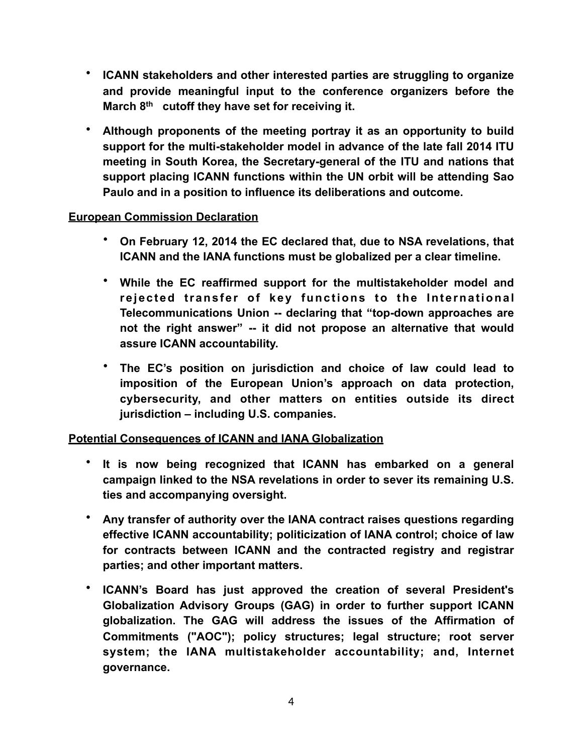- **ICANN stakeholders and other interested parties are struggling to organize and provide meaningful input to the conference organizers before the March 8th cutoff they have set for receiving it.**
- **Although proponents of the meeting portray it as an opportunity to build support for the multi-stakeholder model in advance of the late fall 2014 ITU meeting in South Korea, the Secretary-general of the ITU and nations that support placing ICANN functions within the UN orbit will be attending Sao Paulo and in a position to influence its deliberations and outcome.**

## **European Commission Declaration**

- **On February 12, 2014 the EC declared that, due to NSA revelations, that ICANN and the IANA functions must be globalized per a clear timeline.**
- **While the EC reaffirmed support for the multistakeholder model and rejected transfer of key functions to the International Telecommunications Union -- declaring that "top-down approaches are not the right answer" -- it did not propose an alternative that would assure ICANN accountability.**
- **The EC's position on jurisdiction and choice of law could lead to imposition of the European Union's approach on data protection, cybersecurity, and other matters on entities outside its direct jurisdiction – including U.S. companies.**

## **Potential Consequences of ICANN and IANA Globalization**

- **It is now being recognized that ICANN has embarked on a general campaign linked to the NSA revelations in order to sever its remaining U.S. ties and accompanying oversight.**
- **Any transfer of authority over the IANA contract raises questions regarding effective ICANN accountability; politicization of IANA control; choice of law for contracts between ICANN and the contracted registry and registrar parties; and other important matters.**
- **ICANN's Board has just approved the creation of several President's Globalization Advisory Groups (GAG) in order to further support ICANN globalization. The GAG will address the issues of the Affirmation of Commitments ("AOC"); policy structures; legal structure; root server system; the IANA multistakeholder accountability; and, Internet governance.**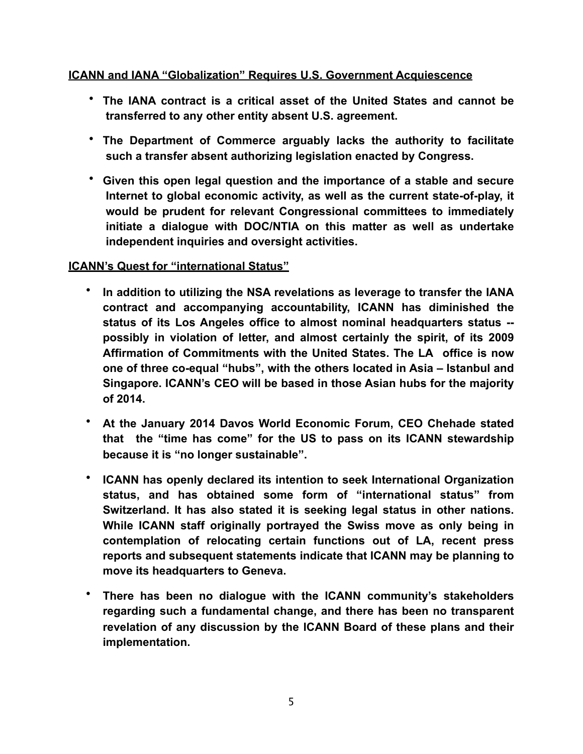### **ICANN and IANA "Globalization" Requires U.S. Government Acquiescence**

- **The IANA contract is a critical asset of the United States and cannot be transferred to any other entity absent U.S. agreement.**
- **The Department of Commerce arguably lacks the authority to facilitate such a transfer absent authorizing legislation enacted by Congress.**
- **Given this open legal question and the importance of a stable and secure Internet to global economic activity, as well as the current state-of-play, it would be prudent for relevant Congressional committees to immediately initiate a dialogue with DOC/NTIA on this matter as well as undertake independent inquiries and oversight activities.**

### **ICANN's Quest for "international Status"**

- **In addition to utilizing the NSA revelations as leverage to transfer the IANA contract and accompanying accountability, ICANN has diminished the status of its Los Angeles office to almost nominal headquarters status - possibly in violation of letter, and almost certainly the spirit, of its 2009 Affirmation of Commitments with the United States. The LA office is now one of three co-equal "hubs", with the others located in Asia – Istanbul and Singapore. ICANN's CEO will be based in those Asian hubs for the majority of 2014.**
- **At the January 2014 Davos World Economic Forum, CEO Chehade stated that the "time has come" for the US to pass on its ICANN stewardship because it is "no longer sustainable".**
- **ICANN has openly declared its intention to seek International Organization status, and has obtained some form of "international status" from Switzerland. It has also stated it is seeking legal status in other nations. While ICANN staff originally portrayed the Swiss move as only being in contemplation of relocating certain functions out of LA, recent press reports and subsequent statements indicate that ICANN may be planning to move its headquarters to Geneva.**
- **There has been no dialogue with the ICANN community's stakeholders regarding such a fundamental change, and there has been no transparent revelation of any discussion by the ICANN Board of these plans and their implementation.**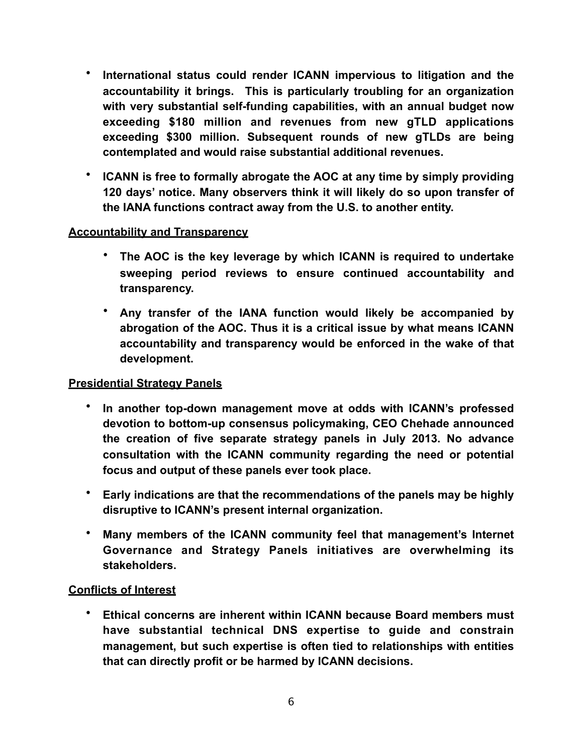- **International status could render ICANN impervious to litigation and the accountability it brings. This is particularly troubling for an organization with very substantial self-funding capabilities, with an annual budget now exceeding \$180 million and revenues from new gTLD applications exceeding \$300 million. Subsequent rounds of new gTLDs are being contemplated and would raise substantial additional revenues.**
- **ICANN is free to formally abrogate the AOC at any time by simply providing 120 days' notice. Many observers think it will likely do so upon transfer of the IANA functions contract away from the U.S. to another entity.**

## **Accountability and Transparency**

- **The AOC is the key leverage by which ICANN is required to undertake sweeping period reviews to ensure continued accountability and transparency.**
- **Any transfer of the IANA function would likely be accompanied by abrogation of the AOC. Thus it is a critical issue by what means ICANN accountability and transparency would be enforced in the wake of that development.**

## **Presidential Strategy Panels**

- **In another top-down management move at odds with ICANN's professed devotion to bottom-up consensus policymaking, CEO Chehade announced the creation of five separate strategy panels in July 2013. No advance consultation with the ICANN community regarding the need or potential focus and output of these panels ever took place.**
- **Early indications are that the recommendations of the panels may be highly disruptive to ICANN's present internal organization.**
- **Many members of the ICANN community feel that management's Internet Governance and Strategy Panels initiatives are overwhelming its stakeholders.**

## **Conflicts of Interest**

• **Ethical concerns are inherent within ICANN because Board members must have substantial technical DNS expertise to guide and constrain management, but such expertise is often tied to relationships with entities that can directly profit or be harmed by ICANN decisions.**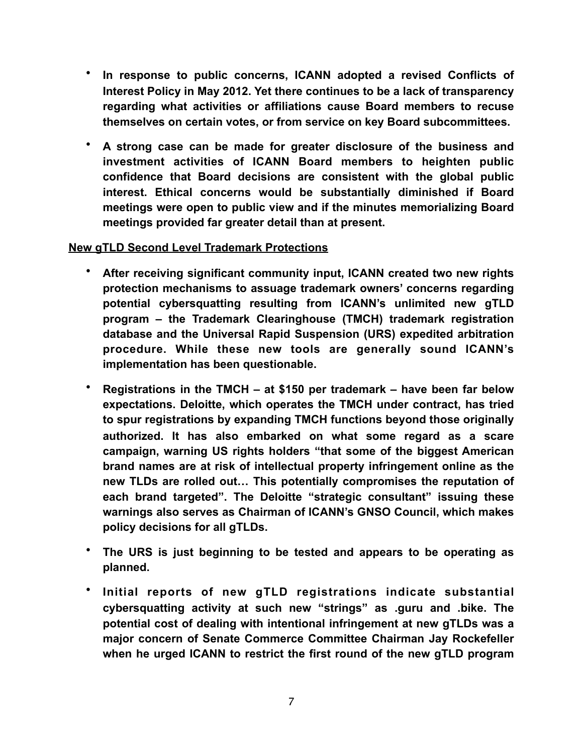- **In response to public concerns, ICANN adopted a revised Conflicts of Interest Policy in May 2012. Yet there continues to be a lack of transparency regarding what activities or affiliations cause Board members to recuse themselves on certain votes, or from service on key Board subcommittees.**
- **A strong case can be made for greater disclosure of the business and investment activities of ICANN Board members to heighten public confidence that Board decisions are consistent with the global public interest. Ethical concerns would be substantially diminished if Board meetings were open to public view and if the minutes memorializing Board meetings provided far greater detail than at present.**

## **New gTLD Second Level Trademark Protections**

- **After receiving significant community input, ICANN created two new rights protection mechanisms to assuage trademark owners' concerns regarding potential cybersquatting resulting from ICANN's unlimited new gTLD program – the Trademark Clearinghouse (TMCH) trademark registration database and the Universal Rapid Suspension (URS) expedited arbitration procedure. While these new tools are generally sound ICANN's implementation has been questionable.**
- **Registrations in the TMCH at \$150 per trademark have been far below expectations. Deloitte, which operates the TMCH under contract, has tried to spur registrations by expanding TMCH functions beyond those originally authorized. It has also embarked on what some regard as a scare campaign, warning US rights holders "that some of the biggest American brand names are at risk of intellectual property infringement online as the new TLDs are rolled out… This potentially compromises the reputation of each brand targeted". The Deloitte "strategic consultant" issuing these warnings also serves as Chairman of ICANN's GNSO Council, which makes policy decisions for all gTLDs.**
- **The URS is just beginning to be tested and appears to be operating as planned.**
- **Initial reports of new gTLD registrations indicate substantial cybersquatting activity at such new "strings" as .guru and .bike. The potential cost of dealing with intentional infringement at new gTLDs was a major concern of Senate Commerce Committee Chairman Jay Rockefeller when he urged ICANN to restrict the first round of the new gTLD program**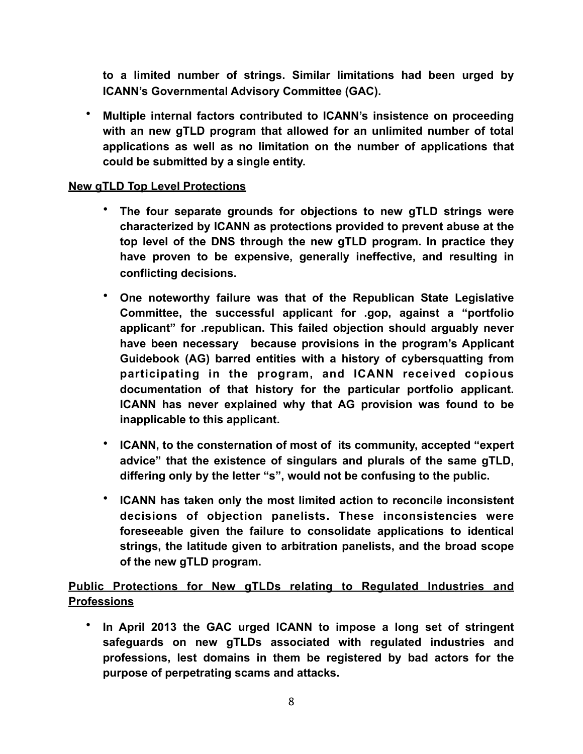**to a limited number of strings. Similar limitations had been urged by ICANN's Governmental Advisory Committee (GAC).**

• **Multiple internal factors contributed to ICANN's insistence on proceeding with an new gTLD program that allowed for an unlimited number of total applications as well as no limitation on the number of applications that could be submitted by a single entity.**

### **New gTLD Top Level Protections**

- **The four separate grounds for objections to new gTLD strings were characterized by ICANN as protections provided to prevent abuse at the top level of the DNS through the new gTLD program. In practice they have proven to be expensive, generally ineffective, and resulting in conflicting decisions.**
- **One noteworthy failure was that of the Republican State Legislative Committee, the successful applicant for .gop, against a "portfolio applicant" for .republican. This failed objection should arguably never have been necessary because provisions in the program's Applicant Guidebook (AG) barred entities with a history of cybersquatting from participating in the program, and ICANN received copious documentation of that history for the particular portfolio applicant. ICANN has never explained why that AG provision was found to be inapplicable to this applicant.**
- **ICANN, to the consternation of most of its community, accepted "expert advice" that the existence of singulars and plurals of the same gTLD, differing only by the letter "s", would not be confusing to the public.**
- **ICANN has taken only the most limited action to reconcile inconsistent decisions of objection panelists. These inconsistencies were foreseeable given the failure to consolidate applications to identical strings, the latitude given to arbitration panelists, and the broad scope of the new gTLD program.**

**Public Protections for New gTLDs relating to Regulated Industries and Professions**

• **In April 2013 the GAC urged ICANN to impose a long set of stringent safeguards on new gTLDs associated with regulated industries and professions, lest domains in them be registered by bad actors for the purpose of perpetrating scams and attacks.**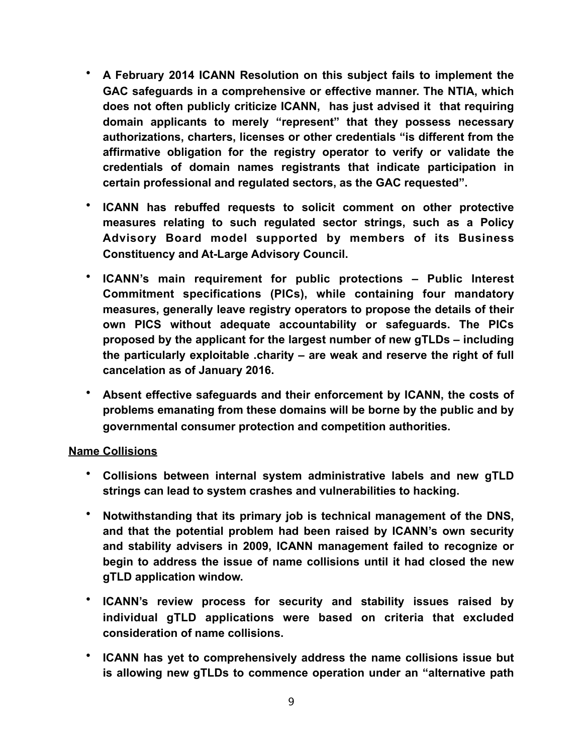- **A February 2014 ICANN Resolution on this subject fails to implement the GAC safeguards in a comprehensive or effective manner. The NTIA, which does not often publicly criticize ICANN, has just advised it that requiring domain applicants to merely "represent" that they possess necessary authorizations, charters, licenses or other credentials "is different from the affirmative obligation for the registry operator to verify or validate the credentials of domain names registrants that indicate participation in certain professional and regulated sectors, as the GAC requested".**
- **ICANN has rebuffed requests to solicit comment on other protective measures relating to such regulated sector strings, such as a Policy Advisory Board model supported by members of its Business Constituency and At-Large Advisory Council.**
- **ICANN's main requirement for public protections Public Interest Commitment specifications (PICs), while containing four mandatory measures, generally leave registry operators to propose the details of their own PICS without adequate accountability or safeguards. The PICs proposed by the applicant for the largest number of new gTLDs – including the particularly exploitable .charity – are weak and reserve the right of full cancelation as of January 2016.**
- **Absent effective safeguards and their enforcement by ICANN, the costs of problems emanating from these domains will be borne by the public and by governmental consumer protection and competition authorities.**

#### **Name Collisions**

- **Collisions between internal system administrative labels and new gTLD strings can lead to system crashes and vulnerabilities to hacking.**
- **Notwithstanding that its primary job is technical management of the DNS, and that the potential problem had been raised by ICANN's own security and stability advisers in 2009, ICANN management failed to recognize or begin to address the issue of name collisions until it had closed the new gTLD application window.**
- **ICANN's review process for security and stability issues raised by individual gTLD applications were based on criteria that excluded consideration of name collisions.**
- **ICANN has yet to comprehensively address the name collisions issue but is allowing new gTLDs to commence operation under an "alternative path**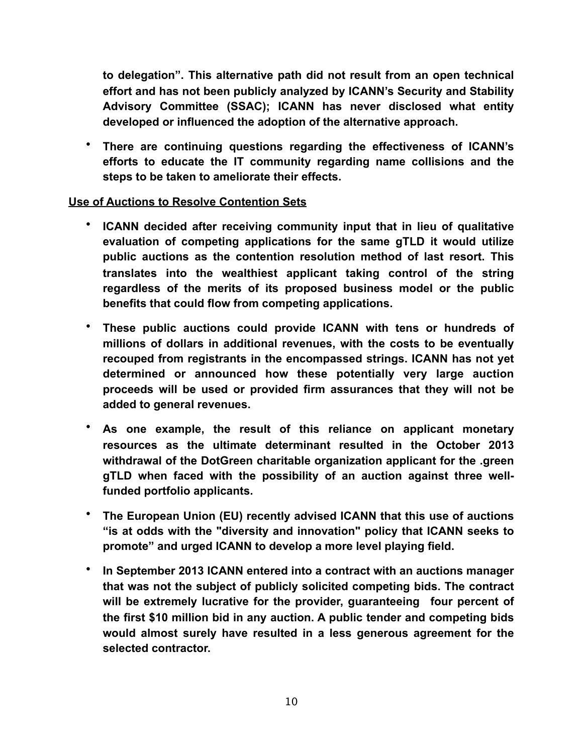**to delegation". This alternative path did not result from an open technical effort and has not been publicly analyzed by ICANN's Security and Stability Advisory Committee (SSAC); ICANN has never disclosed what entity developed or influenced the adoption of the alternative approach.**

• **There are continuing questions regarding the effectiveness of ICANN's efforts to educate the IT community regarding name collisions and the steps to be taken to ameliorate their effects.**

## **Use of Auctions to Resolve Contention Sets**

- **ICANN decided after receiving community input that in lieu of qualitative evaluation of competing applications for the same gTLD it would utilize public auctions as the contention resolution method of last resort. This translates into the wealthiest applicant taking control of the string regardless of the merits of its proposed business model or the public benefits that could flow from competing applications.**
- **These public auctions could provide ICANN with tens or hundreds of millions of dollars in additional revenues, with the costs to be eventually recouped from registrants in the encompassed strings. ICANN has not yet determined or announced how these potentially very large auction proceeds will be used or provided firm assurances that they will not be added to general revenues.**
- **As one example, the result of this reliance on applicant monetary resources as the ultimate determinant resulted in the October 2013 withdrawal of the DotGreen charitable organization applicant for the .green gTLD when faced with the possibility of an auction against three wellfunded portfolio applicants.**
- **The European Union (EU) recently advised ICANN that this use of auctions "is at odds with the "diversity and innovation" policy that ICANN seeks to promote" and urged ICANN to develop a more level playing field.**
- **In September 2013 ICANN entered into a contract with an auctions manager that was not the subject of publicly solicited competing bids. The contract will be extremely lucrative for the provider, guaranteeing four percent of the first \$10 million bid in any auction. A public tender and competing bids would almost surely have resulted in a less generous agreement for the selected contractor.**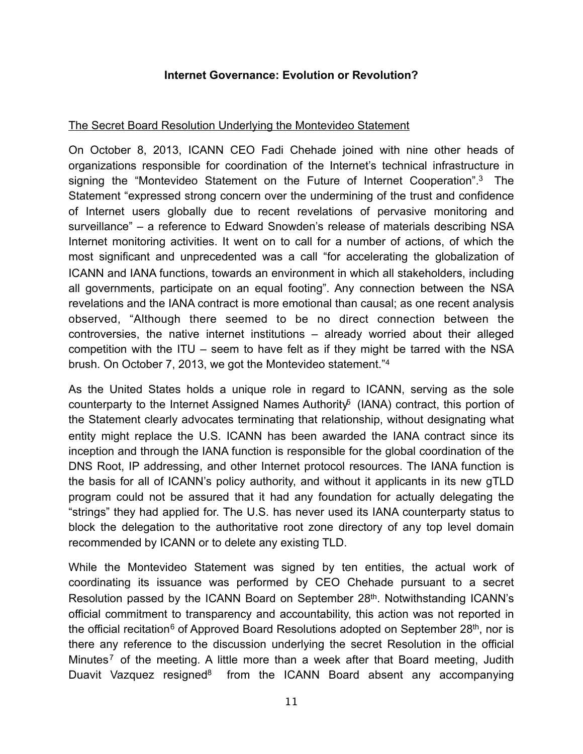### **Internet Governance: Evolution or Revolution?**

#### The Secret Board Resolution Underlying the Montevideo Statement

On October 8, 2013, ICANN CEO Fadi Chehade joined with nine other heads of organizations responsible for coordination of the Internet's technical infrastructure in signing the "Montevideo Statement on the Future of Internet Cooperation".<sup>3</sup> The Statement "expressed strong concern over the undermining of the trust and confidence of Internet users globally due to recent revelations of pervasive monitoring and surveillance" – a reference to Edward Snowden's release of materials describing NSA Internet monitoring activities. It went on to call for a number of actions, of which the most significant and unprecedented was a call "for accelerating the globalization of ICANN and IANA functions, towards an environment in which all stakeholders, including all governments, participate on an equal footing". Any connection between the NSA revelations and the IANA contract is more emotional than causal; as one recent analysis observed, "Although there seemed to be no direct connection between the controversies, the native internet institutions – already worried about their alleged competition with the ITU – seem to have felt as if they might be tarred with the NSA brush. On October 7, 2013, we got the Montevideo statement."[4](#page-59-3)

As the United States holds a unique role in regard to ICANN, serving as the sole counterparty to the Internet Assigned Names Authority<sup>5</sup> (IANA) contract, this portion of the Statement clearly advocates terminating that relationship, without designating what entity might replace the U.S. ICANN has been awarded the IANA contract since its inception and through the IANA function is responsible for the global coordination of the DNS Root, IP addressing, and other Internet protocol resources. The IANA function is the basis for all of ICANN's policy authority, and without it applicants in its new gTLD program could not be assured that it had any foundation for actually delegating the "strings" they had applied for. The U.S. has never used its IANA counterparty status to block the delegation to the authoritative root zone directory of any top level domain recommended by ICANN or to delete any existing TLD.

While the Montevideo Statement was signed by ten entities, the actual work of coordinating its issuance was performed by CEO Chehade pursuant to a secret Resolution passed by the ICANN Board on September 28<sup>th</sup>. Notwithstanding ICANN's official commitment to transparency and accountability, this action was not reported in the official recitation<sup>[6](#page-59-5)</sup> of Approved Board Resolutions adopted on September 28<sup>th</sup>, nor is there any reference to the discussion underlying the secret Resolution in the official Minutes<sup>[7](#page-59-6)</sup> of the meeting. A little more than a week after that Board meeting, Judith Duavit Vazquez resigned<sup>8</sup> from the ICANN Board absent any accompanying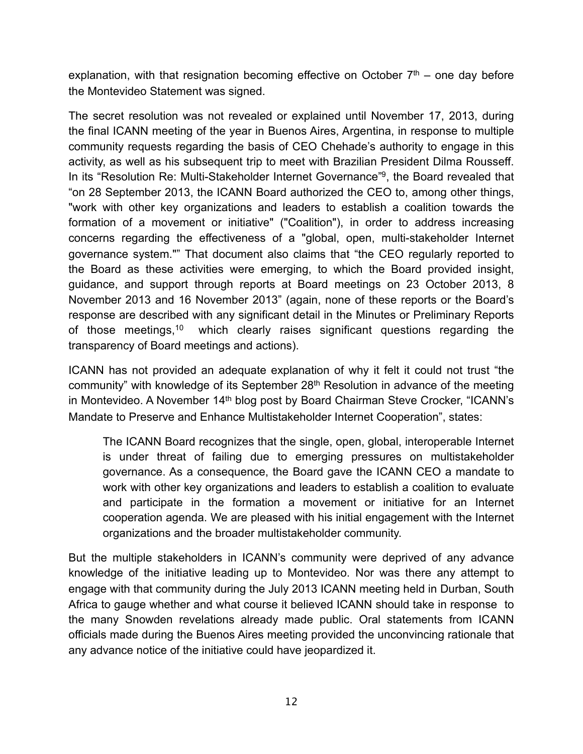explanation, with that resignation becoming effective on October  $7<sup>th</sup>$  – one day before the Montevideo Statement was signed.

The secret resolution was not revealed or explained until November 17, 2013, during the final ICANN meeting of the year in Buenos Aires, Argentina, in response to multiple community requests regarding the basis of CEO Chehade's authority to engage in this activity, as well as his subsequent trip to meet with Brazilian President Dilma Rousseff. In its "Resolution Re: Multi-Stakeholder Internet Governance["9,](#page-59-8) the Board revealed that "on 28 September 2013, the ICANN Board authorized the CEO to, among other things, "work with other key organizations and leaders to establish a coalition towards the formation of a movement or initiative" ("Coalition"), in order to address increasing concerns regarding the effectiveness of a "global, open, multi-stakeholder Internet governance system."" That document also claims that "the CEO regularly reported to the Board as these activities were emerging, to which the Board provided insight, guidance, and support through reports at Board meetings on 23 October 2013, 8 November 2013 and 16 November 2013" (again, none of these reports or the Board's response are described with any significant detail in the Minutes or Preliminary Reports of those meetings,[10](#page-59-9) which clearly raises significant questions regarding the transparency of Board meetings and actions).

ICANN has not provided an adequate explanation of why it felt it could not trust "the community" with knowledge of its September 28<sup>th</sup> Resolution in advance of the meeting in Montevideo. A November 14<sup>th</sup> blog post by Board Chairman Steve Crocker, "ICANN's Mandate to Preserve and Enhance Multistakeholder Internet Cooperation", states:

The ICANN Board recognizes that the single, open, global, interoperable Internet is under threat of failing due to emerging pressures on multistakeholder governance. As a consequence, the Board gave the ICANN CEO a mandate to work with other key organizations and leaders to establish a coalition to evaluate and participate in the formation a movement or initiative for an Internet cooperation agenda. We are pleased with his initial engagement with the Internet organizations and the broader multistakeholder community.

But the multiple stakeholders in ICANN's community were deprived of any advance knowledge of the initiative leading up to Montevideo. Nor was there any attempt to engage with that community during the July 2013 ICANN meeting held in Durban, South Africa to gauge whether and what course it believed ICANN should take in response to the many Snowden revelations already made public. Oral statements from ICANN officials made during the Buenos Aires meeting provided the unconvincing rationale that any advance notice of the initiative could have jeopardized it.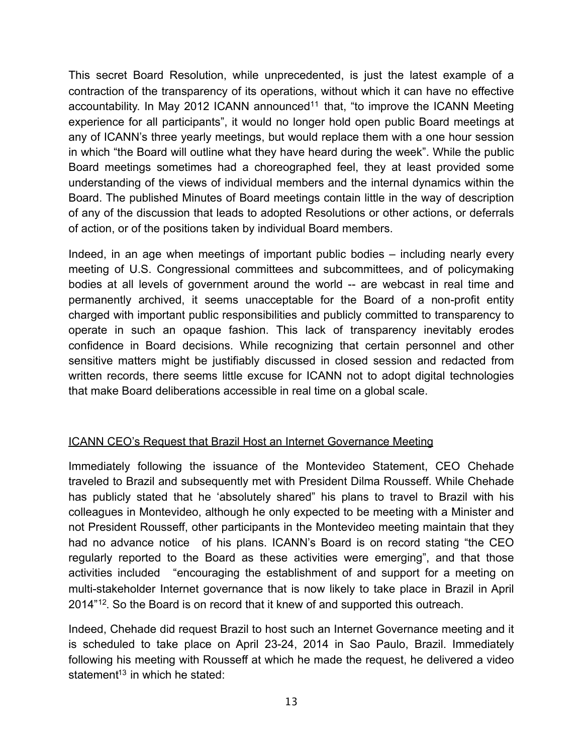This secret Board Resolution, while unprecedented, is just the latest example of a contraction of the transparency of its operations, without which it can have no effective accountability. In May 2012 ICANN announced<sup>[11](#page-59-10)</sup> that, "to improve the ICANN Meeting experience for all participants", it would no longer hold open public Board meetings at any of ICANN's three yearly meetings, but would replace them with a one hour session in which "the Board will outline what they have heard during the week". While the public Board meetings sometimes had a choreographed feel, they at least provided some understanding of the views of individual members and the internal dynamics within the Board. The published Minutes of Board meetings contain little in the way of description of any of the discussion that leads to adopted Resolutions or other actions, or deferrals of action, or of the positions taken by individual Board members.

Indeed, in an age when meetings of important public bodies – including nearly every meeting of U.S. Congressional committees and subcommittees, and of policymaking bodies at all levels of government around the world -- are webcast in real time and permanently archived, it seems unacceptable for the Board of a non-profit entity charged with important public responsibilities and publicly committed to transparency to operate in such an opaque fashion. This lack of transparency inevitably erodes confidence in Board decisions. While recognizing that certain personnel and other sensitive matters might be justifiably discussed in closed session and redacted from written records, there seems little excuse for ICANN not to adopt digital technologies that make Board deliberations accessible in real time on a global scale.

## ICANN CEO's Request that Brazil Host an Internet Governance Meeting

Immediately following the issuance of the Montevideo Statement, CEO Chehade traveled to Brazil and subsequently met with President Dilma Rousseff. While Chehade has publicly stated that he 'absolutely shared" his plans to travel to Brazil with his colleagues in Montevideo, although he only expected to be meeting with a Minister and not President Rousseff, other participants in the Montevideo meeting maintain that they had no advance notice of his plans. ICANN's Board is on record stating "the CEO regularly reported to the Board as these activities were emerging", and that those activities included "encouraging the establishment of and support for a meeting on multi-stakeholder Internet governance that is now likely to take place in Brazil in April 2014"[12.](#page-59-11) So the Board is on record that it knew of and supported this outreach.

Indeed, Chehade did request Brazil to host such an Internet Governance meeting and it is scheduled to take place on April 23-24, 2014 in Sao Paulo, Brazil. Immediately following his meeting with Rousseff at which he made the request, he delivered a video statement<sup>13</sup> in which he stated: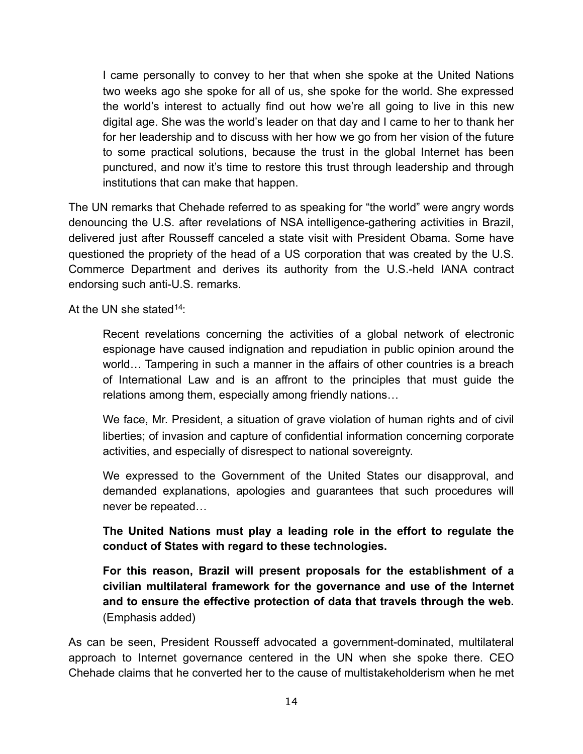I came personally to convey to her that when she spoke at the United Nations two weeks ago she spoke for all of us, she spoke for the world. She expressed the world's interest to actually find out how we're all going to live in this new digital age. She was the world's leader on that day and I came to her to thank her for her leadership and to discuss with her how we go from her vision of the future to some practical solutions, because the trust in the global Internet has been punctured, and now it's time to restore this trust through leadership and through institutions that can make that happen.

The UN remarks that Chehade referred to as speaking for "the world" were angry words denouncing the U.S. after revelations of NSA intelligence-gathering activities in Brazil, delivered just after Rousseff canceled a state visit with President Obama. Some have questioned the propriety of the head of a US corporation that was created by the U.S. Commerce Department and derives its authority from the U.S.-held IANA contract endorsing such anti-U.S. remarks.

At the UN she stated  $14$ :

Recent revelations concerning the activities of a global network of electronic espionage have caused indignation and repudiation in public opinion around the world… Tampering in such a manner in the affairs of other countries is a breach of International Law and is an affront to the principles that must guide the relations among them, especially among friendly nations…

We face, Mr. President, a situation of grave violation of human rights and of civil liberties; of invasion and capture of confidential information concerning corporate activities, and especially of disrespect to national sovereignty.

We expressed to the Government of the United States our disapproval, and demanded explanations, apologies and guarantees that such procedures will never be repeated…

**The United Nations must play a leading role in the effort to regulate the conduct of States with regard to these technologies.**

**For this reason, Brazil will present proposals for the establishment of a civilian multilateral framework for the governance and use of the Internet and to ensure the effective protection of data that travels through the web.**  (Emphasis added)

As can be seen, President Rousseff advocated a government-dominated, multilateral approach to Internet governance centered in the UN when she spoke there. CEO Chehade claims that he converted her to the cause of multistakeholderism when he met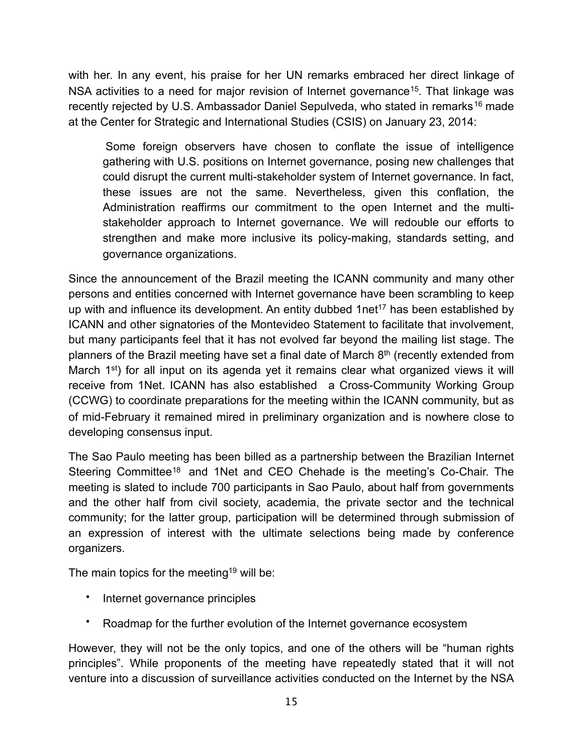with her. In any event, his praise for her UN remarks embraced her direct linkage of NSA activities to a need for major revision of Internet governance<sup>15</sup>. That linkage was recently rejected by U.S. Ambassador Daniel Sepulveda, who stated in remarks<sup>[16](#page-59-15)</sup> made at the Center for Strategic and International Studies (CSIS) on January 23, 2014:

Some foreign observers have chosen to conflate the issue of intelligence gathering with U.S. positions on Internet governance, posing new challenges that could disrupt the current multi-stakeholder system of Internet governance. In fact, these issues are not the same. Nevertheless, given this conflation, the Administration reaffirms our commitment to the open Internet and the multistakeholder approach to Internet governance. We will redouble our efforts to strengthen and make more inclusive its policy-making, standards setting, and governance organizations.

Since the announcement of the Brazil meeting the ICANN community and many other persons and entities concerned with Internet governance have been scrambling to keep up with and influence its development. An entity dubbed 1net<sup>17</sup> has been established by ICANN and other signatories of the Montevideo Statement to facilitate that involvement, but many participants feel that it has not evolved far beyond the mailing list stage. The planners of the Brazil meeting have set a final date of March  $8<sup>th</sup>$  (recently extended from March 1<sup>st</sup>) for all input on its agenda yet it remains clear what organized views it will receive from 1Net. ICANN has also established a Cross-Community Working Group (CCWG) to coordinate preparations for the meeting within the ICANN community, but as of mid-February it remained mired in preliminary organization and is nowhere close to developing consensus input.

The Sao Paulo meeting has been billed as a partnership between the Brazilian Internet Steering Committee<sup>[18](#page-59-17)</sup> and 1Net and CEO Chehade is the meeting's Co-Chair. The meeting is slated to include 700 participants in Sao Paulo, about half from governments and the other half from civil society, academia, the private sector and the technical community; for the latter group, participation will be determined through submission of an expression of interest with the ultimate selections being made by conference organizers.

The main topics for the meeting<sup>19</sup> will be:

- Internet governance principles
- Roadmap for the further evolution of the Internet governance ecosystem

However, they will not be the only topics, and one of the others will be "human rights principles". While proponents of the meeting have repeatedly stated that it will not venture into a discussion of surveillance activities conducted on the Internet by the NSA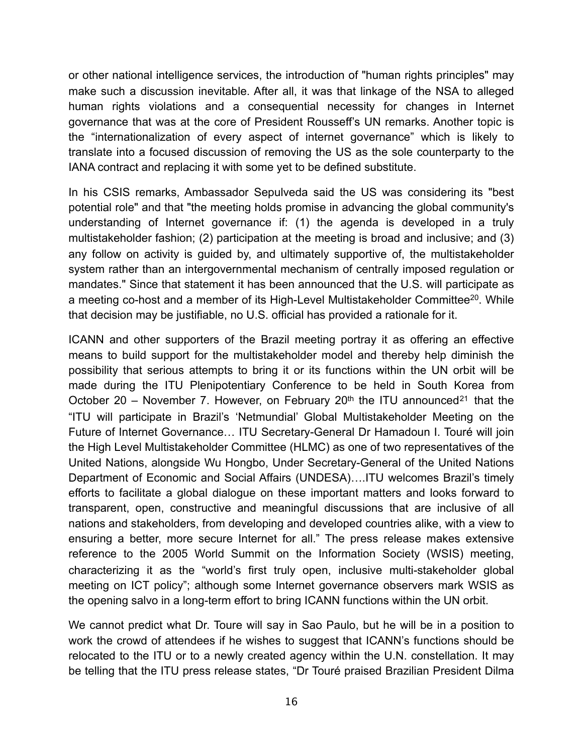or other national intelligence services, the introduction of "human rights principles" may make such a discussion inevitable. After all, it was that linkage of the NSA to alleged human rights violations and a consequential necessity for changes in Internet governance that was at the core of President Rousseff's UN remarks. Another topic is the "internationalization of every aspect of internet governance" which is likely to translate into a focused discussion of removing the US as the sole counterparty to the IANA contract and replacing it with some yet to be defined substitute.

In his CSIS remarks, Ambassador Sepulveda said the US was considering its "best potential role" and that "the meeting holds promise in advancing the global community's understanding of Internet governance if: (1) the agenda is developed in a truly multistakeholder fashion; (2) participation at the meeting is broad and inclusive; and (3) any follow on activity is guided by, and ultimately supportive of, the multistakeholder system rather than an intergovernmental mechanism of centrally imposed regulation or mandates." Since that statement it has been announced that the U.S. will participate as a meeting co-host and a member of its High-Level Multistakeholder Committee<sup>20</sup>. While that decision may be justifiable, no U.S. official has provided a rationale for it.

ICANN and other supporters of the Brazil meeting portray it as offering an effective means to build support for the multistakeholder model and thereby help diminish the possibility that serious attempts to bring it or its functions within the UN orbit will be made during the ITU Plenipotentiary Conference to be held in South Korea from October 20 – November 7. However, on February 20<sup>th</sup> the ITU announced<sup>[21](#page-59-20)</sup> that the "ITU will participate in Brazil's 'Netmundial' Global Multistakeholder Meeting on the Future of Internet Governance… ITU Secretary-General Dr Hamadoun I. Touré will join the High Level Multistakeholder Committee (HLMC) as one of two representatives of the United Nations, alongside Wu Hongbo, Under Secretary-General of the United Nations Department of Economic and Social Affairs (UNDESA)….ITU welcomes Brazil's timely efforts to facilitate a global dialogue on these important matters and looks forward to transparent, open, constructive and meaningful discussions that are inclusive of all nations and stakeholders, from developing and developed countries alike, with a view to ensuring a better, more secure Internet for all." The press release makes extensive reference to the 2005 World Summit on the Information Society (WSIS) meeting, characterizing it as the "world's first truly open, inclusive multi-stakeholder global meeting on ICT policy"; although some Internet governance observers mark WSIS as the opening salvo in a long-term effort to bring ICANN functions within the UN orbit.

We cannot predict what Dr. Toure will say in Sao Paulo, but he will be in a position to work the crowd of attendees if he wishes to suggest that ICANN's functions should be relocated to the ITU or to a newly created agency within the U.N. constellation. It may be telling that the ITU press release states, "Dr Touré praised Brazilian President Dilma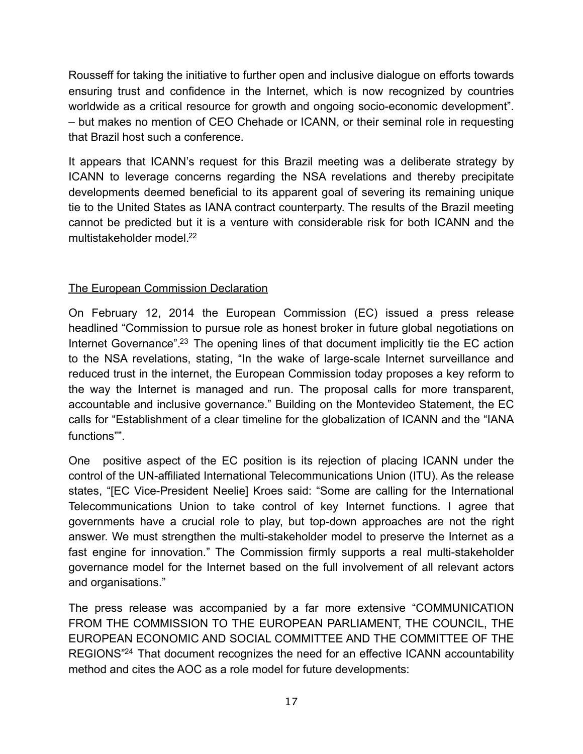Rousseff for taking the initiative to further open and inclusive dialogue on efforts towards ensuring trust and confidence in the Internet, which is now recognized by countries worldwide as a critical resource for growth and ongoing socio-economic development". – but makes no mention of CEO Chehade or ICANN, or their seminal role in requesting that Brazil host such a conference.

It appears that ICANN's request for this Brazil meeting was a deliberate strategy by ICANN to leverage concerns regarding the NSA revelations and thereby precipitate developments deemed beneficial to its apparent goal of severing its remaining unique tie to the United States as IANA contract counterparty. The results of the Brazil meeting cannot be predicted but it is a venture with considerable risk for both ICANN and the multistakeholder model[.22](#page-60-0)

# The European Commission Declaration

On February 12, 2014 the European Commission (EC) issued a press release headlined "Commission to pursue role as honest broker in future global negotiations on Internet Governance".<sup>23</sup> The opening lines of that document implicitly tie the EC action to the NSA revelations, stating, "In the wake of large-scale Internet surveillance and reduced trust in the internet, the European Commission today proposes a key reform to the way the Internet is managed and run. The proposal calls for more transparent, accountable and inclusive governance." Building on the Montevideo Statement, the EC calls for "Establishment of a clear timeline for the globalization of ICANN and the "IANA functions"".

One positive aspect of the EC position is its rejection of placing ICANN under the control of the UN-affiliated International Telecommunications Union (ITU). As the release states, "[EC Vice-President Neelie] Kroes said: "Some are calling for the International Telecommunications Union to take control of key Internet functions. I agree that governments have a crucial role to play, but top-down approaches are not the right answer. We must strengthen the multi-stakeholder model to preserve the Internet as a fast engine for innovation." The Commission firmly supports a real multi-stakeholder governance model for the Internet based on the full involvement of all relevant actors and organisations."

The press release was accompanied by a far more extensive "COMMUNICATION FROM THE COMMISSION TO THE EUROPEAN PARLIAMENT, THE COUNCIL, THE EUROPEAN ECONOMIC AND SOCIAL COMMITTEE AND THE COMMITTEE OF THE REGIONS["24](#page-60-2) That document recognizes the need for an effective ICANN accountability method and cites the AOC as a role model for future developments: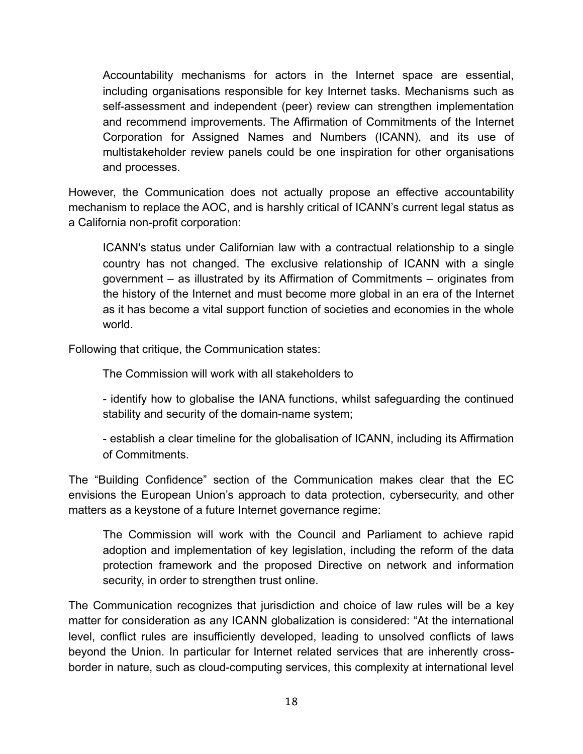Accountability mechanisms for actors in the Internet space are essential, including organisations responsible for key Internet tasks. Mechanisms such as self-assessment and independent (peer) review can strengthen implementation and recommend improvements. The Affirmation of Commitments of the Internet Corporation for Assigned Names and Numbers (ICANN), and its use of multistakeholder review panels could be one inspiration for other organisations and processes.

However, the Communication does not actually propose an effective accountability mechanism to replace the AOC, and is harshly critical of ICANN's current legal status as a California non-profit corporation:

ICANN's status under Californian law with a contractual relationship to a single country has not changed. The exclusive relationship of ICANN with a single government – as illustrated by its Affirmation of Commitments – originates from the history of the Internet and must become more global in an era of the Internet as it has become a vital support function of societies and economies in the whole world.

Following that critique, the Communication states:

The Commission will work with all stakeholders to

- identify how to globalise the IANA functions, whilst safeguarding the continued stability and security of the domain-name system;

- establish a clear timeline for the globalisation of ICANN, including its Affirmation of Commitments.

The "Building Confidence" section of the Communication makes clear that the EC envisions the European Union's approach to data protection, cybersecurity, and other matters as a keystone of a future Internet governance regime:

The Commission will work with the Council and Parliament to achieve rapid adoption and implementation of key legislation, including the reform of the data protection framework and the proposed Directive on network and information security, in order to strengthen trust online.

The Communication recognizes that jurisdiction and choice of law rules will be a key matter for consideration as any ICANN globalization is considered: "At the international level, conflict rules are insufficiently developed, leading to unsolved conflicts of laws beyond the Union. In particular for Internet related services that are inherently crossborder in nature, such as cloud-computing services, this complexity at international level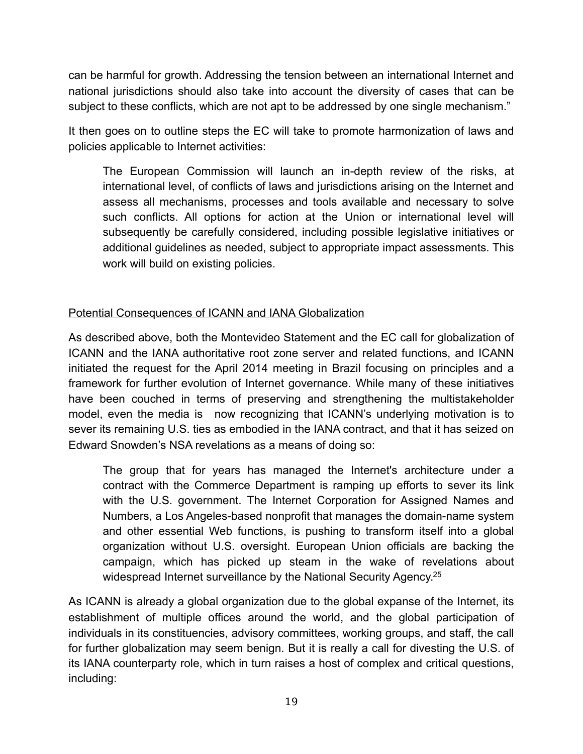can be harmful for growth. Addressing the tension between an international Internet and national jurisdictions should also take into account the diversity of cases that can be subject to these conflicts, which are not apt to be addressed by one single mechanism."

It then goes on to outline steps the EC will take to promote harmonization of laws and policies applicable to Internet activities:

The European Commission will launch an in-depth review of the risks, at international level, of conflicts of laws and jurisdictions arising on the Internet and assess all mechanisms, processes and tools available and necessary to solve such conflicts. All options for action at the Union or international level will subsequently be carefully considered, including possible legislative initiatives or additional guidelines as needed, subject to appropriate impact assessments. This work will build on existing policies.

## Potential Consequences of ICANN and IANA Globalization

As described above, both the Montevideo Statement and the EC call for globalization of ICANN and the IANA authoritative root zone server and related functions, and ICANN initiated the request for the April 2014 meeting in Brazil focusing on principles and a framework for further evolution of Internet governance. While many of these initiatives have been couched in terms of preserving and strengthening the multistakeholder model, even the media is now recognizing that ICANN's underlying motivation is to sever its remaining U.S. ties as embodied in the IANA contract, and that it has seized on Edward Snowden's NSA revelations as a means of doing so:

The group that for years has managed the Internet's architecture under a contract with the Commerce Department is ramping up efforts to sever its link with the U.S. government. The Internet Corporation for Assigned Names and Numbers, a Los Angeles-based nonprofit that manages the domain-name system and other essential Web functions, is pushing to transform itself into a global organization without U.S. oversight. European Union officials are backing the campaign, which has picked up steam in the wake of revelations about widespread Internet surveillance by the National Security Agency.<sup>25</sup>

As ICANN is already a global organization due to the global expanse of the Internet, its establishment of multiple offices around the world, and the global participation of individuals in its constituencies, advisory committees, working groups, and staff, the call for further globalization may seem benign. But it is really a call for divesting the U.S. of its IANA counterparty role, which in turn raises a host of complex and critical questions, including: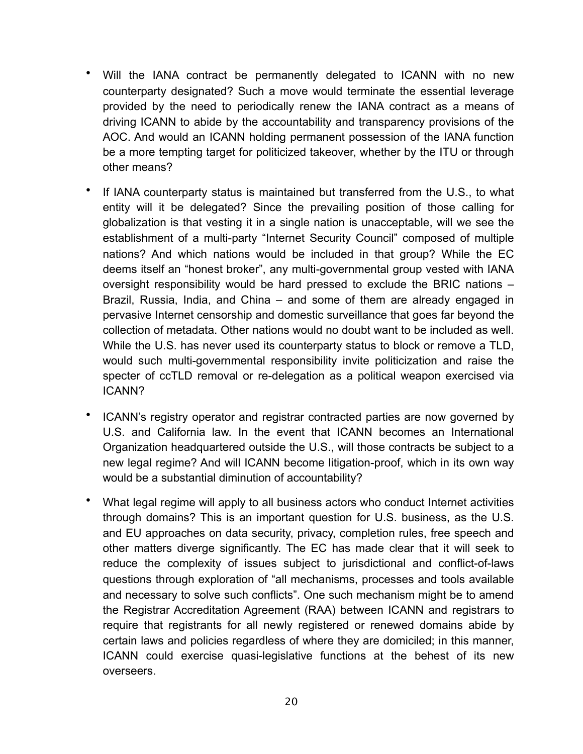- Will the IANA contract be permanently delegated to ICANN with no new counterparty designated? Such a move would terminate the essential leverage provided by the need to periodically renew the IANA contract as a means of driving ICANN to abide by the accountability and transparency provisions of the AOC. And would an ICANN holding permanent possession of the IANA function be a more tempting target for politicized takeover, whether by the ITU or through other means?
- If IANA counterparty status is maintained but transferred from the U.S., to what entity will it be delegated? Since the prevailing position of those calling for globalization is that vesting it in a single nation is unacceptable, will we see the establishment of a multi-party "Internet Security Council" composed of multiple nations? And which nations would be included in that group? While the EC deems itself an "honest broker", any multi-governmental group vested with IANA oversight responsibility would be hard pressed to exclude the BRIC nations – Brazil, Russia, India, and China – and some of them are already engaged in pervasive Internet censorship and domestic surveillance that goes far beyond the collection of metadata. Other nations would no doubt want to be included as well. While the U.S. has never used its counterparty status to block or remove a TLD, would such multi-governmental responsibility invite politicization and raise the specter of ccTLD removal or re-delegation as a political weapon exercised via ICANN?
- ICANN's registry operator and registrar contracted parties are now governed by U.S. and California law. In the event that ICANN becomes an International Organization headquartered outside the U.S., will those contracts be subject to a new legal regime? And will ICANN become litigation-proof, which in its own way would be a substantial diminution of accountability?
- What legal regime will apply to all business actors who conduct Internet activities through domains? This is an important question for U.S. business, as the U.S. and EU approaches on data security, privacy, completion rules, free speech and other matters diverge significantly. The EC has made clear that it will seek to reduce the complexity of issues subject to jurisdictional and conflict-of-laws questions through exploration of "all mechanisms, processes and tools available and necessary to solve such conflicts". One such mechanism might be to amend the Registrar Accreditation Agreement (RAA) between ICANN and registrars to require that registrants for all newly registered or renewed domains abide by certain laws and policies regardless of where they are domiciled; in this manner, ICANN could exercise quasi-legislative functions at the behest of its new overseers.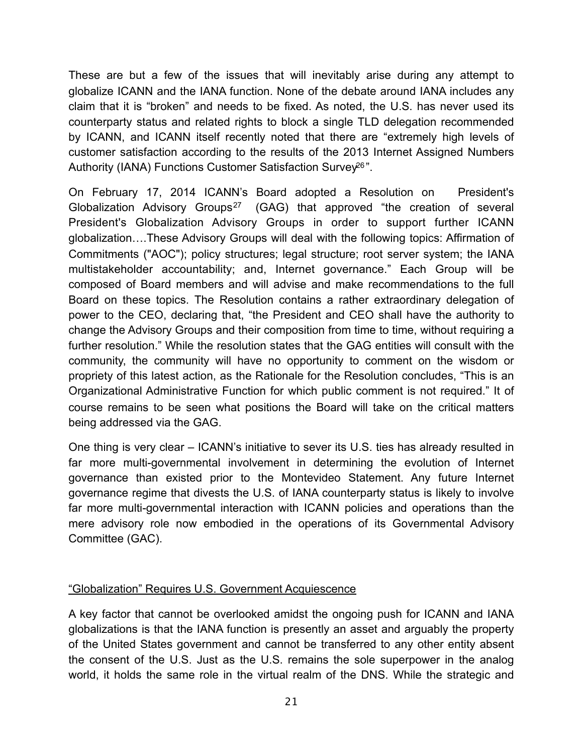These are but a few of the issues that will inevitably arise during any attempt to globalize ICANN and the IANA function. None of the debate around IANA includes any claim that it is "broken" and needs to be fixed. As noted, the U.S. has never used its counterparty status and related rights to block a single TLD delegation recommended by ICANN, and ICANN itself recently noted that there are "extremely high levels of customer satisfaction according to the results of the 2013 Internet Assigned Numbers Authority (IANA) Functions Customer Satisfaction Survey<sup>26</sup>".

On February 17, 2014 ICANN's Board adopted a Resolution on President's Globalization Advisory Groups<sup>[27](#page-60-5)</sup> (GAG) that approved "the creation of several President's Globalization Advisory Groups in order to support further ICANN globalization….These Advisory Groups will deal with the following topics: Affirmation of Commitments ("AOC"); policy structures; legal structure; root server system; the IANA multistakeholder accountability; and, Internet governance." Each Group will be composed of Board members and will advise and make recommendations to the full Board on these topics. The Resolution contains a rather extraordinary delegation of power to the CEO, declaring that, "the President and CEO shall have the authority to change the Advisory Groups and their composition from time to time, without requiring a further resolution." While the resolution states that the GAG entities will consult with the community, the community will have no opportunity to comment on the wisdom or propriety of this latest action, as the Rationale for the Resolution concludes, "This is an Organizational Administrative Function for which public comment is not required." It of course remains to be seen what positions the Board will take on the critical matters being addressed via the GAG.

One thing is very clear – ICANN's initiative to sever its U.S. ties has already resulted in far more multi-governmental involvement in determining the evolution of Internet governance than existed prior to the Montevideo Statement. Any future Internet governance regime that divests the U.S. of IANA counterparty status is likely to involve far more multi-governmental interaction with ICANN policies and operations than the mere advisory role now embodied in the operations of its Governmental Advisory Committee (GAC).

#### "Globalization" Requires U.S. Government Acquiescence

A key factor that cannot be overlooked amidst the ongoing push for ICANN and IANA globalizations is that the IANA function is presently an asset and arguably the property of the United States government and cannot be transferred to any other entity absent the consent of the U.S. Just as the U.S. remains the sole superpower in the analog world, it holds the same role in the virtual realm of the DNS. While the strategic and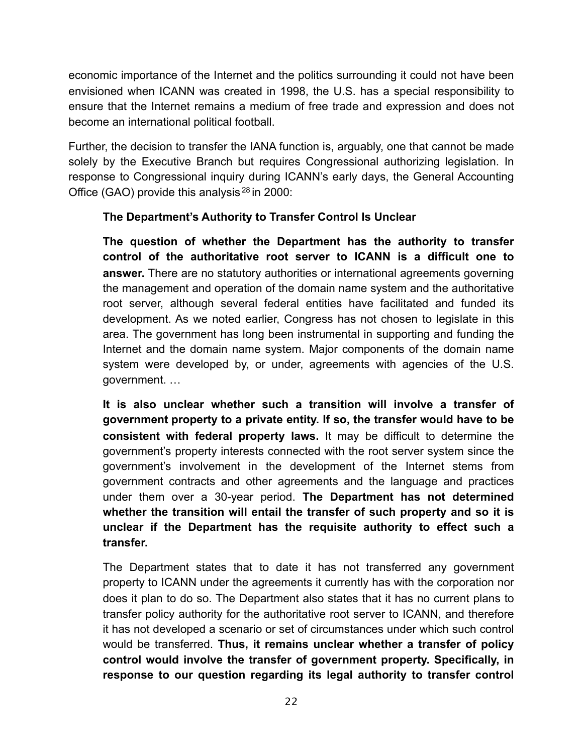economic importance of the Internet and the politics surrounding it could not have been envisioned when ICANN was created in 1998, the U.S. has a special responsibility to ensure that the Internet remains a medium of free trade and expression and does not become an international political football.

Further, the decision to transfer the IANA function is, arguably, one that cannot be made solely by the Executive Branch but requires Congressional authorizing legislation. In response to Congressional inquiry during ICANN's early days, the General Accounting Office (GAO) provide this analysis [28](#page-60-6) in 2000:

## **The Department's Authority to Transfer Control Is Unclear**

**The question of whether the Department has the authority to transfer control of the authoritative root server to ICANN is a difficult one to answer.** There are no statutory authorities or international agreements governing the management and operation of the domain name system and the authoritative root server, although several federal entities have facilitated and funded its development. As we noted earlier, Congress has not chosen to legislate in this area. The government has long been instrumental in supporting and funding the Internet and the domain name system. Major components of the domain name system were developed by, or under, agreements with agencies of the U.S. government. …

**It is also unclear whether such a transition will involve a transfer of government property to a private entity. If so, the transfer would have to be consistent with federal property laws.** It may be difficult to determine the government's property interests connected with the root server system since the government's involvement in the development of the Internet stems from government contracts and other agreements and the language and practices under them over a 30-year period. **The Department has not determined whether the transition will entail the transfer of such property and so it is unclear if the Department has the requisite authority to effect such a transfer.**

The Department states that to date it has not transferred any government property to ICANN under the agreements it currently has with the corporation nor does it plan to do so. The Department also states that it has no current plans to transfer policy authority for the authoritative root server to ICANN, and therefore it has not developed a scenario or set of circumstances under which such control would be transferred. **Thus, it remains unclear whether a transfer of policy control would involve the transfer of government property. Specifically, in response to our question regarding its legal authority to transfer control**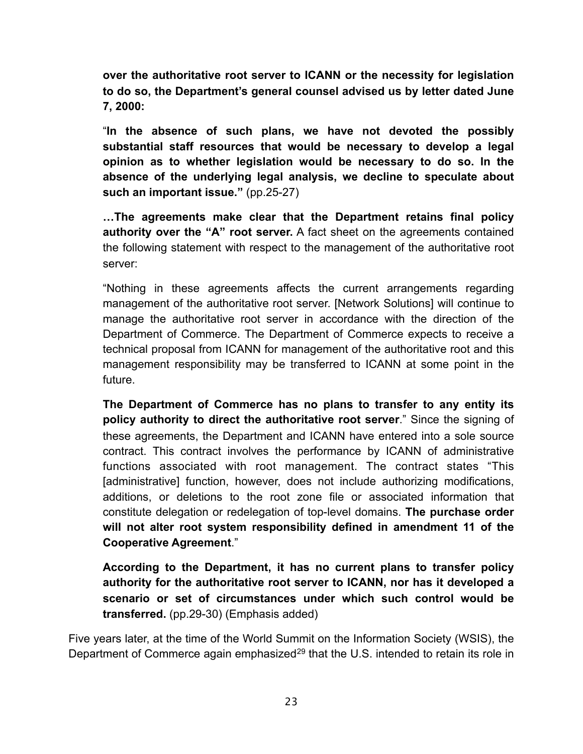**over the authoritative root server to ICANN or the necessity for legislation to do so, the Department's general counsel advised us by letter dated June 7, 2000:**

"**In the absence of such plans, we have not devoted the possibly substantial staff resources that would be necessary to develop a legal opinion as to whether legislation would be necessary to do so. In the absence of the underlying legal analysis, we decline to speculate about such an important issue."** (pp.25-27)

**…The agreements make clear that the Department retains final policy authority over the "A" root server.** A fact sheet on the agreements contained the following statement with respect to the management of the authoritative root server:

"Nothing in these agreements affects the current arrangements regarding management of the authoritative root server. [Network Solutions] will continue to manage the authoritative root server in accordance with the direction of the Department of Commerce. The Department of Commerce expects to receive a technical proposal from ICANN for management of the authoritative root and this management responsibility may be transferred to ICANN at some point in the future.

**The Department of Commerce has no plans to transfer to any entity its policy authority to direct the authoritative root server**." Since the signing of these agreements, the Department and ICANN have entered into a sole source contract. This contract involves the performance by ICANN of administrative functions associated with root management. The contract states "This [administrative] function, however, does not include authorizing modifications, additions, or deletions to the root zone file or associated information that constitute delegation or redelegation of top-level domains. **The purchase order will not alter root system responsibility defined in amendment 11 of the Cooperative Agreement**."

**According to the Department, it has no current plans to transfer policy authority for the authoritative root server to ICANN, nor has it developed a scenario or set of circumstances under which such control would be transferred.** (pp.29-30) (Emphasis added)

Five years later, at the time of the World Summit on the Information Society (WSIS), the Department of Commerce again emphasized<sup>[29](#page-60-7)</sup> that the U.S. intended to retain its role in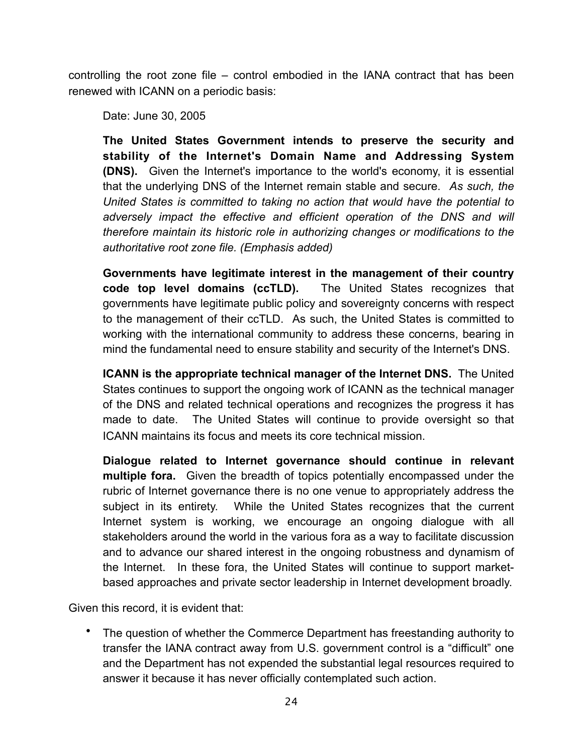controlling the root zone file – control embodied in the IANA contract that has been renewed with ICANN on a periodic basis:

Date: June 30, 2005

**The United States Government intends to preserve the security and stability of the Internet's Domain Name and Addressing System (DNS).** Given the Internet's importance to the world's economy, it is essential that the underlying DNS of the Internet remain stable and secure. *As such, the United States is committed to taking no action that would have the potential to*  adversely impact the effective and efficient operation of the DNS and will *therefore maintain its historic role in authorizing changes or modifications to the authoritative root zone file. (Emphasis added)*

**Governments have legitimate interest in the management of their country code top level domains (ccTLD).** The United States recognizes that governments have legitimate public policy and sovereignty concerns with respect to the management of their ccTLD. As such, the United States is committed to working with the international community to address these concerns, bearing in mind the fundamental need to ensure stability and security of the Internet's DNS.

**ICANN is the appropriate technical manager of the Internet DNS.** The United States continues to support the ongoing work of ICANN as the technical manager of the DNS and related technical operations and recognizes the progress it has made to date. The United States will continue to provide oversight so that ICANN maintains its focus and meets its core technical mission.

**Dialogue related to Internet governance should continue in relevant multiple fora.** Given the breadth of topics potentially encompassed under the rubric of Internet governance there is no one venue to appropriately address the subject in its entirety. While the United States recognizes that the current Internet system is working, we encourage an ongoing dialogue with all stakeholders around the world in the various fora as a way to facilitate discussion and to advance our shared interest in the ongoing robustness and dynamism of the Internet. In these fora, the United States will continue to support marketbased approaches and private sector leadership in Internet development broadly.

Given this record, it is evident that:

• The question of whether the Commerce Department has freestanding authority to transfer the IANA contract away from U.S. government control is a "difficult" one and the Department has not expended the substantial legal resources required to answer it because it has never officially contemplated such action.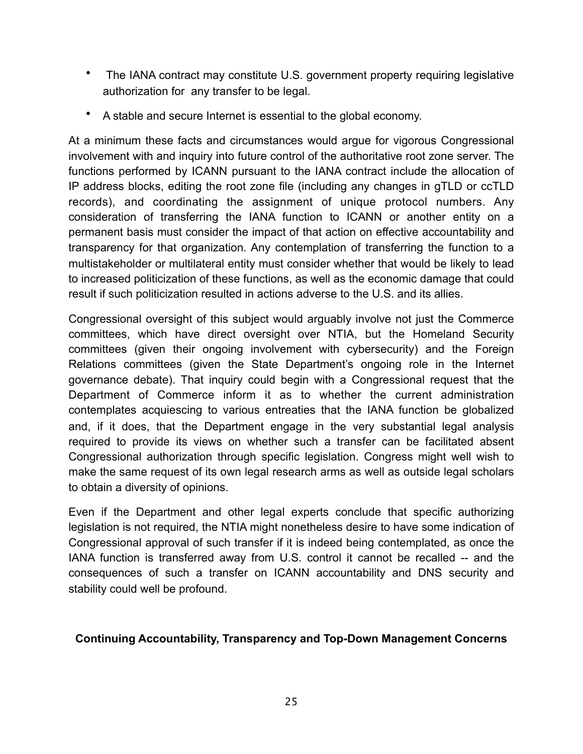- The IANA contract may constitute U.S. government property requiring legislative authorization for any transfer to be legal.
- A stable and secure Internet is essential to the global economy.

At a minimum these facts and circumstances would argue for vigorous Congressional involvement with and inquiry into future control of the authoritative root zone server. The functions performed by ICANN pursuant to the IANA contract include the allocation of IP address blocks, editing the root zone file (including any changes in gTLD or ccTLD records), and coordinating the assignment of unique protocol numbers. Any consideration of transferring the IANA function to ICANN or another entity on a permanent basis must consider the impact of that action on effective accountability and transparency for that organization. Any contemplation of transferring the function to a multistakeholder or multilateral entity must consider whether that would be likely to lead to increased politicization of these functions, as well as the economic damage that could result if such politicization resulted in actions adverse to the U.S. and its allies.

Congressional oversight of this subject would arguably involve not just the Commerce committees, which have direct oversight over NTIA, but the Homeland Security committees (given their ongoing involvement with cybersecurity) and the Foreign Relations committees (given the State Department's ongoing role in the Internet governance debate). That inquiry could begin with a Congressional request that the Department of Commerce inform it as to whether the current administration contemplates acquiescing to various entreaties that the IANA function be globalized and, if it does, that the Department engage in the very substantial legal analysis required to provide its views on whether such a transfer can be facilitated absent Congressional authorization through specific legislation. Congress might well wish to make the same request of its own legal research arms as well as outside legal scholars to obtain a diversity of opinions.

Even if the Department and other legal experts conclude that specific authorizing legislation is not required, the NTIA might nonetheless desire to have some indication of Congressional approval of such transfer if it is indeed being contemplated, as once the IANA function is transferred away from U.S. control it cannot be recalled -- and the consequences of such a transfer on ICANN accountability and DNS security and stability could well be profound.

## **Continuing Accountability, Transparency and Top-Down Management Concerns**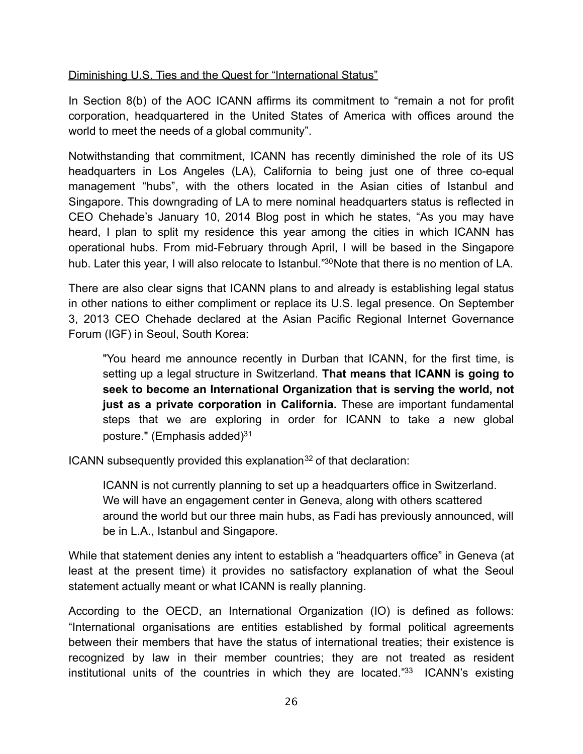## Diminishing U.S. Ties and the Quest for "International Status"

In Section 8(b) of the AOC ICANN affirms its commitment to "remain a not for profit corporation, headquartered in the United States of America with offices around the world to meet the needs of a global community".

Notwithstanding that commitment, ICANN has recently diminished the role of its US headquarters in Los Angeles (LA), California to being just one of three co-equal management "hubs", with the others located in the Asian cities of Istanbul and Singapore. This downgrading of LA to mere nominal headquarters status is reflected in CEO Chehade's January 10, 2014 Blog post in which he states, "As you may have heard, I plan to split my residence this year among the cities in which ICANN has operational hubs. From mid-February through April, I will be based in the Singapore hub. Later this year, I will also relocate to Istanbul.["30](#page-60-8) Note that there is no mention of LA.

There are also clear signs that ICANN plans to and already is establishing legal status in other nations to either compliment or replace its U.S. legal presence. On September 3, 2013 CEO Chehade declared at the Asian Pacific Regional Internet Governance Forum (IGF) in Seoul, South Korea:

"You heard me announce recently in Durban that ICANN, for the first time, is setting up a legal structure in Switzerland. **That means that ICANN is going to seek to become an International Organization that is serving the world, not just as a private corporation in California.** These are important fundamental steps that we are exploring in order for ICANN to take a new global posture." (Emphasis added) $31$ 

ICANN subsequently provided this explanation $32$  of that declaration:

ICANN is not currently planning to set up a headquarters office in Switzerland. We will have an engagement center in Geneva, along with others scattered around the world but our three main hubs, as Fadi has previously announced, will be in L.A., Istanbul and Singapore.

While that statement denies any intent to establish a "headquarters office" in Geneva (at least at the present time) it provides no satisfactory explanation of what the Seoul statement actually meant or what ICANN is really planning.

According to the OECD, an International Organization (IO) is defined as follows: "International organisations are entities established by formal political agreements between their members that have the status of international treaties; their existence is recognized by law in their member countries; they are not treated as resident institutional units of the countries in which they are located.["33](#page-60-11) ICANN's existing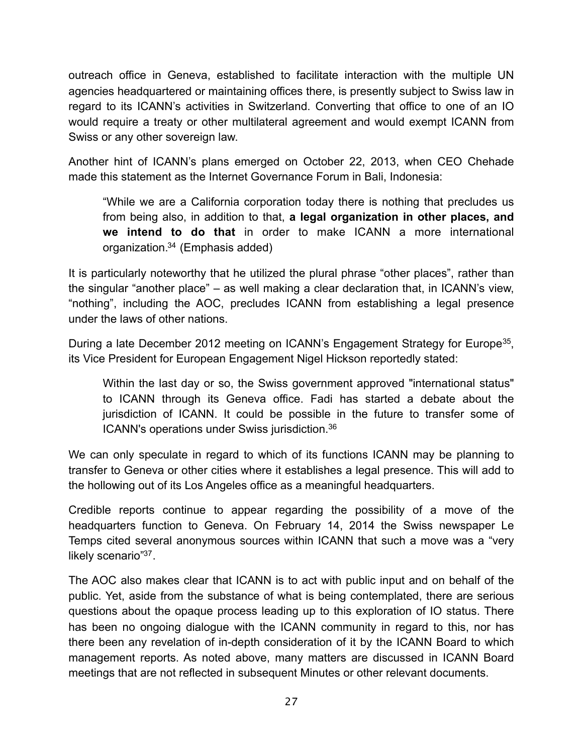outreach office in Geneva, established to facilitate interaction with the multiple UN agencies headquartered or maintaining offices there, is presently subject to Swiss law in regard to its ICANN's activities in Switzerland. Converting that office to one of an IO would require a treaty or other multilateral agreement and would exempt ICANN from Swiss or any other sovereign law.

Another hint of ICANN's plans emerged on October 22, 2013, when CEO Chehade made this statement as the Internet Governance Forum in Bali, Indonesia:

"While we are a California corporation today there is nothing that precludes us from being also, in addition to that, **a legal organization in other places, and we intend to do that** in order to make ICANN a more international organization[.34](#page-60-12) (Emphasis added)

It is particularly noteworthy that he utilized the plural phrase "other places", rather than the singular "another place" – as well making a clear declaration that, in ICANN's view, "nothing", including the AOC, precludes ICANN from establishing a legal presence under the laws of other nations.

During a late December 2012 meeting on ICANN's Engagement Strategy for Europe<sup>35</sup>, its Vice President for European Engagement Nigel Hickson reportedly stated:

Within the last day or so, the Swiss government approved "international status" to ICANN through its Geneva office. Fadi has started a debate about the jurisdiction of ICANN. It could be possible in the future to transfer some of ICANN's operations under Swiss jurisdiction[.36](#page-60-14)

We can only speculate in regard to which of its functions ICANN may be planning to transfer to Geneva or other cities where it establishes a legal presence. This will add to the hollowing out of its Los Angeles office as a meaningful headquarters.

Credible reports continue to appear regarding the possibility of a move of the headquarters function to Geneva. On February 14, 2014 the Swiss newspaper Le Temps cited several anonymous sources within ICANN that such a move was a "very likely scenario<sup>["37](#page-60-15)</sup>.

The AOC also makes clear that ICANN is to act with public input and on behalf of the public. Yet, aside from the substance of what is being contemplated, there are serious questions about the opaque process leading up to this exploration of IO status. There has been no ongoing dialogue with the ICANN community in regard to this, nor has there been any revelation of in-depth consideration of it by the ICANN Board to which management reports. As noted above, many matters are discussed in ICANN Board meetings that are not reflected in subsequent Minutes or other relevant documents.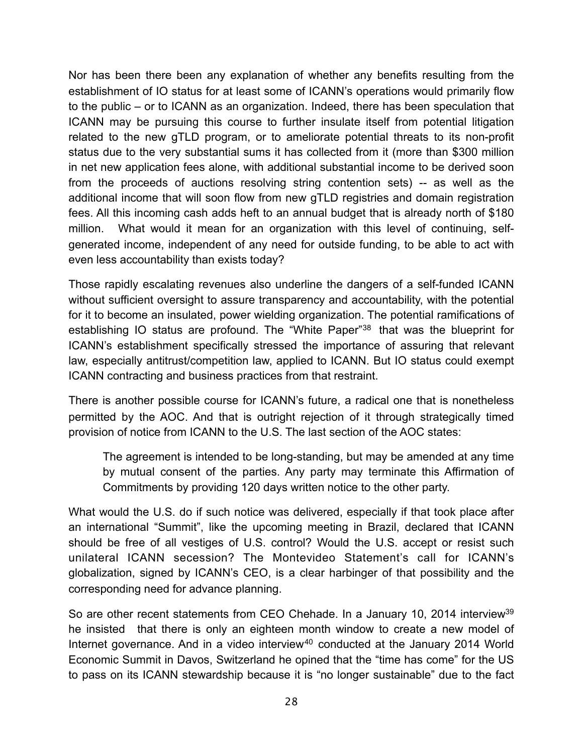Nor has been there been any explanation of whether any benefits resulting from the establishment of IO status for at least some of ICANN's operations would primarily flow to the public – or to ICANN as an organization. Indeed, there has been speculation that ICANN may be pursuing this course to further insulate itself from potential litigation related to the new gTLD program, or to ameliorate potential threats to its non-profit status due to the very substantial sums it has collected from it (more than \$300 million in net new application fees alone, with additional substantial income to be derived soon from the proceeds of auctions resolving string contention sets) -- as well as the additional income that will soon flow from new gTLD registries and domain registration fees. All this incoming cash adds heft to an annual budget that is already north of \$180 million. What would it mean for an organization with this level of continuing, selfgenerated income, independent of any need for outside funding, to be able to act with even less accountability than exists today?

Those rapidly escalating revenues also underline the dangers of a self-funded ICANN without sufficient oversight to assure transparency and accountability, with the potential for it to become an insulated, power wielding organization. The potential ramifications of establishing IO status are profound. The "White Paper"[38](#page-60-16) that was the blueprint for ICANN's establishment specifically stressed the importance of assuring that relevant law, especially antitrust/competition law, applied to ICANN. But IO status could exempt ICANN contracting and business practices from that restraint.

There is another possible course for ICANN's future, a radical one that is nonetheless permitted by the AOC. And that is outright rejection of it through strategically timed provision of notice from ICANN to the U.S. The last section of the AOC states:

The agreement is intended to be long-standing, but may be amended at any time by mutual consent of the parties. Any party may terminate this Affirmation of Commitments by providing 120 days written notice to the other party.

What would the U.S. do if such notice was delivered, especially if that took place after an international "Summit", like the upcoming meeting in Brazil, declared that ICANN should be free of all vestiges of U.S. control? Would the U.S. accept or resist such unilateral ICANN secession? The Montevideo Statement's call for ICANN's globalization, signed by ICANN's CEO, is a clear harbinger of that possibility and the corresponding need for advance planning.

So are other recent statements from CEO Chehade. In a January 10, 2014 interview<sup>39</sup> he insisted that there is only an eighteen month window to create a new model of Internet governance. And in a video interview<sup>[40](#page-60-18)</sup> conducted at the January 2014 World Economic Summit in Davos, Switzerland he opined that the "time has come" for the US to pass on its ICANN stewardship because it is "no longer sustainable" due to the fact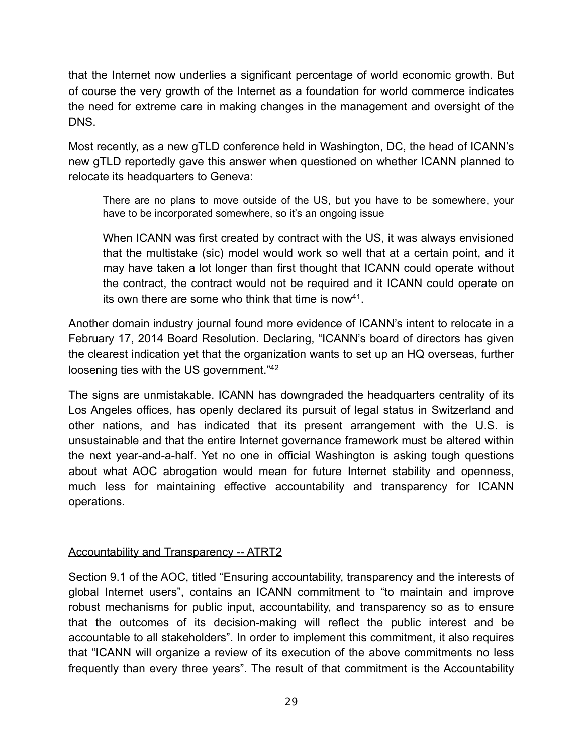that the Internet now underlies a significant percentage of world economic growth. But of course the very growth of the Internet as a foundation for world commerce indicates the need for extreme care in making changes in the management and oversight of the DNS.

Most recently, as a new gTLD conference held in Washington, DC, the head of ICANN's new gTLD reportedly gave this answer when questioned on whether ICANN planned to relocate its headquarters to Geneva:

There are no plans to move outside of the US, but you have to be somewhere, your have to be incorporated somewhere, so it's an ongoing issue

When ICANN was first created by contract with the US, it was always envisioned that the multistake (sic) model would work so well that at a certain point, and it may have taken a lot longer than first thought that ICANN could operate without the contract, the contract would not be required and it ICANN could operate on its own there are some who think that time is now<sup>41</sup>.

Another domain industry journal found more evidence of ICANN's intent to relocate in a February 17, 2014 Board Resolution. Declaring, "ICANN's board of directors has given the clearest indication yet that the organization wants to set up an HQ overseas, further loosening ties with the US government.["42](#page-60-20)

The signs are unmistakable. ICANN has downgraded the headquarters centrality of its Los Angeles offices, has openly declared its pursuit of legal status in Switzerland and other nations, and has indicated that its present arrangement with the U.S. is unsustainable and that the entire Internet governance framework must be altered within the next year-and-a-half. Yet no one in official Washington is asking tough questions about what AOC abrogation would mean for future Internet stability and openness, much less for maintaining effective accountability and transparency for ICANN operations.

## Accountability and Transparency -- ATRT2

Section 9.1 of the AOC, titled "Ensuring accountability, transparency and the interests of global Internet users", contains an ICANN commitment to "to maintain and improve robust mechanisms for public input, accountability, and transparency so as to ensure that the outcomes of its decision-making will reflect the public interest and be accountable to all stakeholders". In order to implement this commitment, it also requires that "ICANN will organize a review of its execution of the above commitments no less frequently than every three years". The result of that commitment is the Accountability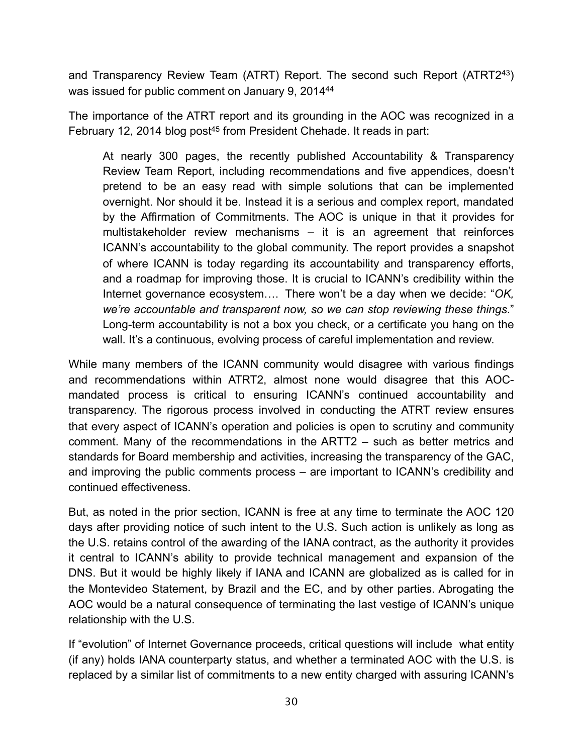and Transparency Review Team (ATRT) Report. The second such Report (ATRT2[43](#page-60-21)) was issued for public comment on January 9, 201[444](#page-60-22)

The importance of the ATRT report and its grounding in the AOC was recognized in a February 12, 2014 blog post<sup>45</sup> from President Chehade. It reads in part:

At nearly 300 pages, the recently published Accountability & Transparency Review Team Report, including recommendations and five appendices, doesn't pretend to be an easy read with simple solutions that can be implemented overnight. Nor should it be. Instead it is a serious and complex report, mandated by the Affirmation of Commitments. The AOC is unique in that it provides for multistakeholder review mechanisms – it is an agreement that reinforces ICANN's accountability to the global community. The report provides a snapshot of where ICANN is today regarding its accountability and transparency efforts, and a roadmap for improving those. It is crucial to ICANN's credibility within the Internet governance ecosystem…. There won't be a day when we decide: "*OK, we're accountable and transparent now, so we can stop reviewing these things*." Long-term accountability is not a box you check, or a certificate you hang on the wall. It's a continuous, evolving process of careful implementation and review.

While many members of the ICANN community would disagree with various findings and recommendations within ATRT2, almost none would disagree that this AOCmandated process is critical to ensuring ICANN's continued accountability and transparency. The rigorous process involved in conducting the ATRT review ensures that every aspect of ICANN's operation and policies is open to scrutiny and community comment. Many of the recommendations in the ARTT2 – such as better metrics and standards for Board membership and activities, increasing the transparency of the GAC, and improving the public comments process – are important to ICANN's credibility and continued effectiveness.

But, as noted in the prior section, ICANN is free at any time to terminate the AOC 120 days after providing notice of such intent to the U.S. Such action is unlikely as long as the U.S. retains control of the awarding of the IANA contract, as the authority it provides it central to ICANN's ability to provide technical management and expansion of the DNS. But it would be highly likely if IANA and ICANN are globalized as is called for in the Montevideo Statement, by Brazil and the EC, and by other parties. Abrogating the AOC would be a natural consequence of terminating the last vestige of ICANN's unique relationship with the U.S.

If "evolution" of Internet Governance proceeds, critical questions will include what entity (if any) holds IANA counterparty status, and whether a terminated AOC with the U.S. is replaced by a similar list of commitments to a new entity charged with assuring ICANN's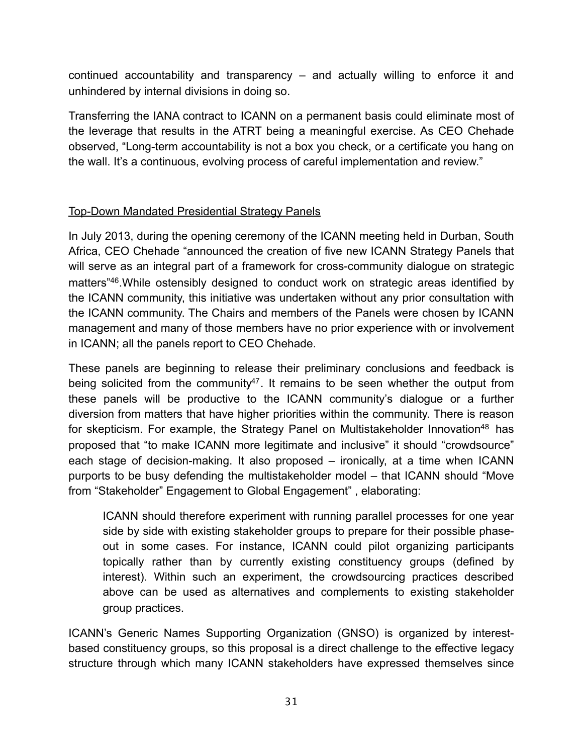continued accountability and transparency – and actually willing to enforce it and unhindered by internal divisions in doing so.

Transferring the IANA contract to ICANN on a permanent basis could eliminate most of the leverage that results in the ATRT being a meaningful exercise. As CEO Chehade observed, "Long-term accountability is not a box you check, or a certificate you hang on the wall. It's a continuous, evolving process of careful implementation and review."

## Top-Down Mandated Presidential Strategy Panels

In July 2013, during the opening ceremony of the ICANN meeting held in Durban, South Africa, CEO Chehade "announced the creation of five new ICANN Strategy Panels that will serve as an integral part of a framework for cross-community dialogue on strategic matters["46](#page-60-24).While ostensibly designed to conduct work on strategic areas identified by the ICANN community, this initiative was undertaken without any prior consultation with the ICANN community. The Chairs and members of the Panels were chosen by ICANN management and many of those members have no prior experience with or involvement in ICANN; all the panels report to CEO Chehade.

These panels are beginning to release their preliminary conclusions and feedback is being solicited from the community<sup>47</sup>. It remains to be seen whether the output from these panels will be productive to the ICANN community's dialogue or a further diversion from matters that have higher priorities within the community. There is reason for skepticism. For example, the Strategy Panel on Multistakeholder Innovation<sup>48</sup> has proposed that "to make ICANN more legitimate and inclusive" it should "crowdsource" each stage of decision-making. It also proposed – ironically, at a time when ICANN purports to be busy defending the multistakeholder model – that ICANN should "Move from "Stakeholder" Engagement to Global Engagement" , elaborating:

ICANN should therefore experiment with running parallel processes for one year side by side with existing stakeholder groups to prepare for their possible phaseout in some cases. For instance, ICANN could pilot organizing participants topically rather than by currently existing constituency groups (defined by interest). Within such an experiment, the crowdsourcing practices described above can be used as alternatives and complements to existing stakeholder group practices.

ICANN's Generic Names Supporting Organization (GNSO) is organized by interestbased constituency groups, so this proposal is a direct challenge to the effective legacy structure through which many ICANN stakeholders have expressed themselves since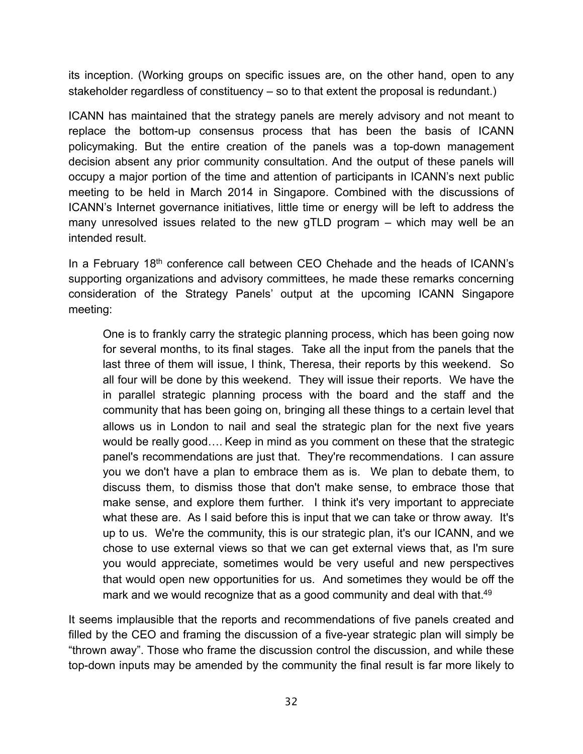its inception. (Working groups on specific issues are, on the other hand, open to any stakeholder regardless of constituency – so to that extent the proposal is redundant.)

ICANN has maintained that the strategy panels are merely advisory and not meant to replace the bottom-up consensus process that has been the basis of ICANN policymaking. But the entire creation of the panels was a top-down management decision absent any prior community consultation. And the output of these panels will occupy a major portion of the time and attention of participants in ICANN's next public meeting to be held in March 2014 in Singapore. Combined with the discussions of ICANN's Internet governance initiatives, little time or energy will be left to address the many unresolved issues related to the new gTLD program – which may well be an intended result.

In a February 18<sup>th</sup> conference call between CEO Chehade and the heads of ICANN's supporting organizations and advisory committees, he made these remarks concerning consideration of the Strategy Panels' output at the upcoming ICANN Singapore meeting:

One is to frankly carry the strategic planning process, which has been going now for several months, to its final stages. Take all the input from the panels that the last three of them will issue, I think, Theresa, their reports by this weekend. So all four will be done by this weekend. They will issue their reports. We have the in parallel strategic planning process with the board and the staff and the community that has been going on, bringing all these things to a certain level that allows us in London to nail and seal the strategic plan for the next five years would be really good…. Keep in mind as you comment on these that the strategic panel's recommendations are just that. They're recommendations. I can assure you we don't have a plan to embrace them as is. We plan to debate them, to discuss them, to dismiss those that don't make sense, to embrace those that make sense, and explore them further. I think it's very important to appreciate what these are. As I said before this is input that we can take or throw away. It's up to us. We're the community, this is our strategic plan, it's our ICANN, and we chose to use external views so that we can get external views that, as I'm sure you would appreciate, sometimes would be very useful and new perspectives that would open new opportunities for us. And sometimes they would be off the mark and we would recognize that as a good community and deal with that.<sup>49</sup>

It seems implausible that the reports and recommendations of five panels created and filled by the CEO and framing the discussion of a five-year strategic plan will simply be "thrown away". Those who frame the discussion control the discussion, and while these top-down inputs may be amended by the community the final result is far more likely to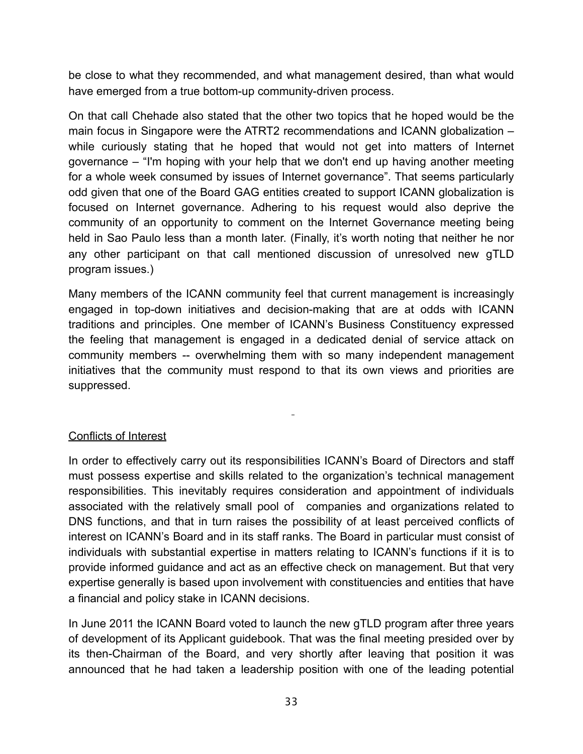be close to what they recommended, and what management desired, than what would have emerged from a true bottom-up community-driven process.

On that call Chehade also stated that the other two topics that he hoped would be the main focus in Singapore were the ATRT2 recommendations and ICANN globalization – while curiously stating that he hoped that would not get into matters of Internet governance – "I'm hoping with your help that we don't end up having another meeting for a whole week consumed by issues of Internet governance". That seems particularly odd given that one of the Board GAG entities created to support ICANN globalization is focused on Internet governance. Adhering to his request would also deprive the community of an opportunity to comment on the Internet Governance meeting being held in Sao Paulo less than a month later. (Finally, it's worth noting that neither he nor any other participant on that call mentioned discussion of unresolved new gTLD program issues.)

Many members of the ICANN community feel that current management is increasingly engaged in top-down initiatives and decision-making that are at odds with ICANN traditions and principles. One member of ICANN's Business Constituency expressed the feeling that management is engaged in a dedicated denial of service attack on community members -- overwhelming them with so many independent management initiatives that the community must respond to that its own views and priorities are suppressed.

## Conflicts of Interest

In order to effectively carry out its responsibilities ICANN's Board of Directors and staff must possess expertise and skills related to the organization's technical management responsibilities. This inevitably requires consideration and appointment of individuals associated with the relatively small pool of companies and organizations related to DNS functions, and that in turn raises the possibility of at least perceived conflicts of interest on ICANN's Board and in its staff ranks. The Board in particular must consist of individuals with substantial expertise in matters relating to ICANN's functions if it is to provide informed guidance and act as an effective check on management. But that very expertise generally is based upon involvement with constituencies and entities that have a financial and policy stake in ICANN decisions.

In June 2011 the ICANN Board voted to launch the new gTLD program after three years of development of its Applicant guidebook. That was the final meeting presided over by its then-Chairman of the Board, and very shortly after leaving that position it was announced that he had taken a leadership position with one of the leading potential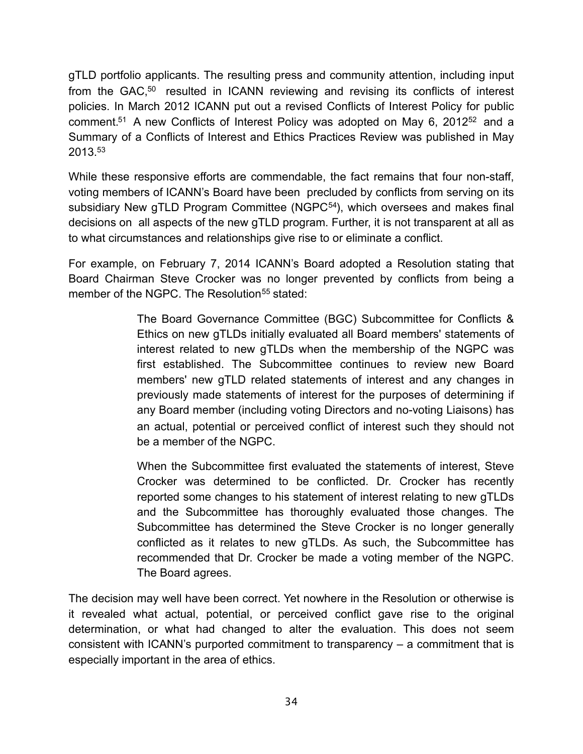gTLD portfolio applicants. The resulting press and community attention, including input from the GAC[,50](#page-61-3) resulted in ICANN reviewing and revising its conflicts of interest policies. In March 2012 ICANN put out a revised Conflicts of Interest Policy for public comment[.51](#page-61-4) A new Conflicts of Interest Policy was adopted on May 6, 201[252](#page-61-5) and a Summary of a Conflicts of Interest and Ethics Practices Review was published in May 2013[.53](#page-61-6)

While these responsive efforts are commendable, the fact remains that four non-staff, voting members of ICANN's Board have been precluded by conflicts from serving on its subsidiary New gTLD Program Committee (NGPC<sup>[54](#page-61-7)</sup>), which oversees and makes final decisions on all aspects of the new gTLD program. Further, it is not transparent at all as to what circumstances and relationships give rise to or eliminate a conflict.

For example, on February 7, 2014 ICANN's Board adopted a Resolution stating that Board Chairman Steve Crocker was no longer prevented by conflicts from being a member of the NGPC. The Resolution<sup>[55](#page-61-8)</sup> stated:

> The Board Governance Committee (BGC) Subcommittee for Conflicts & Ethics on new gTLDs initially evaluated all Board members' statements of interest related to new gTLDs when the membership of the NGPC was first established. The Subcommittee continues to review new Board members' new gTLD related statements of interest and any changes in previously made statements of interest for the purposes of determining if any Board member (including voting Directors and no-voting Liaisons) has an actual, potential or perceived conflict of interest such they should not be a member of the NGPC.

> When the Subcommittee first evaluated the statements of interest, Steve Crocker was determined to be conflicted. Dr. Crocker has recently reported some changes to his statement of interest relating to new gTLDs and the Subcommittee has thoroughly evaluated those changes. The Subcommittee has determined the Steve Crocker is no longer generally conflicted as it relates to new gTLDs. As such, the Subcommittee has recommended that Dr. Crocker be made a voting member of the NGPC. The Board agrees.

The decision may well have been correct. Yet nowhere in the Resolution or otherwise is it revealed what actual, potential, or perceived conflict gave rise to the original determination, or what had changed to alter the evaluation. This does not seem consistent with ICANN's purported commitment to transparency – a commitment that is especially important in the area of ethics.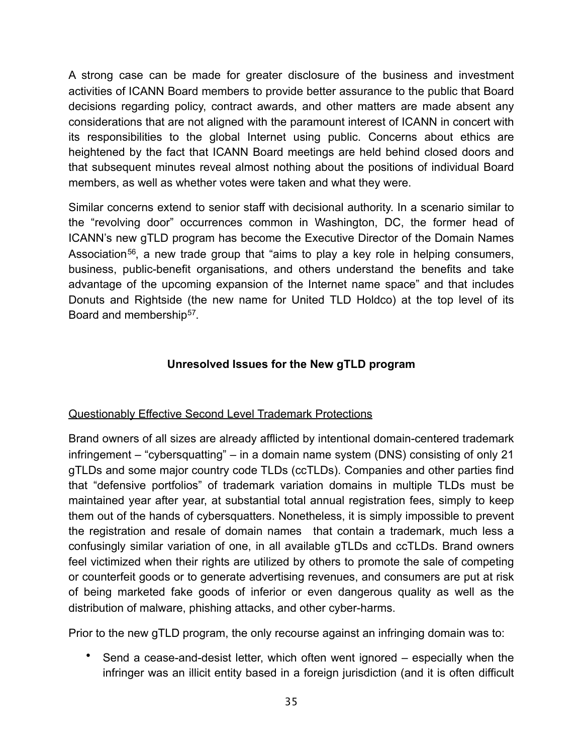A strong case can be made for greater disclosure of the business and investment activities of ICANN Board members to provide better assurance to the public that Board decisions regarding policy, contract awards, and other matters are made absent any considerations that are not aligned with the paramount interest of ICANN in concert with its responsibilities to the global Internet using public. Concerns about ethics are heightened by the fact that ICANN Board meetings are held behind closed doors and that subsequent minutes reveal almost nothing about the positions of individual Board members, as well as whether votes were taken and what they were.

Similar concerns extend to senior staff with decisional authority. In a scenario similar to the "revolving door" occurrences common in Washington, DC, the former head of ICANN's new gTLD program has become the Executive Director of the Domain Names Association<sup>[56](#page-61-9)</sup>, a new trade group that "aims to play a key role in helping consumers, business, public-benefit organisations, and others understand the benefits and take advantage of the upcoming expansion of the Internet name space" and that includes Donuts and Rightside (the new name for United TLD Holdco) at the top level of its Board and membership<sup>57</sup>.

# **Unresolved Issues for the New gTLD program**

# Questionably Effective Second Level Trademark Protections

Brand owners of all sizes are already afflicted by intentional domain-centered trademark infringement – "cybersquatting" – in a domain name system (DNS) consisting of only 21 gTLDs and some major country code TLDs (ccTLDs). Companies and other parties find that "defensive portfolios" of trademark variation domains in multiple TLDs must be maintained year after year, at substantial total annual registration fees, simply to keep them out of the hands of cybersquatters. Nonetheless, it is simply impossible to prevent the registration and resale of domain names that contain a trademark, much less a confusingly similar variation of one, in all available gTLDs and ccTLDs. Brand owners feel victimized when their rights are utilized by others to promote the sale of competing or counterfeit goods or to generate advertising revenues, and consumers are put at risk of being marketed fake goods of inferior or even dangerous quality as well as the distribution of malware, phishing attacks, and other cyber-harms.

Prior to the new gTLD program, the only recourse against an infringing domain was to:

• Send a cease-and-desist letter, which often went ignored – especially when the infringer was an illicit entity based in a foreign jurisdiction (and it is often difficult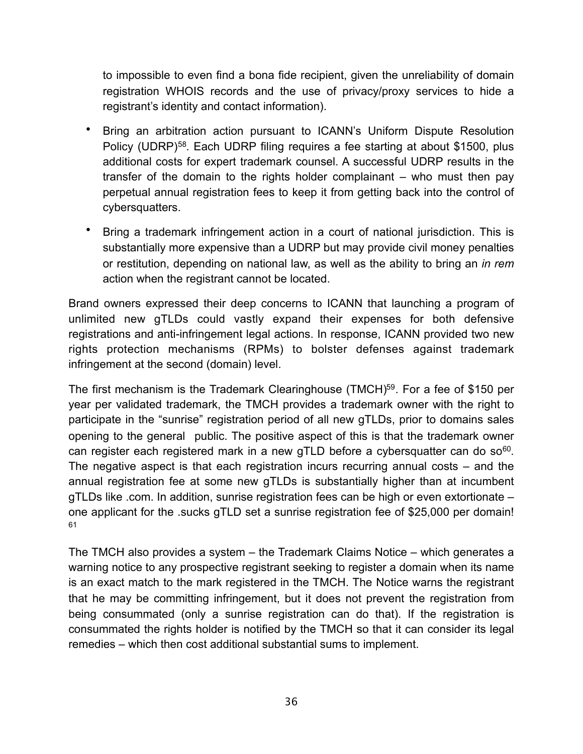to impossible to even find a bona fide recipient, given the unreliability of domain registration WHOIS records and the use of privacy/proxy services to hide a registrant's identity and contact information).

- Bring an arbitration action pursuant to ICANN's Uniform Dispute Resolution Policy (UDRP)[58.](#page-61-11) Each UDRP filing requires a fee starting at about \$1500, plus additional costs for expert trademark counsel. A successful UDRP results in the transfer of the domain to the rights holder complainant – who must then pay perpetual annual registration fees to keep it from getting back into the control of cybersquatters.
- Bring a trademark infringement action in a court of national jurisdiction. This is substantially more expensive than a UDRP but may provide civil money penalties or restitution, depending on national law, as well as the ability to bring an *in rem* action when the registrant cannot be located.

Brand owners expressed their deep concerns to ICANN that launching a program of unlimited new gTLDs could vastly expand their expenses for both defensive registrations and anti-infringement legal actions. In response, ICANN provided two new rights protection mechanisms (RPMs) to bolster defenses against trademark infringement at the second (domain) level.

The first mechanism is the Trademark Clearinghouse (TMCH)<sup>59</sup>. For a fee of \$150 per year per validated trademark, the TMCH provides a trademark owner with the right to participate in the "sunrise" registration period of all new gTLDs, prior to domains sales opening to the general public. The positive aspect of this is that the trademark owner can register each registered mark in a new gTLD before a cybersquatter can do so<sup>60</sup>. The negative aspect is that each registration incurs recurring annual costs – and the annual registration fee at some new gTLDs is substantially higher than at incumbent gTLDs like .com. In addition, sunrise registration fees can be high or even extortionate – one applicant for the .sucks gTLD set a sunrise registration fee of \$25,000 per domain! [61](#page-61-14)

The TMCH also provides a system – the Trademark Claims Notice – which generates a warning notice to any prospective registrant seeking to register a domain when its name is an exact match to the mark registered in the TMCH. The Notice warns the registrant that he may be committing infringement, but it does not prevent the registration from being consummated (only a sunrise registration can do that). If the registration is consummated the rights holder is notified by the TMCH so that it can consider its legal remedies – which then cost additional substantial sums to implement.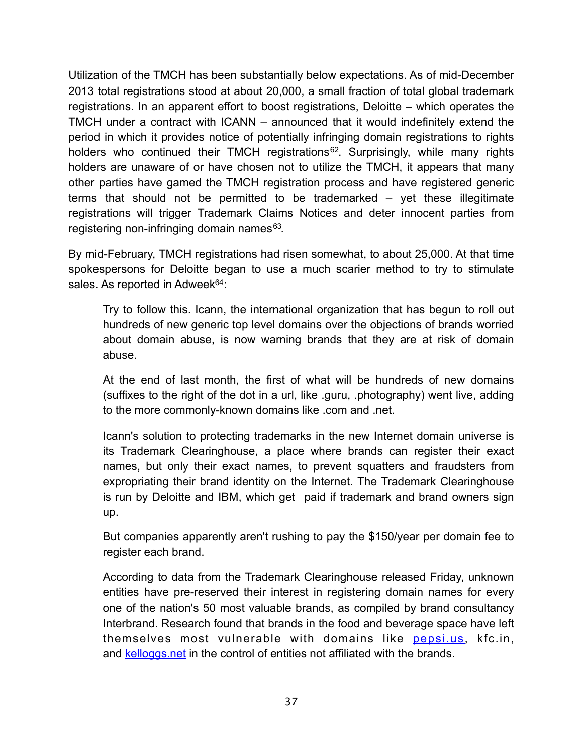Utilization of the TMCH has been substantially below expectations. As of mid-December 2013 total registrations stood at about 20,000, a small fraction of total global trademark registrations. In an apparent effort to boost registrations, Deloitte – which operates the TMCH under a contract with ICANN – announced that it would indefinitely extend the period in which it provides notice of potentially infringing domain registrations to rights holders who continued their TMCH registrations<sup>[62](#page-61-15)</sup>. Surprisingly, while many rights holders are unaware of or have chosen not to utilize the TMCH, it appears that many other parties have gamed the TMCH registration process and have registered generic terms that should not be permitted to be trademarked – yet these illegitimate registrations will trigger Trademark Claims Notices and deter innocent parties from registering non-infringing domain names $63$ .

By mid-February, TMCH registrations had risen somewhat, to about 25,000. At that time spokespersons for Deloitte began to use a much scarier method to try to stimulate sales. As reported in Adweek<sup>64</sup>:

Try to follow this. Icann, the international organization that has begun to roll out hundreds of new generic top level domains over the objections of brands worried about domain abuse, is now warning brands that they are at risk of domain abuse.

At the end of last month, the first of what will be hundreds of new domains (suffixes to the right of the dot in a url, like .guru, .photography) went live, adding to the more commonly-known domains like .com and .net.

Icann's solution to protecting trademarks in the new Internet domain universe is its Trademark Clearinghouse, a place where brands can register their exact names, but only their exact names, to prevent squatters and fraudsters from expropriating their brand identity on the Internet. The Trademark Clearinghouse is run by Deloitte and IBM, which get paid if trademark and brand owners sign up.

But companies apparently aren't rushing to pay the \$150/year per domain fee to register each brand.

According to data from the Trademark Clearinghouse released Friday, unknown entities have pre-reserved their interest in registering domain names for every one of the nation's 50 most valuable brands, as compiled by brand consultancy Interbrand. Research found that brands in the food and beverage space have left themselves most vulnerable with domains like [pepsi.us](http://pepsi.us), kfc.in, and [kelloggs.net](http://kelloggs.net) in the control of entities not affiliated with the brands.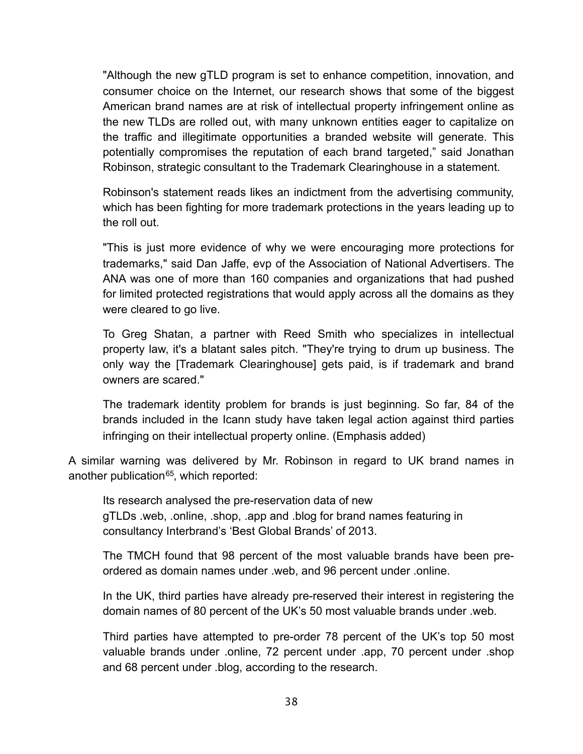"Although the new gTLD program is set to enhance competition, innovation, and consumer choice on the Internet, our research shows that some of the biggest American brand names are at risk of intellectual property infringement online as the new TLDs are rolled out, with many unknown entities eager to capitalize on the traffic and illegitimate opportunities a branded website will generate. This potentially compromises the reputation of each brand targeted," said Jonathan Robinson, strategic consultant to the Trademark Clearinghouse in a statement.

Robinson's statement reads likes an indictment from the advertising community, which has been fighting for more trademark protections in the years leading up to the roll out.

"This is just more evidence of why we were encouraging more protections for trademarks," said Dan Jaffe, evp of the Association of National Advertisers. The ANA was one of more than 160 companies and organizations that had pushed for limited protected registrations that would apply across all the domains as they were cleared to go live.

To Greg Shatan, a partner with Reed Smith who specializes in intellectual property law, it's a blatant sales pitch. "They're trying to drum up business. The only way the [Trademark Clearinghouse] gets paid, is if trademark and brand owners are scared."

The trademark identity problem for brands is just beginning. So far, 84 of the brands included in the Icann study have taken legal action against third parties infringing on their intellectual property online. (Emphasis added)

A similar warning was delivered by Mr. Robinson in regard to UK brand names in another publication $65$ , which reported:

Its research analysed the pre-reservation data of new gTLDs .web, .online, .shop, .app and .blog for brand names featuring in consultancy Interbrand's 'Best Global Brands' of 2013.

The TMCH found that 98 percent of the most valuable brands have been preordered as domain names under .web, and 96 percent under .online.

In the UK, third parties have already pre-reserved their interest in registering the domain names of 80 percent of the UK's 50 most valuable brands under .web.

Third parties have attempted to pre-order 78 percent of the UK's top 50 most valuable brands under .online, 72 percent under .app, 70 percent under .shop and 68 percent under .blog, according to the research.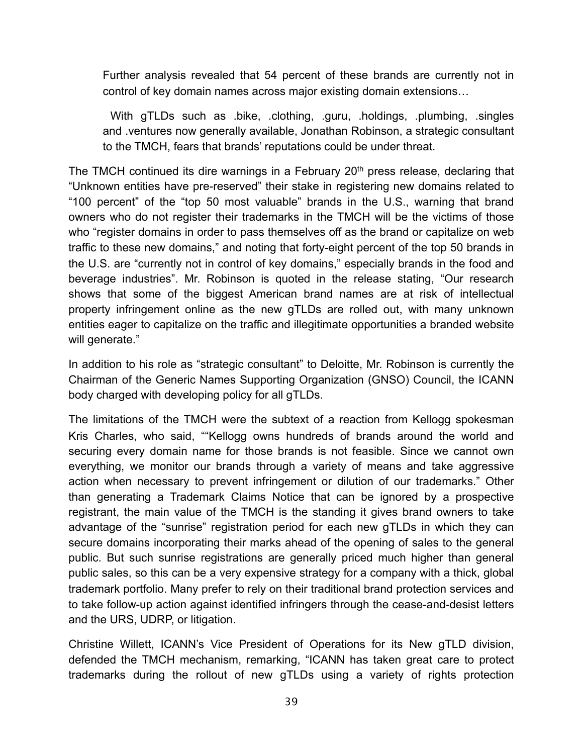Further analysis revealed that 54 percent of these brands are currently not in control of key domain names across major existing domain extensions…

With gTLDs such as .bike, .clothing, .guru, .holdings, .plumbing, .singles and .ventures now generally available, Jonathan Robinson, a strategic consultant to the TMCH, fears that brands' reputations could be under threat.

The TMCH continued its dire warnings in a February  $20<sup>th</sup>$  press release, declaring that "Unknown entities have pre-reserved" their stake in registering new domains related to "100 percent" of the "top 50 most valuable" brands in the U.S., warning that brand owners who do not register their trademarks in the TMCH will be the victims of those who "register domains in order to pass themselves off as the brand or capitalize on web traffic to these new domains," and noting that forty-eight percent of the top 50 brands in the U.S. are "currently not in control of key domains," especially brands in the food and beverage industries". Mr. Robinson is quoted in the release stating, "Our research shows that some of the biggest American brand names are at risk of intellectual property infringement online as the new gTLDs are rolled out, with many unknown entities eager to capitalize on the traffic and illegitimate opportunities a branded website will generate."

In addition to his role as "strategic consultant" to Deloitte, Mr. Robinson is currently the Chairman of the Generic Names Supporting Organization (GNSO) Council, the ICANN body charged with developing policy for all gTLDs.

The limitations of the TMCH were the subtext of a reaction from Kellogg spokesman Kris Charles, who said, ""Kellogg owns hundreds of brands around the world and securing every domain name for those brands is not feasible. Since we cannot own everything, we monitor our brands through a variety of means and take aggressive action when necessary to prevent infringement or dilution of our trademarks." Other than generating a Trademark Claims Notice that can be ignored by a prospective registrant, the main value of the TMCH is the standing it gives brand owners to take advantage of the "sunrise" registration period for each new gTLDs in which they can secure domains incorporating their marks ahead of the opening of sales to the general public. But such sunrise registrations are generally priced much higher than general public sales, so this can be a very expensive strategy for a company with a thick, global trademark portfolio. Many prefer to rely on their traditional brand protection services and to take follow-up action against identified infringers through the cease-and-desist letters and the URS, UDRP, or litigation.

Christine Willett, ICANN's Vice President of Operations for its New gTLD division, defended the TMCH mechanism, remarking, "ICANN has taken great care to protect trademarks during the rollout of new gTLDs using a variety of rights protection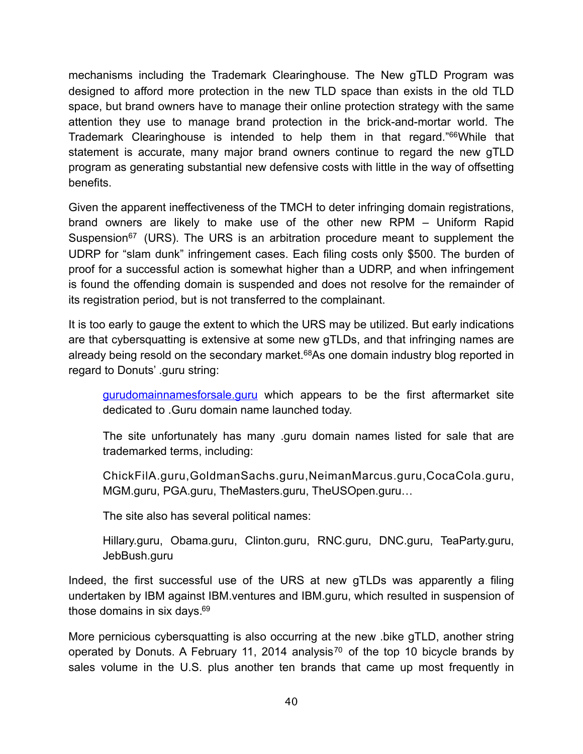mechanisms including the Trademark Clearinghouse. The New gTLD Program was designed to afford more protection in the new TLD space than exists in the old TLD space, but brand owners have to manage their online protection strategy with the same attention they use to manage brand protection in the brick-and-mortar world. The Trademark Clearinghouse is intended to help them in that regard."[66](#page-61-19)While that statement is accurate, many major brand owners continue to regard the new gTLD program as generating substantial new defensive costs with little in the way of offsetting benefits.

Given the apparent ineffectiveness of the TMCH to deter infringing domain registrations, brand owners are likely to make use of the other new RPM – Uniform Rapid Suspension<sup>[67](#page-62-0)</sup> (URS). The URS is an arbitration procedure meant to supplement the UDRP for "slam dunk" infringement cases. Each filing costs only \$500. The burden of proof for a successful action is somewhat higher than a UDRP, and when infringement is found the offending domain is suspended and does not resolve for the remainder of its registration period, but is not transferred to the complainant.

It is too early to gauge the extent to which the URS may be utilized. But early indications are that cybersquatting is extensive at some new gTLDs, and that infringing names are already being resold on the secondary market.<sup>68</sup>As one domain industry blog reported in regard to Donuts' .guru string:

[gurudomainnamesforsale.guru](http://www.gurudomainnamesforsale.guru/) which appears to be the first aftermarket site dedicated to .Guru domain name launched today.

The site unfortunately has many .guru domain names listed for sale that are trademarked terms, including:

ChickFilA.guru,GoldmanSachs.guru,NeimanMarcus.guru,CocaCola.guru, MGM.guru, PGA.guru, TheMasters.guru, TheUSOpen.guru…

The site also has several political names:

Hillary.guru, Obama.guru, Clinton.guru, RNC.guru, DNC.guru, TeaParty.guru, JebBush.guru

Indeed, the first successful use of the URS at new gTLDs was apparently a filing undertaken by IBM against IBM.ventures and IBM.guru, which resulted in suspension of those domains in six days[.69](#page-62-2)

More pernicious cybersquatting is also occurring at the new .bike gTLD, another string operated by Donuts. A February 11, 2014 analysis<sup>[70](#page-62-3)</sup> of the top 10 bicycle brands by sales volume in the U.S. plus another ten brands that came up most frequently in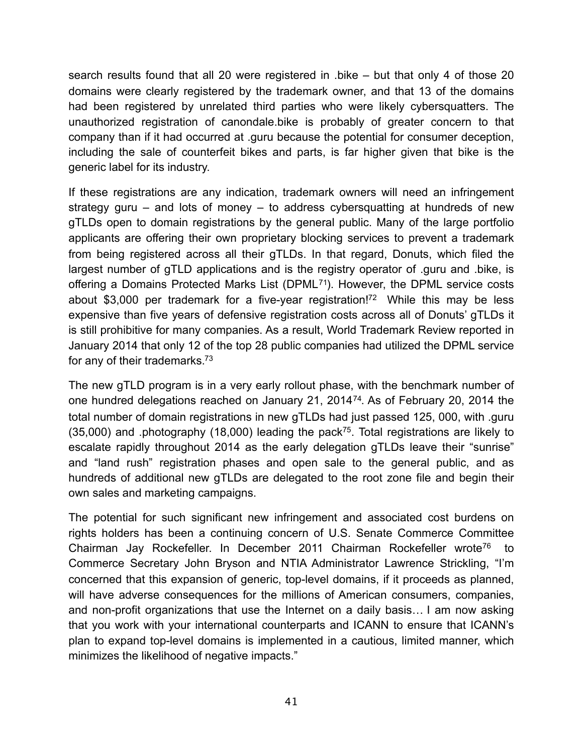search results found that all 20 were registered in .bike – but that only 4 of those 20 domains were clearly registered by the trademark owner, and that 13 of the domains had been registered by unrelated third parties who were likely cybersquatters. The unauthorized registration of canondale.bike is probably of greater concern to that company than if it had occurred at .guru because the potential for consumer deception, including the sale of counterfeit bikes and parts, is far higher given that bike is the generic label for its industry.

If these registrations are any indication, trademark owners will need an infringement strategy guru – and lots of money – to address cybersquatting at hundreds of new gTLDs open to domain registrations by the general public. Many of the large portfolio applicants are offering their own proprietary blocking services to prevent a trademark from being registered across all their gTLDs. In that regard, Donuts, which filed the largest number of gTLD applications and is the registry operator of .guru and .bike, is offering a Domains Protected Marks List (DPML<sup>[71](#page-62-4)</sup>). However, the DPML service costs about \$3,000 per trademark for a five-year registration!<sup>72</sup> While this may be less expensive than five years of defensive registration costs across all of Donuts' gTLDs it is still prohibitive for many companies. As a result, World Trademark Review reported in January 2014 that only 12 of the top 28 public companies had utilized the DPML service for any of their trademarks[.73](#page-62-6)

The new gTLD program is in a very early rollout phase, with the benchmark number of one hundred delegations reached on January 21, 2014[74](#page-62-7). As of February 20, 2014 the total number of domain registrations in new gTLDs had just passed 125, 000, with .guru (35,000) and .photography (18,000) leading the pac[k75.](#page-62-8) Total registrations are likely to escalate rapidly throughout 2014 as the early delegation gTLDs leave their "sunrise" and "land rush" registration phases and open sale to the general public, and as hundreds of additional new gTLDs are delegated to the root zone file and begin their own sales and marketing campaigns.

The potential for such significant new infringement and associated cost burdens on rights holders has been a continuing concern of U.S. Senate Commerce Committee Chairman Jay Rockefeller. In December 2011 Chairman Rockefeller wrote[76](#page-62-9) to Commerce Secretary John Bryson and NTIA Administrator Lawrence Strickling, "I'm concerned that this expansion of generic, top-level domains, if it proceeds as planned, will have adverse consequences for the millions of American consumers, companies, and non-profit organizations that use the Internet on a daily basis… I am now asking that you work with your international counterparts and ICANN to ensure that ICANN's plan to expand top-level domains is implemented in a cautious, limited manner, which minimizes the likelihood of negative impacts."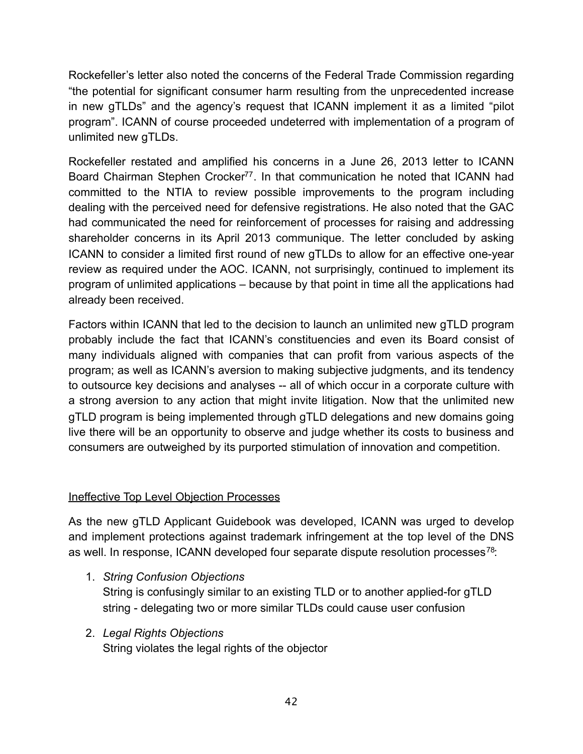Rockefeller's letter also noted the concerns of the Federal Trade Commission regarding "the potential for significant consumer harm resulting from the unprecedented increase in new gTLDs" and the agency's request that ICANN implement it as a limited "pilot program". ICANN of course proceeded undeterred with implementation of a program of unlimited new gTLDs.

Rockefeller restated and amplified his concerns in a June 26, 2013 letter to ICANN Board Chairman Stephen Crocker<sup>77</sup>. In that communication he noted that ICANN had committed to the NTIA to review possible improvements to the program including dealing with the perceived need for defensive registrations. He also noted that the GAC had communicated the need for reinforcement of processes for raising and addressing shareholder concerns in its April 2013 communique. The letter concluded by asking ICANN to consider a limited first round of new gTLDs to allow for an effective one-year review as required under the AOC. ICANN, not surprisingly, continued to implement its program of unlimited applications – because by that point in time all the applications had already been received.

Factors within ICANN that led to the decision to launch an unlimited new gTLD program probably include the fact that ICANN's constituencies and even its Board consist of many individuals aligned with companies that can profit from various aspects of the program; as well as ICANN's aversion to making subjective judgments, and its tendency to outsource key decisions and analyses -- all of which occur in a corporate culture with a strong aversion to any action that might invite litigation. Now that the unlimited new gTLD program is being implemented through gTLD delegations and new domains going live there will be an opportunity to observe and judge whether its costs to business and consumers are outweighed by its purported stimulation of innovation and competition.

## Ineffective Top Level Objection Processes

As the new gTLD Applicant Guidebook was developed, ICANN was urged to develop and implement protections against trademark infringement at the top level of the DNS as well. In response, ICANN developed four separate dispute resolution processes<sup>[78](#page-62-11)</sup>:

- 1. *String Confusion Objections* String is confusingly similar to an existing TLD or to another applied-for gTLD string - delegating two or more similar TLDs could cause user confusion
- 2. *Legal Rights Objections* String violates the legal rights of the objector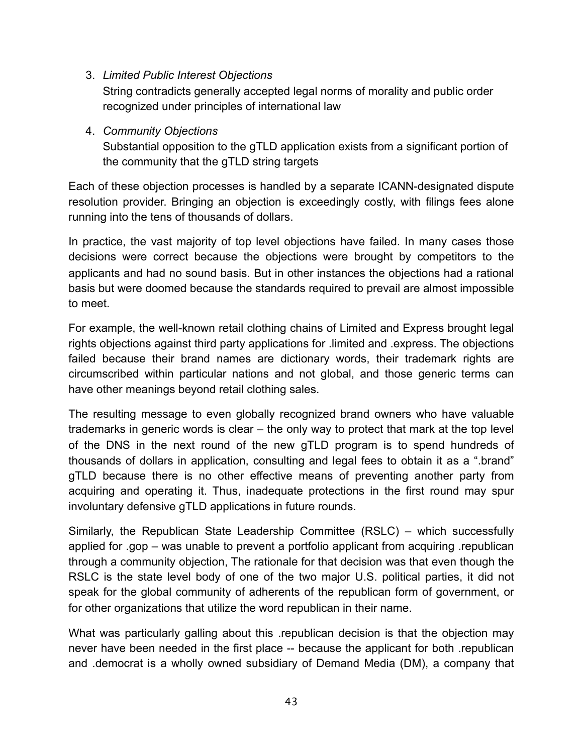3. *Limited Public Interest Objections*

String contradicts generally accepted legal norms of morality and public order recognized under principles of international law

4. *Community Objections*

Substantial opposition to the gTLD application exists from a significant portion of the community that the gTLD string targets

Each of these objection processes is handled by a separate ICANN-designated dispute resolution provider. Bringing an objection is exceedingly costly, with filings fees alone running into the tens of thousands of dollars.

In practice, the vast majority of top level objections have failed. In many cases those decisions were correct because the objections were brought by competitors to the applicants and had no sound basis. But in other instances the objections had a rational basis but were doomed because the standards required to prevail are almost impossible to meet.

For example, the well-known retail clothing chains of Limited and Express brought legal rights objections against third party applications for .limited and .express. The objections failed because their brand names are dictionary words, their trademark rights are circumscribed within particular nations and not global, and those generic terms can have other meanings beyond retail clothing sales.

The resulting message to even globally recognized brand owners who have valuable trademarks in generic words is clear – the only way to protect that mark at the top level of the DNS in the next round of the new gTLD program is to spend hundreds of thousands of dollars in application, consulting and legal fees to obtain it as a ".brand" gTLD because there is no other effective means of preventing another party from acquiring and operating it. Thus, inadequate protections in the first round may spur involuntary defensive gTLD applications in future rounds.

Similarly, the Republican State Leadership Committee (RSLC) – which successfully applied for .gop – was unable to prevent a portfolio applicant from acquiring .republican through a community objection, The rationale for that decision was that even though the RSLC is the state level body of one of the two major U.S. political parties, it did not speak for the global community of adherents of the republican form of government, or for other organizations that utilize the word republican in their name.

What was particularly galling about this .republican decision is that the objection may never have been needed in the first place -- because the applicant for both .republican and .democrat is a wholly owned subsidiary of Demand Media (DM), a company that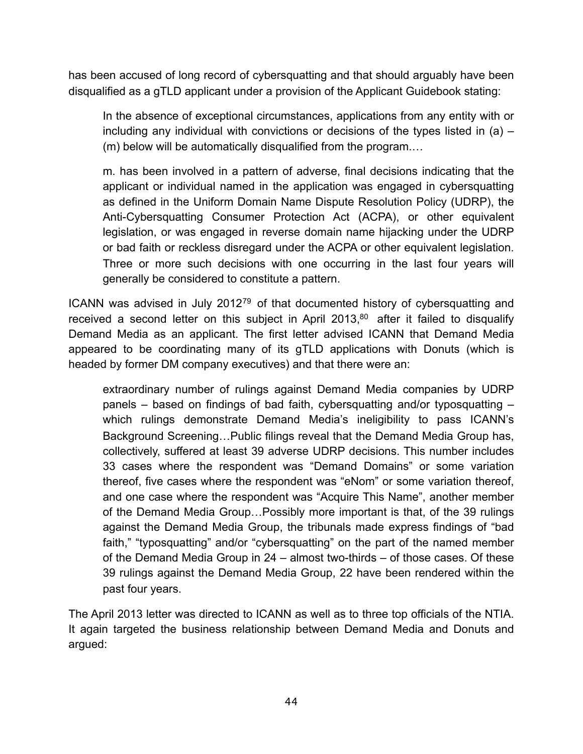has been accused of long record of cybersquatting and that should arguably have been disqualified as a gTLD applicant under a provision of the Applicant Guidebook stating:

In the absence of exceptional circumstances, applications from any entity with or including any individual with convictions or decisions of the types listed in  $(a)$  – (m) below will be automatically disqualified from the program.…

m. has been involved in a pattern of adverse, final decisions indicating that the applicant or individual named in the application was engaged in cybersquatting as defined in the Uniform Domain Name Dispute Resolution Policy (UDRP), the Anti-Cybersquatting Consumer Protection Act (ACPA), or other equivalent legislation, or was engaged in reverse domain name hijacking under the UDRP or bad faith or reckless disregard under the ACPA or other equivalent legislation. Three or more such decisions with one occurring in the last four years will generally be considered to constitute a pattern.

ICANN was advised in July 2012[79](#page-62-12) of that documented history of cybersquatting and received a second letter on this subject in April 2013, $80$  after it failed to disqualify Demand Media as an applicant. The first letter advised ICANN that Demand Media appeared to be coordinating many of its gTLD applications with Donuts (which is headed by former DM company executives) and that there were an:

extraordinary number of rulings against Demand Media companies by UDRP panels – based on findings of bad faith, cybersquatting and/or typosquatting – which rulings demonstrate Demand Media's ineligibility to pass ICANN's Background Screening…Public filings reveal that the Demand Media Group has, collectively, suffered at least 39 adverse UDRP decisions. This number includes 33 cases where the respondent was "Demand Domains" or some variation thereof, five cases where the respondent was "eNom" or some variation thereof, and one case where the respondent was "Acquire This Name", another member of the Demand Media Group…Possibly more important is that, of the 39 rulings against the Demand Media Group, the tribunals made express findings of "bad faith," "typosquatting" and/or "cybersquatting" on the part of the named member of the Demand Media Group in 24 – almost two-thirds – of those cases. Of these 39 rulings against the Demand Media Group, 22 have been rendered within the past four years.

The April 2013 letter was directed to ICANN as well as to three top officials of the NTIA. It again targeted the business relationship between Demand Media and Donuts and argued: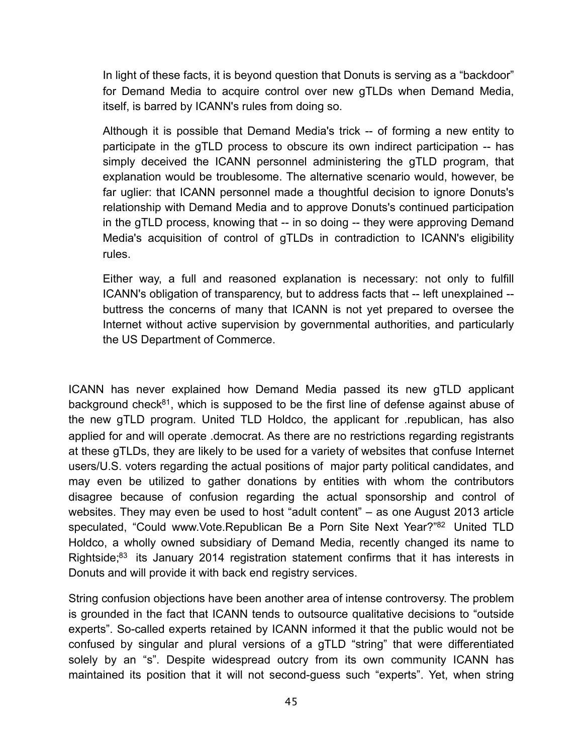In light of these facts, it is beyond question that Donuts is serving as a "backdoor" for Demand Media to acquire control over new gTLDs when Demand Media, itself, is barred by ICANN's rules from doing so.

Although it is possible that Demand Media's trick -- of forming a new entity to participate in the gTLD process to obscure its own indirect participation -- has simply deceived the ICANN personnel administering the gTLD program, that explanation would be troublesome. The alternative scenario would, however, be far uglier: that ICANN personnel made a thoughtful decision to ignore Donuts's relationship with Demand Media and to approve Donuts's continued participation in the gTLD process, knowing that -- in so doing -- they were approving Demand Media's acquisition of control of gTLDs in contradiction to ICANN's eligibility rules.

Either way, a full and reasoned explanation is necessary: not only to fulfill ICANN's obligation of transparency, but to address facts that -- left unexplained - buttress the concerns of many that ICANN is not yet prepared to oversee the Internet without active supervision by governmental authorities, and particularly the US Department of Commerce.

ICANN has never explained how Demand Media passed its new gTLD applicant background check $81$ , which is supposed to be the first line of defense against abuse of the new gTLD program. United TLD Holdco, the applicant for .republican, has also applied for and will operate .democrat. As there are no restrictions regarding registrants at these gTLDs, they are likely to be used for a variety of websites that confuse Internet users/U.S. voters regarding the actual positions of major party political candidates, and may even be utilized to gather donations by entities with whom the contributors disagree because of confusion regarding the actual sponsorship and control of websites. They may even be used to host "adult content" – as one August 2013 article speculated, "Could www.Vote.Republican Be a Porn Site Next Year?["82](#page-62-15) United TLD Holdco, a wholly owned subsidiary of Demand Media, recently changed its name to Rightside;<sup>83</sup> its January 2014 registration statement confirms that it has interests in Donuts and will provide it with back end registry services.

String confusion objections have been another area of intense controversy. The problem is grounded in the fact that ICANN tends to outsource qualitative decisions to "outside experts". So-called experts retained by ICANN informed it that the public would not be confused by singular and plural versions of a gTLD "string" that were differentiated solely by an "s". Despite widespread outcry from its own community ICANN has maintained its position that it will not second-guess such "experts". Yet, when string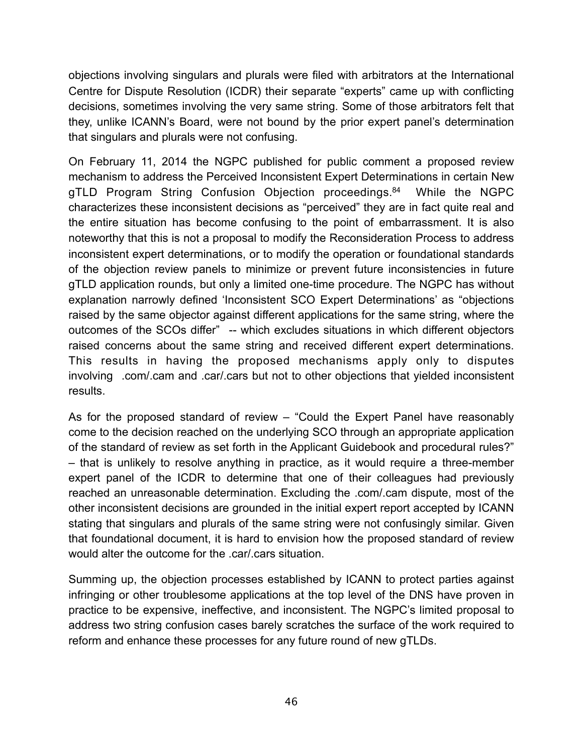objections involving singulars and plurals were filed with arbitrators at the International Centre for Dispute Resolution (ICDR) their separate "experts" came up with conflicting decisions, sometimes involving the very same string. Some of those arbitrators felt that they, unlike ICANN's Board, were not bound by the prior expert panel's determination that singulars and plurals were not confusing.

On February 11, 2014 the NGPC published for public comment a proposed review mechanism to address the Perceived Inconsistent Expert Determinations in certain New gTLD Program String Confusion Objection proceedings.<sup>84</sup> While the NGPC characterizes these inconsistent decisions as "perceived" they are in fact quite real and the entire situation has become confusing to the point of embarrassment. It is also noteworthy that this is not a proposal to modify the Reconsideration Process to address inconsistent expert determinations, or to modify the operation or foundational standards of the objection review panels to minimize or prevent future inconsistencies in future gTLD application rounds, but only a limited one-time procedure. The NGPC has without explanation narrowly defined 'Inconsistent SCO Expert Determinations' as "objections raised by the same objector against different applications for the same string, where the outcomes of the SCOs differ" -- which excludes situations in which different objectors raised concerns about the same string and received different expert determinations. This results in having the proposed mechanisms apply only to disputes involving .com/.cam and .car/.cars but not to other objections that yielded inconsistent results.

As for the proposed standard of review – "Could the Expert Panel have reasonably come to the decision reached on the underlying SCO through an appropriate application of the standard of review as set forth in the Applicant Guidebook and procedural rules?" – that is unlikely to resolve anything in practice, as it would require a three-member expert panel of the ICDR to determine that one of their colleagues had previously reached an unreasonable determination. Excluding the .com/.cam dispute, most of the other inconsistent decisions are grounded in the initial expert report accepted by ICANN stating that singulars and plurals of the same string were not confusingly similar. Given that foundational document, it is hard to envision how the proposed standard of review would alter the outcome for the .car/.cars situation.

Summing up, the objection processes established by ICANN to protect parties against infringing or other troublesome applications at the top level of the DNS have proven in practice to be expensive, ineffective, and inconsistent. The NGPC's limited proposal to address two string confusion cases barely scratches the surface of the work required to reform and enhance these processes for any future round of new gTLDs.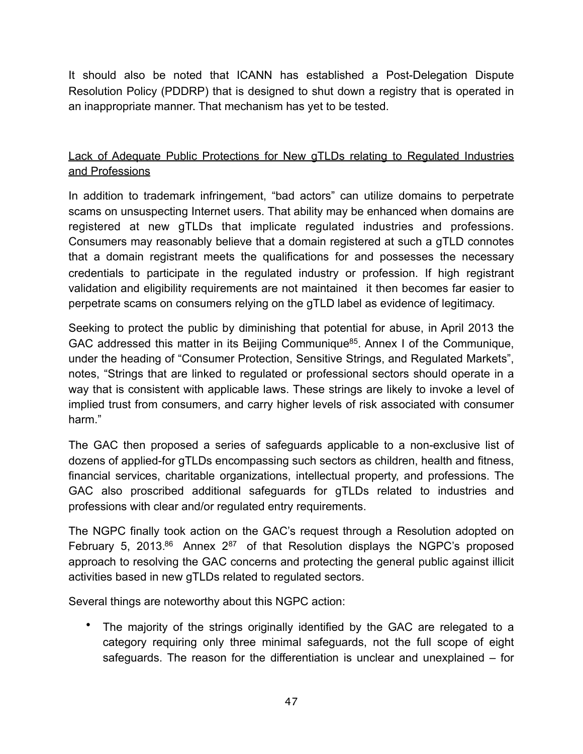It should also be noted that ICANN has established a Post-Delegation Dispute Resolution Policy (PDDRP) that is designed to shut down a registry that is operated in an inappropriate manner. That mechanism has yet to be tested.

# Lack of Adequate Public Protections for New gTLDs relating to Regulated Industries and Professions

In addition to trademark infringement, "bad actors" can utilize domains to perpetrate scams on unsuspecting Internet users. That ability may be enhanced when domains are registered at new gTLDs that implicate regulated industries and professions. Consumers may reasonably believe that a domain registered at such a gTLD connotes that a domain registrant meets the qualifications for and possesses the necessary credentials to participate in the regulated industry or profession. If high registrant validation and eligibility requirements are not maintained it then becomes far easier to perpetrate scams on consumers relying on the gTLD label as evidence of legitimacy.

Seeking to protect the public by diminishing that potential for abuse, in April 2013 the GAC addressed this matter in its Beijing Communique<sup>85</sup>. Annex I of the Communique, under the heading of "Consumer Protection, Sensitive Strings, and Regulated Markets", notes, "Strings that are linked to regulated or professional sectors should operate in a way that is consistent with applicable laws. These strings are likely to invoke a level of implied trust from consumers, and carry higher levels of risk associated with consumer harm."

The GAC then proposed a series of safeguards applicable to a non-exclusive list of dozens of applied-for gTLDs encompassing such sectors as children, health and fitness, financial services, charitable organizations, intellectual property, and professions. The GAC also proscribed additional safeguards for gTLDs related to industries and professions with clear and/or regulated entry requirements.

The NGPC finally took action on the GAC's request through a Resolution adopted on February 5, 2013[.86](#page-62-19) Annex  $2^{87}$  $2^{87}$  $2^{87}$  of that Resolution displays the NGPC's proposed approach to resolving the GAC concerns and protecting the general public against illicit activities based in new gTLDs related to regulated sectors.

Several things are noteworthy about this NGPC action:

The majority of the strings originally identified by the GAC are relegated to a category requiring only three minimal safeguards, not the full scope of eight safeguards. The reason for the differentiation is unclear and unexplained – for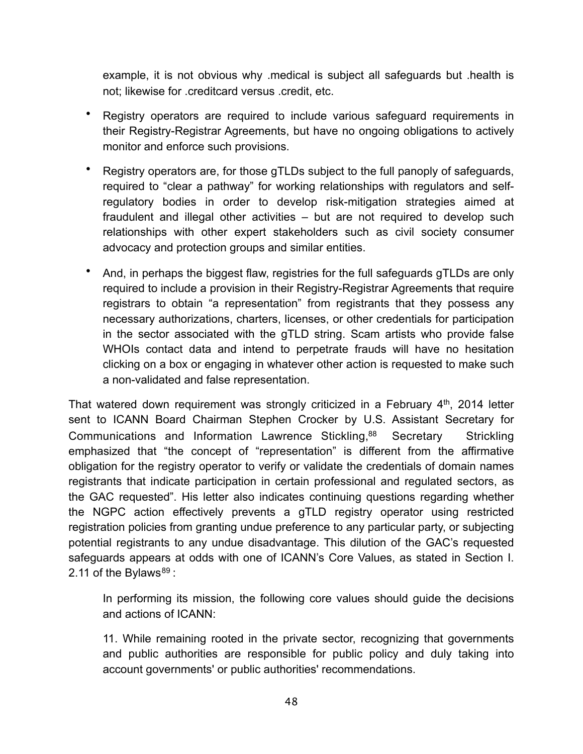example, it is not obvious why .medical is subject all safeguards but .health is not; likewise for .creditcard versus .credit, etc.

- Registry operators are required to include various safeguard requirements in their Registry-Registrar Agreements, but have no ongoing obligations to actively monitor and enforce such provisions.
- Registry operators are, for those gTLDs subject to the full panoply of safeguards, required to "clear a pathway" for working relationships with regulators and selfregulatory bodies in order to develop risk-mitigation strategies aimed at fraudulent and illegal other activities – but are not required to develop such relationships with other expert stakeholders such as civil society consumer advocacy and protection groups and similar entities.
- And, in perhaps the biggest flaw, registries for the full safeguards gTLDs are only required to include a provision in their Registry-Registrar Agreements that require registrars to obtain "a representation" from registrants that they possess any necessary authorizations, charters, licenses, or other credentials for participation in the sector associated with the gTLD string. Scam artists who provide false WHOIs contact data and intend to perpetrate frauds will have no hesitation clicking on a box or engaging in whatever other action is requested to make such a non-validated and false representation.

That watered down requirement was strongly criticized in a February  $4<sup>th</sup>$ , 2014 letter sent to ICANN Board Chairman Stephen Crocker by U.S. Assistant Secretary for Communications and Information Lawrence Stickling,<sup>88</sup> Secretary Strickling emphasized that "the concept of "representation" is different from the affirmative obligation for the registry operator to verify or validate the credentials of domain names registrants that indicate participation in certain professional and regulated sectors, as the GAC requested". His letter also indicates continuing questions regarding whether the NGPC action effectively prevents a gTLD registry operator using restricted registration policies from granting undue preference to any particular party, or subjecting potential registrants to any undue disadvantage. This dilution of the GAC's requested safeguards appears at odds with one of ICANN's Core Values, as stated in Section I. 2.11 of the Bylaws $89$  :

In performing its mission, the following core values should guide the decisions and actions of ICANN:

11. While remaining rooted in the private sector, recognizing that governments and public authorities are responsible for public policy and duly taking into account governments' or public authorities' recommendations.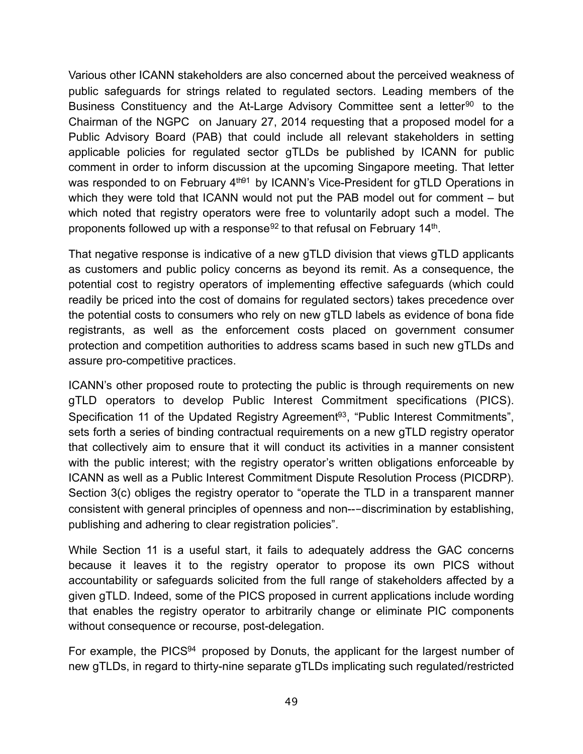Various other ICANN stakeholders are also concerned about the perceived weakness of public safeguards for strings related to regulated sectors. Leading members of the Business Constituency and the At-Large Advisory Committee sent a letter<sup>[90](#page-63-3)</sup> to the Chairman of the NGPC on January 27, 2014 requesting that a proposed model for a Public Advisory Board (PAB) that could include all relevant stakeholders in setting applicable policies for regulated sector gTLDs be published by ICANN for public comment in order to inform discussion at the upcoming Singapore meeting. That letter was responded to on February 4<sup>t[h91](#page-63-4)</sup> by ICANN's Vice-President for gTLD Operations in which they were told that ICANN would not put the PAB model out for comment – but which noted that registry operators were free to voluntarily adopt such a model. The proponents followed up with a response<sup>[92](#page-63-5)</sup> to that refusal on February  $14<sup>th</sup>$ .

That negative response is indicative of a new gTLD division that views gTLD applicants as customers and public policy concerns as beyond its remit. As a consequence, the potential cost to registry operators of implementing effective safeguards (which could readily be priced into the cost of domains for regulated sectors) takes precedence over the potential costs to consumers who rely on new gTLD labels as evidence of bona fide registrants, as well as the enforcement costs placed on government consumer protection and competition authorities to address scams based in such new gTLDs and assure pro-competitive practices.

ICANN's other proposed route to protecting the public is through requirements on new gTLD operators to develop Public Interest Commitment specifications (PICS). Specification 11 of the Updated Registry Agreement<sup>93</sup>, "Public Interest Commitments", sets forth a series of binding contractual requirements on a new gTLD registry operator that collectively aim to ensure that it will conduct its activities in a manner consistent with the public interest; with the registry operator's written obligations enforceable by ICANN as well as a Public Interest Commitment Dispute Resolution Process (PICDRP). Section 3(c) obliges the registry operator to "operate the TLD in a transparent manner consistent with general principles of openness and non---discrimination by establishing, publishing and adhering to clear registration policies".

While Section 11 is a useful start, it fails to adequately address the GAC concerns because it leaves it to the registry operator to propose its own PICS without accountability or safeguards solicited from the full range of stakeholders affected by a given gTLD. Indeed, some of the PICS proposed in current applications include wording that enables the registry operator to arbitrarily change or eliminate PIC components without consequence or recourse, post-delegation.

For example, the PICS<sup>94</sup> proposed by Donuts, the applicant for the largest number of new gTLDs, in regard to thirty-nine separate gTLDs implicating such regulated/restricted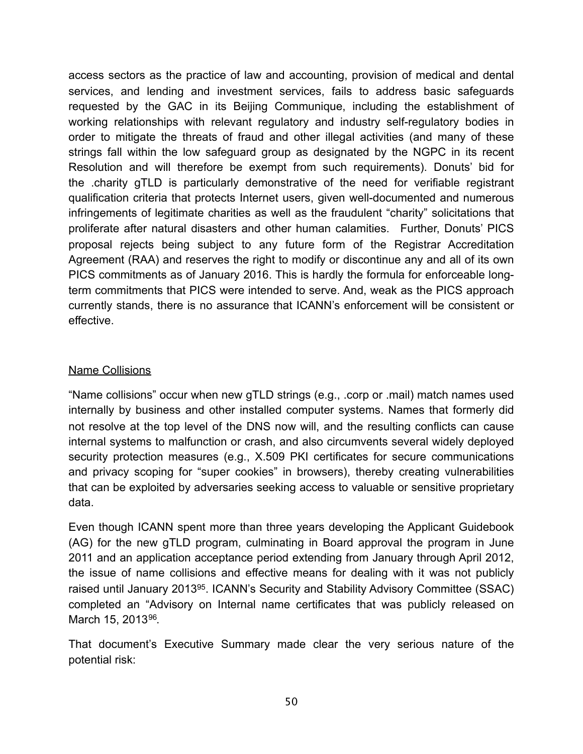access sectors as the practice of law and accounting, provision of medical and dental services, and lending and investment services, fails to address basic safeguards requested by the GAC in its Beijing Communique, including the establishment of working relationships with relevant regulatory and industry self-regulatory bodies in order to mitigate the threats of fraud and other illegal activities (and many of these strings fall within the low safeguard group as designated by the NGPC in its recent Resolution and will therefore be exempt from such requirements). Donuts' bid for the .charity gTLD is particularly demonstrative of the need for verifiable registrant qualification criteria that protects Internet users, given well-documented and numerous infringements of legitimate charities as well as the fraudulent "charity" solicitations that proliferate after natural disasters and other human calamities. Further, Donuts' PICS proposal rejects being subject to any future form of the Registrar Accreditation Agreement (RAA) and reserves the right to modify or discontinue any and all of its own PICS commitments as of January 2016. This is hardly the formula for enforceable longterm commitments that PICS were intended to serve. And, weak as the PICS approach currently stands, there is no assurance that ICANN's enforcement will be consistent or effective.

#### Name Collisions

"Name collisions" occur when new gTLD strings (e.g., .corp or .mail) match names used internally by business and other installed computer systems. Names that formerly did not resolve at the top level of the DNS now will, and the resulting conflicts can cause internal systems to malfunction or crash, and also circumvents several widely deployed security protection measures (e.g., X.509 PKI certificates for secure communications and privacy scoping for "super cookies" in browsers), thereby creating vulnerabilities that can be exploited by adversaries seeking access to valuable or sensitive proprietary data.

Even though ICANN spent more than three years developing the Applicant Guidebook (AG) for the new gTLD program, culminating in Board approval the program in June 2011 and an application acceptance period extending from January through April 2012, the issue of name collisions and effective means for dealing with it was not publicly raised until January 2013<sup>95</sup>. ICANN's Security and Stability Advisory Committee (SSAC) completed an "Advisory on Internal name certificates that was publicly released on March 15, 2013<sup>[96](#page-63-9)</sup>.

That document's Executive Summary made clear the very serious nature of the potential risk: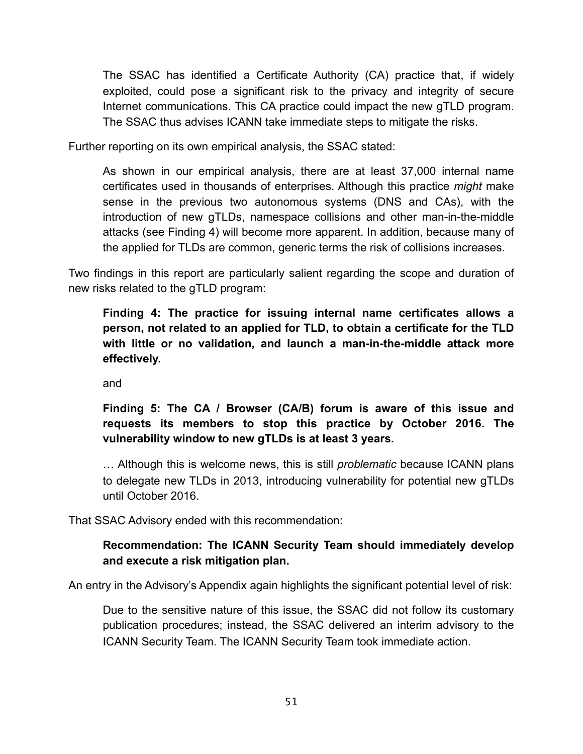The SSAC has identified a Certificate Authority (CA) practice that, if widely exploited, could pose a significant risk to the privacy and integrity of secure Internet communications. This CA practice could impact the new gTLD program. The SSAC thus advises ICANN take immediate steps to mitigate the risks.

Further reporting on its own empirical analysis, the SSAC stated:

As shown in our empirical analysis, there are at least 37,000 internal name certificates used in thousands of enterprises. Although this practice *might* make sense in the previous two autonomous systems (DNS and CAs), with the introduction of new gTLDs, namespace collisions and other man-in-the-middle attacks (see Finding 4) will become more apparent. In addition, because many of the applied for TLDs are common, generic terms the risk of collisions increases.

Two findings in this report are particularly salient regarding the scope and duration of new risks related to the gTLD program:

**Finding 4: The practice for issuing internal name certificates allows a person, not related to an applied for TLD, to obtain a certificate for the TLD with little or no validation, and launch a man-in-the-middle attack more effectively.**

and

**Finding 5: The CA / Browser (CA/B) forum is aware of this issue and requests its members to stop this practice by October 2016. The vulnerability window to new gTLDs is at least 3 years.**

… Although this is welcome news, this is still *problematic* because ICANN plans to delegate new TLDs in 2013, introducing vulnerability for potential new gTLDs until October 2016.

That SSAC Advisory ended with this recommendation:

# **Recommendation: The ICANN Security Team should immediately develop and execute a risk mitigation plan.**

An entry in the Advisory's Appendix again highlights the significant potential level of risk:

Due to the sensitive nature of this issue, the SSAC did not follow its customary publication procedures; instead, the SSAC delivered an interim advisory to the ICANN Security Team. The ICANN Security Team took immediate action.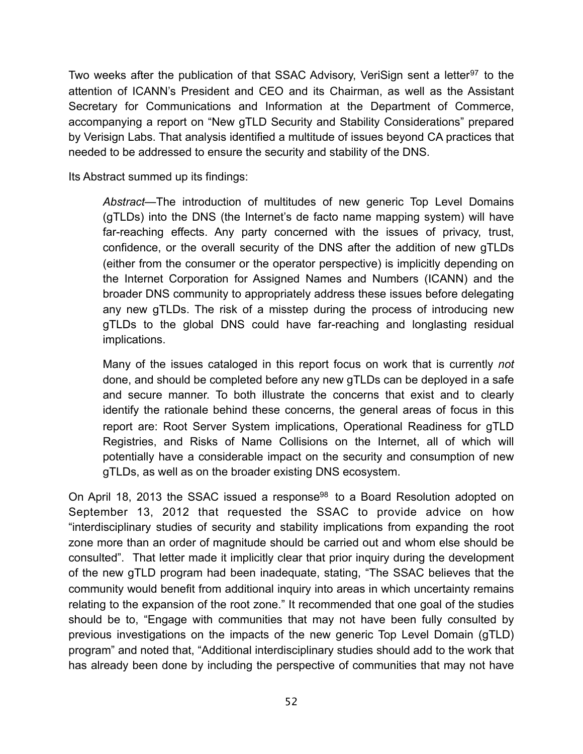Two weeks after the publication of that SSAC Advisory, VeriSign sent a letter<sup>[97](#page-63-10)</sup> to the attention of ICANN's President and CEO and its Chairman, as well as the Assistant Secretary for Communications and Information at the Department of Commerce, accompanying a report on "New gTLD Security and Stability Considerations" prepared by Verisign Labs. That analysis identified a multitude of issues beyond CA practices that needed to be addressed to ensure the security and stability of the DNS.

Its Abstract summed up its findings:

*Abstract*—The introduction of multitudes of new generic Top Level Domains (gTLDs) into the DNS (the Internet's de facto name mapping system) will have far-reaching effects. Any party concerned with the issues of privacy, trust, confidence, or the overall security of the DNS after the addition of new gTLDs (either from the consumer or the operator perspective) is implicitly depending on the Internet Corporation for Assigned Names and Numbers (ICANN) and the broader DNS community to appropriately address these issues before delegating any new gTLDs. The risk of a misstep during the process of introducing new gTLDs to the global DNS could have far-reaching and longlasting residual implications.

Many of the issues cataloged in this report focus on work that is currently *not* done, and should be completed before any new gTLDs can be deployed in a safe and secure manner. To both illustrate the concerns that exist and to clearly identify the rationale behind these concerns, the general areas of focus in this report are: Root Server System implications, Operational Readiness for gTLD Registries, and Risks of Name Collisions on the Internet, all of which will potentially have a considerable impact on the security and consumption of new gTLDs, as well as on the broader existing DNS ecosystem.

On April 18, 2013 the SSAC issued a response<sup>98</sup> to a Board Resolution adopted on September 13, 2012 that requested the SSAC to provide advice on how "interdisciplinary studies of security and stability implications from expanding the root zone more than an order of magnitude should be carried out and whom else should be consulted". That letter made it implicitly clear that prior inquiry during the development of the new gTLD program had been inadequate, stating, "The SSAC believes that the community would benefit from additional inquiry into areas in which uncertainty remains relating to the expansion of the root zone." It recommended that one goal of the studies should be to, "Engage with communities that may not have been fully consulted by previous investigations on the impacts of the new generic Top Level Domain (gTLD) program" and noted that, "Additional interdisciplinary studies should add to the work that has already been done by including the perspective of communities that may not have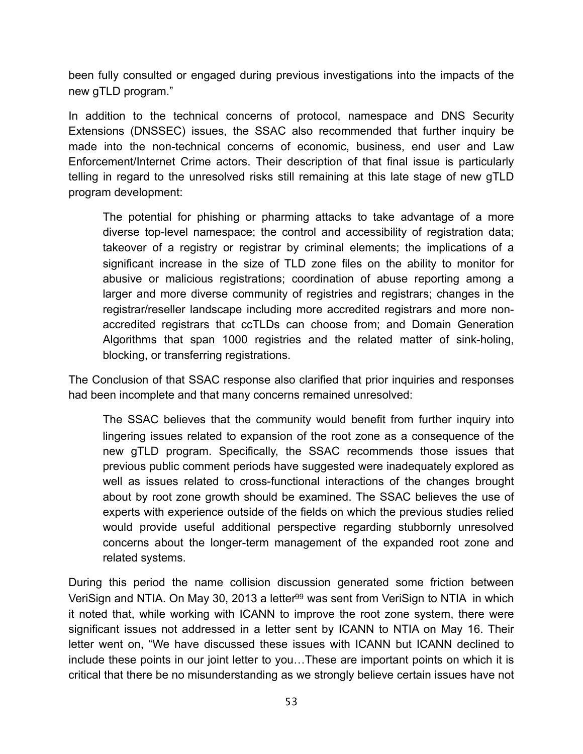been fully consulted or engaged during previous investigations into the impacts of the new gTLD program."

In addition to the technical concerns of protocol, namespace and DNS Security Extensions (DNSSEC) issues, the SSAC also recommended that further inquiry be made into the non-technical concerns of economic, business, end user and Law Enforcement/Internet Crime actors. Their description of that final issue is particularly telling in regard to the unresolved risks still remaining at this late stage of new gTLD program development:

The potential for phishing or pharming attacks to take advantage of a more diverse top-level namespace; the control and accessibility of registration data; takeover of a registry or registrar by criminal elements; the implications of a significant increase in the size of TLD zone files on the ability to monitor for abusive or malicious registrations; coordination of abuse reporting among a larger and more diverse community of registries and registrars; changes in the registrar/reseller landscape including more accredited registrars and more nonaccredited registrars that ccTLDs can choose from; and Domain Generation Algorithms that span 1000 registries and the related matter of sink-holing, blocking, or transferring registrations.

The Conclusion of that SSAC response also clarified that prior inquiries and responses had been incomplete and that many concerns remained unresolved:

The SSAC believes that the community would benefit from further inquiry into lingering issues related to expansion of the root zone as a consequence of the new gTLD program. Specifically, the SSAC recommends those issues that previous public comment periods have suggested were inadequately explored as well as issues related to cross-functional interactions of the changes brought about by root zone growth should be examined. The SSAC believes the use of experts with experience outside of the fields on which the previous studies relied would provide useful additional perspective regarding stubbornly unresolved concerns about the longer-term management of the expanded root zone and related systems.

During this period the name collision discussion generated some friction between VeriSign and NTIA. On May 30, 2013 a letter<sup>99</sup> was sent from VeriSign to NTIA in which it noted that, while working with ICANN to improve the root zone system, there were significant issues not addressed in a letter sent by ICANN to NTIA on May 16. Their letter went on, "We have discussed these issues with ICANN but ICANN declined to include these points in our joint letter to you…These are important points on which it is critical that there be no misunderstanding as we strongly believe certain issues have not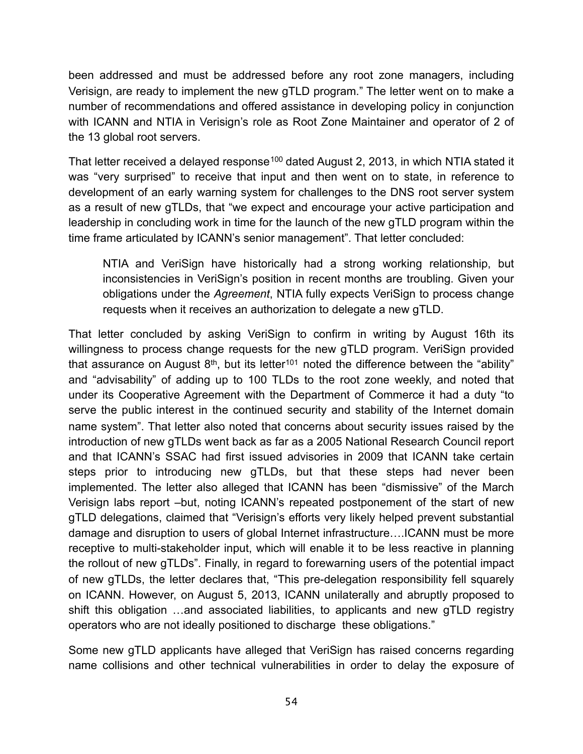been addressed and must be addressed before any root zone managers, including Verisign, are ready to implement the new gTLD program." The letter went on to make a number of recommendations and offered assistance in developing policy in conjunction with ICANN and NTIA in Verisign's role as Root Zone Maintainer and operator of 2 of the 13 global root servers.

That letter received a delayed response<sup>[100](#page-63-13)</sup> dated August 2, 2013, in which NTIA stated it was "very surprised" to receive that input and then went on to state, in reference to development of an early warning system for challenges to the DNS root server system as a result of new gTLDs, that "we expect and encourage your active participation and leadership in concluding work in time for the launch of the new gTLD program within the time frame articulated by ICANN's senior management". That letter concluded:

NTIA and VeriSign have historically had a strong working relationship, but inconsistencies in VeriSign's position in recent months are troubling. Given your obligations under the *Agreement*, NTIA fully expects VeriSign to process change requests when it receives an authorization to delegate a new gTLD.

That letter concluded by asking VeriSign to confirm in writing by August 16th its willingness to process change requests for the new gTLD program. VeriSign provided that assurance on August  $8<sup>th</sup>$ , but its letter<sup>[101](#page-63-14)</sup> noted the difference between the "ability" and "advisability" of adding up to 100 TLDs to the root zone weekly, and noted that under its Cooperative Agreement with the Department of Commerce it had a duty "to serve the public interest in the continued security and stability of the Internet domain name system". That letter also noted that concerns about security issues raised by the introduction of new gTLDs went back as far as a 2005 National Research Council report and that ICANN's SSAC had first issued advisories in 2009 that ICANN take certain steps prior to introducing new gTLDs, but that these steps had never been implemented. The letter also alleged that ICANN has been "dismissive" of the March Verisign labs report –but, noting ICANN's repeated postponement of the start of new gTLD delegations, claimed that "Verisign's efforts very likely helped prevent substantial damage and disruption to users of global Internet infrastructure….ICANN must be more receptive to multi-stakeholder input, which will enable it to be less reactive in planning the rollout of new gTLDs". Finally, in regard to forewarning users of the potential impact of new gTLDs, the letter declares that, "This pre-delegation responsibility fell squarely on ICANN. However, on August 5, 2013, ICANN unilaterally and abruptly proposed to shift this obligation …and associated liabilities, to applicants and new gTLD registry operators who are not ideally positioned to discharge these obligations."

Some new gTLD applicants have alleged that VeriSign has raised concerns regarding name collisions and other technical vulnerabilities in order to delay the exposure of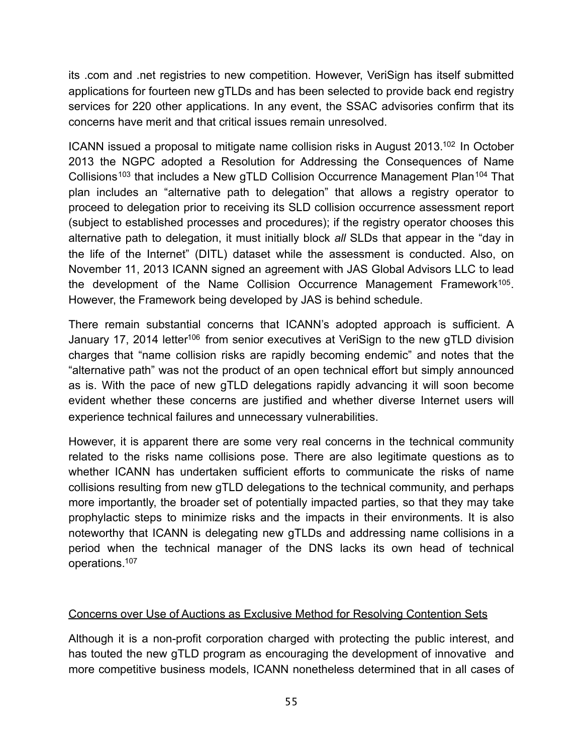its .com and .net registries to new competition. However, VeriSign has itself submitted applications for fourteen new gTLDs and has been selected to provide back end registry services for 220 other applications. In any event, the SSAC advisories confirm that its concerns have merit and that critical issues remain unresolved.

ICANN issued a proposal to mitigate name collision risks in August 2013[.102](#page-63-15) In October 2013 the NGPC adopted a Resolution for Addressing the Consequences of Name Collisions<sup>[103](#page-63-16)</sup> that includes a New gTLD Collision Occurrence Management Plan<sup>[104](#page-63-17)</sup> That plan includes an "alternative path to delegation" that allows a registry operator to proceed to delegation prior to receiving its SLD collision occurrence assessment report (subject to established processes and procedures); if the registry operator chooses this alternative path to delegation, it must initially block *all* SLDs that appear in the "day in the life of the Internet" (DITL) dataset while the assessment is conducted. Also, on November 11, 2013 ICANN signed an agreement with JAS Global Advisors LLC to lead the development of the Name Collision Occurrence Management Framework<sup>105</sup>. However, the Framework being developed by JAS is behind schedule.

There remain substantial concerns that ICANN's adopted approach is sufficient. A January 17, 2014 letter<sup>106</sup> from senior executives at VeriSign to the new gTLD division charges that "name collision risks are rapidly becoming endemic" and notes that the "alternative path" was not the product of an open technical effort but simply announced as is. With the pace of new gTLD delegations rapidly advancing it will soon become evident whether these concerns are justified and whether diverse Internet users will experience technical failures and unnecessary vulnerabilities.

However, it is apparent there are some very real concerns in the technical community related to the risks name collisions pose. There are also legitimate questions as to whether ICANN has undertaken sufficient efforts to communicate the risks of name collisions resulting from new gTLD delegations to the technical community, and perhaps more importantly, the broader set of potentially impacted parties, so that they may take prophylactic steps to minimize risks and the impacts in their environments. It is also noteworthy that ICANN is delegating new gTLDs and addressing name collisions in a period when the technical manager of the DNS lacks its own head of technical operations[.107](#page-63-20)

## Concerns over Use of Auctions as Exclusive Method for Resolving Contention Sets

Although it is a non-profit corporation charged with protecting the public interest, and has touted the new gTLD program as encouraging the development of innovative and more competitive business models, ICANN nonetheless determined that in all cases of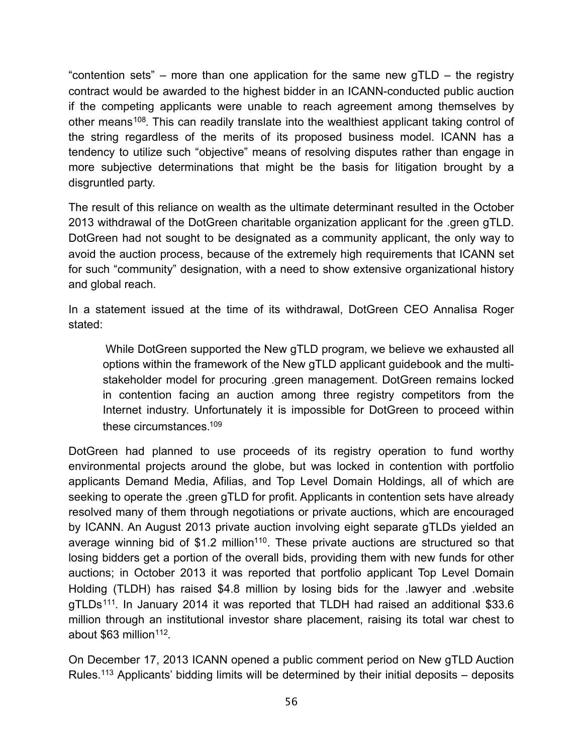"contention sets" – more than one application for the same new gTLD – the registry contract would be awarded to the highest bidder in an ICANN-conducted public auction if the competing applicants were unable to reach agreement among themselves by other means<sup>108</sup>. This can readily translate into the wealthiest applicant taking control of the string regardless of the merits of its proposed business model. ICANN has a tendency to utilize such "objective" means of resolving disputes rather than engage in more subjective determinations that might be the basis for litigation brought by a disgruntled party.

The result of this reliance on wealth as the ultimate determinant resulted in the October 2013 withdrawal of the DotGreen charitable organization applicant for the .green gTLD. DotGreen had not sought to be designated as a community applicant, the only way to avoid the auction process, because of the extremely high requirements that ICANN set for such "community" designation, with a need to show extensive organizational history and global reach.

In a statement issued at the time of its withdrawal, DotGreen CEO Annalisa Roger stated:

While DotGreen supported the New gTLD program, we believe we exhausted all options within the framework of the New gTLD applicant guidebook and the multistakeholder model for procuring .green management. DotGreen remains locked in contention facing an auction among three registry competitors from the Internet industry. Unfortunately it is impossible for DotGreen to proceed within these circumstances[.109](#page-63-22)

DotGreen had planned to use proceeds of its registry operation to fund worthy environmental projects around the globe, but was locked in contention with portfolio applicants Demand Media, Afilias, and Top Level Domain Holdings, all of which are seeking to operate the .green gTLD for profit. Applicants in contention sets have already resolved many of them through negotiations or private auctions, which are encouraged by ICANN. An August 2013 private auction involving eight separate gTLDs yielded an average winning bid of  $$1.2$  million<sup>110</sup>. These private auctions are structured so that losing bidders get a portion of the overall bids, providing them with new funds for other auctions; in October 2013 it was reported that portfolio applicant Top Level Domain Holding (TLDH) has raised \$4.8 million by losing bids for the .lawyer and .website gTLDs<sup>111</sup>. In January 2014 it was reported that TLDH had raised an additional \$33.6 million through an institutional investor share placement, raising its total war chest to about \$63 million<sup>[112](#page-64-1)</sup>.

On December 17, 2013 ICANN opened a public comment period on New gTLD Auction Rules[.113](#page-64-2) Applicants' bidding limits will be determined by their initial deposits – deposits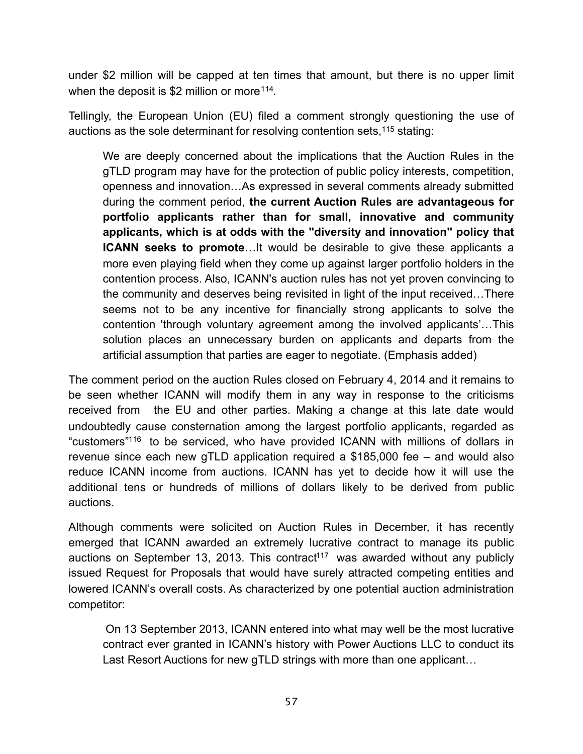under \$2 million will be capped at ten times that amount, but there is no upper limit when the deposit is  $$2$  million or more<sup>114</sup>.

Tellingly, the European Union (EU) filed a comment strongly questioning the use of auctions as the sole determinant for resolving contention sets, <sup>[115](#page-64-4)</sup> stating:

We are deeply concerned about the implications that the Auction Rules in the gTLD program may have for the protection of public policy interests, competition, openness and innovation…As expressed in several comments already submitted during the comment period, **the current Auction Rules are advantageous for portfolio applicants rather than for small, innovative and community applicants, which is at odds with the "diversity and innovation" policy that ICANN seeks to promote**…It would be desirable to give these applicants a more even playing field when they come up against larger portfolio holders in the contention process. Also, ICANN's auction rules has not yet proven convincing to the community and deserves being revisited in light of the input received…There seems not to be any incentive for financially strong applicants to solve the contention 'through voluntary agreement among the involved applicants'…This solution places an unnecessary burden on applicants and departs from the artificial assumption that parties are eager to negotiate. (Emphasis added)

The comment period on the auction Rules closed on February 4, 2014 and it remains to be seen whether ICANN will modify them in any way in response to the criticisms received from the EU and other parties. Making a change at this late date would undoubtedly cause consternation among the largest portfolio applicants, regarded as "customers["116](#page-64-5) to be serviced, who have provided ICANN with millions of dollars in revenue since each new gTLD application required a \$185,000 fee – and would also reduce ICANN income from auctions. ICANN has yet to decide how it will use the additional tens or hundreds of millions of dollars likely to be derived from public auctions.

Although comments were solicited on Auction Rules in December, it has recently emerged that ICANN awarded an extremely lucrative contract to manage its public auctions on September 13, 2013. This contract<sup>117</sup> was awarded without any publicly issued Request for Proposals that would have surely attracted competing entities and lowered ICANN's overall costs. As characterized by one potential auction administration competitor:

On 13 September 2013, ICANN entered into what may well be the most lucrative contract ever granted in ICANN's history with Power Auctions LLC to conduct its Last Resort Auctions for new gTLD strings with more than one applicant...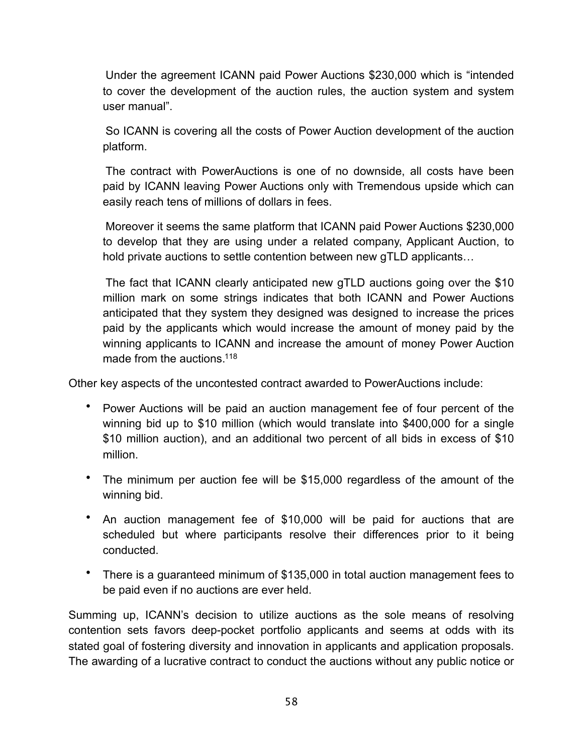Under the agreement ICANN paid Power Auctions \$230,000 which is "intended to cover the development of the auction rules, the auction system and system user manual".

So ICANN is covering all the costs of Power Auction development of the auction platform.

The contract with PowerAuctions is one of no downside, all costs have been paid by ICANN leaving Power Auctions only with Tremendous upside which can easily reach tens of millions of dollars in fees.

Moreover it seems the same platform that ICANN paid Power Auctions \$230,000 to develop that they are using under a related company, Applicant Auction, to hold private auctions to settle contention between new gTLD applicants…

The fact that ICANN clearly anticipated new gTLD auctions going over the \$10 million mark on some strings indicates that both ICANN and Power Auctions anticipated that they system they designed was designed to increase the prices paid by the applicants which would increase the amount of money paid by the winning applicants to ICANN and increase the amount of money Power Auction made from the auctions.<sup>118</sup>

Other key aspects of the uncontested contract awarded to PowerAuctions include:

- Power Auctions will be paid an auction management fee of four percent of the winning bid up to \$10 million (which would translate into \$400,000 for a single \$10 million auction), and an additional two percent of all bids in excess of \$10 million.
- The minimum per auction fee will be \$15,000 regardless of the amount of the winning bid.
- An auction management fee of \$10,000 will be paid for auctions that are scheduled but where participants resolve their differences prior to it being conducted.
- There is a guaranteed minimum of \$135,000 in total auction management fees to be paid even if no auctions are ever held.

Summing up, ICANN's decision to utilize auctions as the sole means of resolving contention sets favors deep-pocket portfolio applicants and seems at odds with its stated goal of fostering diversity and innovation in applicants and application proposals. The awarding of a lucrative contract to conduct the auctions without any public notice or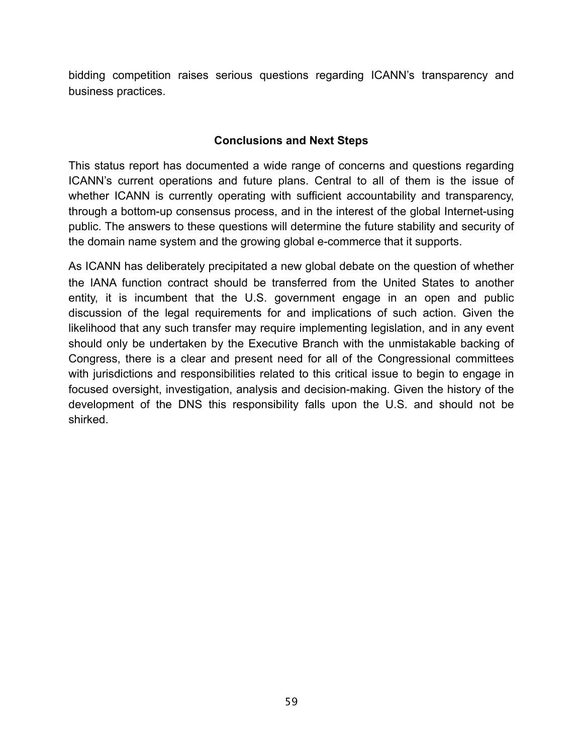bidding competition raises serious questions regarding ICANN's transparency and business practices.

## **Conclusions and Next Steps**

This status report has documented a wide range of concerns and questions regarding ICANN's current operations and future plans. Central to all of them is the issue of whether ICANN is currently operating with sufficient accountability and transparency, through a bottom-up consensus process, and in the interest of the global Internet-using public. The answers to these questions will determine the future stability and security of the domain name system and the growing global e-commerce that it supports.

As ICANN has deliberately precipitated a new global debate on the question of whether the IANA function contract should be transferred from the United States to another entity, it is incumbent that the U.S. government engage in an open and public discussion of the legal requirements for and implications of such action. Given the likelihood that any such transfer may require implementing legislation, and in any event should only be undertaken by the Executive Branch with the unmistakable backing of Congress, there is a clear and present need for all of the Congressional committees with jurisdictions and responsibilities related to this critical issue to begin to engage in focused oversight, investigation, analysis and decision-making. Given the history of the development of the DNS this responsibility falls upon the U.S. and should not be shirked.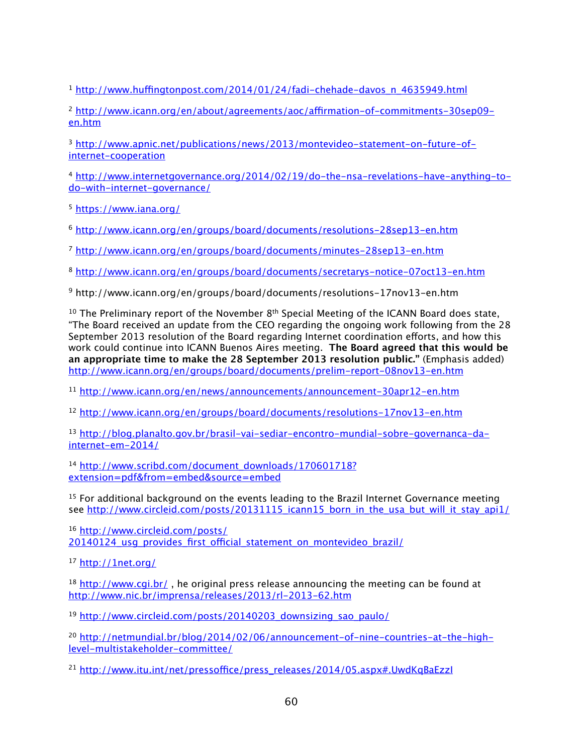<span id="page-59-0"></span><sup>1</sup> http://www.huffi[ngtonpost.com/2014/01/24/fadi-chehade-davos\\_n\\_4635949.html](http://www.huffingtonpost.com/2014/01/24/fadi-chehade-davos_n_4635949.html)

<span id="page-59-1"></span><sup>2</sup> [http://www.icann.org/en/about/agreements/aoc/a](http://www.icann.org/en/about/agreements/aoc/affirmation-of-commitments-30sep09-en.htm)ffirmation-of-commitments-30sep09[en.htm](http://www.icann.org/en/about/agreements/aoc/affirmation-of-commitments-30sep09-en.htm)

<span id="page-59-2"></span><sup>3</sup> [http://www.apnic.net/publications/news/2013/montevideo-statement-on-future-of](http://www.apnic.net/publications/news/2013/montevideo-statement-on-future-of-internet-cooperation)[internet-cooperation](http://www.apnic.net/publications/news/2013/montevideo-statement-on-future-of-internet-cooperation)

<span id="page-59-3"></span><sup>4</sup> [http://www.internetgovernance.org/2014/02/19/do-the-nsa-revelations-have-anything-to](http://www.internetgovernance.org/2014/02/19/do-the-nsa-revelations-have-anything-to-do-with-internet-governance/)[do-with-internet-governance/](http://www.internetgovernance.org/2014/02/19/do-the-nsa-revelations-have-anything-to-do-with-internet-governance/)

<span id="page-59-4"></span><sup>5</sup> <https://www.iana.org/>

<span id="page-59-5"></span><sup>6</sup> <http://www.icann.org/en/groups/board/documents/resolutions-28sep13-en.htm>

<span id="page-59-6"></span><sup>7</sup> <http://www.icann.org/en/groups/board/documents/minutes-28sep13-en.htm>

<span id="page-59-7"></span><sup>8</sup> <http://www.icann.org/en/groups/board/documents/secretarys-notice-07oct13-en.htm>

<span id="page-59-8"></span>9 http://www.icann.org/en/groups/board/documents/resolutions-17nov13-en.htm

<span id="page-59-9"></span><sup>10</sup> The Preliminary report of the November  $8<sup>th</sup>$  Special Meeting of the ICANN Board does state, "The Board received an update from the CEO regarding the ongoing work following from the 28 September 2013 resolution of the Board regarding Internet coordination eforts, and how this work could continue into ICANN Buenos Aires meeting. **The Board agreed that this would be an appropriate time to make the 28 September 2013 resolution public."** (Emphasis added) <http://www.icann.org/en/groups/board/documents/prelim-report-08nov13-en.htm>

<span id="page-59-10"></span><sup>11</sup> <http://www.icann.org/en/news/announcements/announcement-30apr12-en.htm>

<span id="page-59-11"></span><sup>12</sup> <http://www.icann.org/en/groups/board/documents/resolutions-17nov13-en.htm>

<span id="page-59-12"></span><sup>13</sup> [http://blog.planalto.gov.br/brasil-vai-sediar-encontro-mundial-sobre-governanca-da](http://blog.planalto.gov.br/brasil-vai-sediar-encontro-mundial-sobre-governanca-da-internet-em-2014/)[internet-em-2014/](http://blog.planalto.gov.br/brasil-vai-sediar-encontro-mundial-sobre-governanca-da-internet-em-2014/)

<span id="page-59-13"></span><sup>14</sup> [http://www.scribd.com/document\\_downloads/170601718?](http://www.scribd.com/document_downloads/170601718?extension=pdf&from=embed&source=embed) [extension=pdf&from=embed&source=embed](http://www.scribd.com/document_downloads/170601718?extension=pdf&from=embed&source=embed)

<span id="page-59-14"></span><sup>15</sup> For additional background on the events leading to the Brazil Internet Governance meeting see [http://www.circleid.com/posts/20131115\\_icann15\\_born\\_in\\_the\\_usa\\_but\\_will\\_it\\_stay\\_api1/](http://www.circleid.com/posts/20131115_icann15_born_in_the_usa_but_will_it_stay_api1/)

<span id="page-59-15"></span><sup>16</sup> [http://www.circleid.com/posts/](http://www.circleid.com/posts/20140124_usg_provides_first_official_statement_on_montevideo_brazil/) 20140124 usg\_provides\_first\_offi[cial\\_statement\\_on\\_montevideo\\_brazil/](http://www.circleid.com/posts/20140124_usg_provides_first_official_statement_on_montevideo_brazil/)

<span id="page-59-16"></span><sup>17</sup> <http://1net.org/>

<span id="page-59-17"></span> $18$  http://www.cgi.br/, he original press release announcing the meeting can be found at <http://www.nic.br/imprensa/releases/2013/rl-2013-62.htm>

<span id="page-59-18"></span><sup>19</sup> [http://www.circleid.com/posts/20140203\\_downsizing\\_sao\\_paulo/](http://www.circleid.com/posts/20140203_downsizing_sao_paulo/)

<span id="page-59-19"></span><sup>20</sup> [http://netmundial.br/blog/2014/02/06/announcement-of-nine-countries-at-the-high](http://netmundial.br/blog/2014/02/06/announcement-of-nine-countries-at-the-high-level-multistakeholder-committee/)[level-multistakeholder-committee/](http://netmundial.br/blog/2014/02/06/announcement-of-nine-countries-at-the-high-level-multistakeholder-committee/)

<span id="page-59-20"></span><sup>21</sup> http://www.itu.int/net/pressoffi[ce/press\\_releases/2014/05.aspx#.UwdKqBaEzzI](http://www.itu.int/net/pressoffice/press_releases/2014/05.aspx)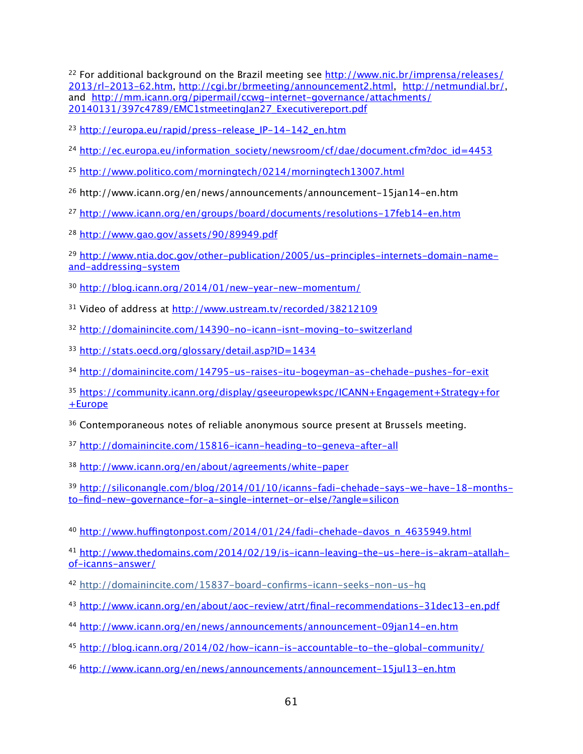<span id="page-60-0"></span><sup>22</sup> For additional background on the Brazil meeting see [http://www.nic.br/imprensa/releases/](http://www.nic.br/imprensa/releases/2013/rl-2013-62.htm) [2013/rl-2013-62.htm](http://www.nic.br/imprensa/releases/2013/rl-2013-62.htm), <http://cgi.br/brmeeting/announcement2.html>, <http://netmundial.br/>, and [http://mm.icann.org/pipermail/ccwg-internet-governance/attachments/](http://mm.icann.org/pipermail/ccwg-internet-governance/attachments/20140131/397c4789/EMC1stmeetingJan27_Executivereport.pdf) [20140131/397c4789/EMC1stmeetingJan27\\_Executivereport.pdf](http://mm.icann.org/pipermail/ccwg-internet-governance/attachments/20140131/397c4789/EMC1stmeetingJan27_Executivereport.pdf)

- <span id="page-60-1"></span>23 http://europa.eu/rapid/press-release IP-14-142 en.htm
- <span id="page-60-2"></span><sup>24</sup> [http://ec.europa.eu/information\\_society/newsroom/cf/dae/document.cfm?doc\\_id=4453](http://ec.europa.eu/information_society/newsroom/cf/dae/document.cfm?doc_id=4453)
- <span id="page-60-3"></span><sup>25</sup> <http://www.politico.com/morningtech/0214/morningtech13007.html>
- <span id="page-60-4"></span>26 http://www.icann.org/en/news/announcements/announcement-15jan14-en.htm
- <span id="page-60-5"></span><sup>27</sup> <http://www.icann.org/en/groups/board/documents/resolutions-17feb14-en.htm>
- <span id="page-60-6"></span><sup>28</sup> <http://www.gao.gov/assets/90/89949.pdf>

<span id="page-60-7"></span><sup>29</sup> [http://www.ntia.doc.gov/other-publication/2005/us-principles-internets-domain-name](http://www.ntia.doc.gov/other-publication/2005/us-principles-internets-domain-name-and-addressing-system)[and-addressing-system](http://www.ntia.doc.gov/other-publication/2005/us-principles-internets-domain-name-and-addressing-system)

- <span id="page-60-8"></span><sup>30</sup> <http://blog.icann.org/2014/01/new-year-new-momentum/>
- <span id="page-60-9"></span>31 Video of address at <http://www.ustream.tv/recorded/38212109>
- <span id="page-60-10"></span><sup>32</sup> <http://domainincite.com/14390-no-icann-isnt-moving-to-switzerland>
- <span id="page-60-11"></span><sup>33</sup> <http://stats.oecd.org/glossary/detail.asp?ID=1434>
- <span id="page-60-12"></span><sup>34</sup> <http://domainincite.com/14795-us-raises-itu-bogeyman-as-chehade-pushes-for-exit>
- <span id="page-60-13"></span><sup>35</sup> [https://community.icann.org/display/gseeuropewkspc/ICANN+Engagement+Strategy+for](https://community.icann.org/display/gseeuropewkspc/ICANN+Engagement+Strategy+for+Europe) [+Europe](https://community.icann.org/display/gseeuropewkspc/ICANN+Engagement+Strategy+for+Europe)
- <span id="page-60-14"></span><sup>36</sup> Contemporaneous notes of reliable anonymous source present at Brussels meeting.
- <span id="page-60-15"></span><sup>37</sup> <http://domainincite.com/15816-icann-heading-to-geneva-after-all>
- <span id="page-60-16"></span><sup>38</sup> <http://www.icann.org/en/about/agreements/white-paper>
- <span id="page-60-17"></span><sup>39</sup> [http://siliconangle.com/blog/2014/01/10/icanns-fadi-chehade-says-we-have-18-months](http://siliconangle.com/blog/2014/01/10/icanns-fadi-chehade-says-we-have-18-months-to-find-new-governance-for-a-single-internet-or-else/?angle=silicon)[to-find-new-governance-for-a-single-internet-or-else/?angle=silicon](http://siliconangle.com/blog/2014/01/10/icanns-fadi-chehade-says-we-have-18-months-to-find-new-governance-for-a-single-internet-or-else/?angle=silicon)
- <span id="page-60-18"></span><sup>40</sup> http://www.huffi[ngtonpost.com/2014/01/24/fadi-chehade-davos\\_n\\_4635949.html](http://www.huffingtonpost.com/2014/01/24/fadi-chehade-davos_n_4635949.html)
- <span id="page-60-19"></span><sup>41</sup> [http://www.thedomains.com/2014/02/19/is-icann-leaving-the-us-here-is-akram-atallah](http://www.thedomains.com/2014/02/19/is-icann-leaving-the-us-here-is-akram-atallah-of-icanns-answer/)[of-icanns-answer/](http://www.thedomains.com/2014/02/19/is-icann-leaving-the-us-here-is-akram-atallah-of-icanns-answer/)
- <span id="page-60-20"></span><sup>42</sup> <http://domainincite.com/15837-board-confirms-icann-seeks-non-us-hq>
- <span id="page-60-21"></span><sup>43</sup> <http://www.icann.org/en/about/aoc-review/atrt/final-recommendations-31dec13-en.pdf>
- <span id="page-60-22"></span><sup>44</sup> <http://www.icann.org/en/news/announcements/announcement-09jan14-en.htm>
- <span id="page-60-23"></span><sup>45</sup> <http://blog.icann.org/2014/02/how-icann-is-accountable-to-the-global-community/>
- <span id="page-60-24"></span><sup>46</sup> <http://www.icann.org/en/news/announcements/announcement-15jul13-en.htm>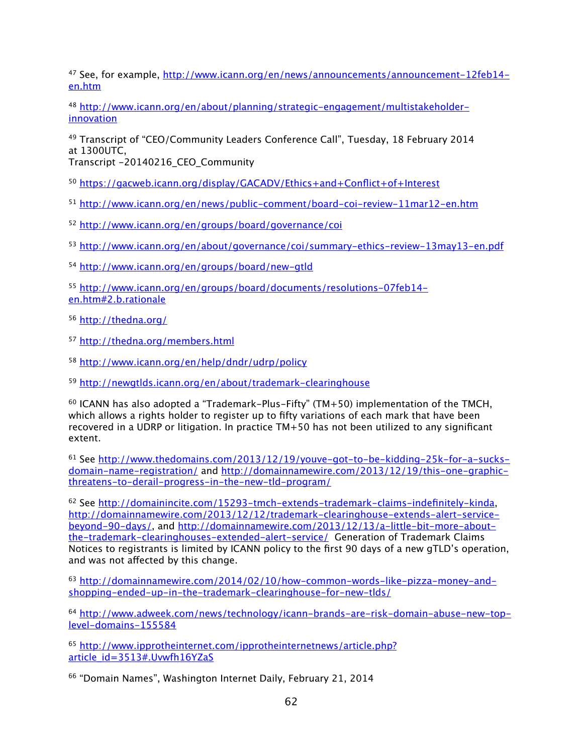<span id="page-61-0"></span>47 See, for example, [http://www.icann.org/en/news/announcements/announcement-12feb14](http://www.icann.org/en/news/announcements/announcement-12feb14-en.htm) [en.htm](http://www.icann.org/en/news/announcements/announcement-12feb14-en.htm)

<span id="page-61-1"></span><sup>48</sup> [http://www.icann.org/en/about/planning/strategic-engagement/multistakeholder](http://www.icann.org/en/about/planning/strategic-engagement/multistakeholder-innovation)[innovation](http://www.icann.org/en/about/planning/strategic-engagement/multistakeholder-innovation)

<span id="page-61-2"></span>49 Transcript of "CEO/Community Leaders Conference Call", Tuesday, 18 February 2014 at 1300UTC,

Transcript -20140216\_CEO\_Community

<span id="page-61-3"></span><sup>50</sup> <https://gacweb.icann.org/display/GACADV/Ethics+and+Conflict+of+Interest>

<span id="page-61-4"></span><sup>51</sup> <http://www.icann.org/en/news/public-comment/board-coi-review-11mar12-en.htm>

<span id="page-61-5"></span><sup>52</sup> <http://www.icann.org/en/groups/board/governance/coi>

<span id="page-61-6"></span><sup>53</sup> <http://www.icann.org/en/about/governance/coi/summary-ethics-review-13may13-en.pdf>

<span id="page-61-7"></span><sup>54</sup> <http://www.icann.org/en/groups/board/new-gtld>

<span id="page-61-8"></span><sup>55</sup> [http://www.icann.org/en/groups/board/documents/resolutions-07feb14](http://www.icann.org/en/groups/board/documents/resolutions-07feb14-en.htm) [en.htm#2.b.rationale](http://www.icann.org/en/groups/board/documents/resolutions-07feb14-en.htm)

<span id="page-61-9"></span><sup>56</sup> <http://thedna.org/>

<span id="page-61-10"></span><sup>57</sup> <http://thedna.org/members.html>

<span id="page-61-11"></span><sup>58</sup> <http://www.icann.org/en/help/dndr/udrp/policy>

<span id="page-61-12"></span><sup>59</sup> <http://newgtlds.icann.org/en/about/trademark-clearinghouse>

<span id="page-61-13"></span> $60$  ICANN has also adopted a "Trademark-Plus-Fifty" (TM+50) implementation of the TMCH, which allows a rights holder to register up to fifty variations of each mark that have been recovered in a UDRP or litigation. In practice TM+50 has not been utilized to any significant extent.

<span id="page-61-14"></span>61 See [http://www.thedomains.com/2013/12/19/youve-got-to-be-kidding-25k-for-a-sucks](http://www.thedomains.com/2013/12/19/youve-got-to-be-kidding-25k-for-a-sucks-domain-name-registration/)[domain-name-registration/](http://www.thedomains.com/2013/12/19/youve-got-to-be-kidding-25k-for-a-sucks-domain-name-registration/) and [http://domainnamewire.com/2013/12/19/this-one-graphic](http://domainnamewire.com/2013/12/19/this-one-graphic-threatens-to-derail-progress-in-the-new-tld-program/)[threatens-to-derail-progress-in-the-new-tld-program/](http://domainnamewire.com/2013/12/19/this-one-graphic-threatens-to-derail-progress-in-the-new-tld-program/)

<span id="page-61-15"></span>62 See [http://domainincite.com/15293-tmch-extends-trademark-claims-indefinitely-kinda,](http://domainincite.com/15293-tmch-extends-trademark-claims-indefinitely-kinda) [http://domainnamewire.com/2013/12/12/trademark-clearinghouse-extends-alert-service](http://domainnamewire.com/2013/12/12/trademark-clearinghouse-extends-alert-service-beyond-90-days/)[beyond-90-days/](http://domainnamewire.com/2013/12/12/trademark-clearinghouse-extends-alert-service-beyond-90-days/), and [http://domainnamewire.com/2013/12/13/a-little-bit-more-about](http://domainnamewire.com/2013/12/13/a-little-bit-more-about-the-trademark-clearinghouses-extended-alert-service/)[the-trademark-clearinghouses-extended-alert-service/](http://domainnamewire.com/2013/12/13/a-little-bit-more-about-the-trademark-clearinghouses-extended-alert-service/) Generation of Trademark Claims Notices to registrants is limited by ICANN policy to the first 90 days of a new gTLD's operation, and was not afected by this change.

<span id="page-61-16"></span><sup>63</sup> [http://domainnamewire.com/2014/02/10/how-common-words-like-pizza-money-and](http://domainnamewire.com/2014/02/10/how-common-words-like-pizza-money-and-shopping-ended-up-in-the-trademark-clearinghouse-for-new-tlds/)[shopping-ended-up-in-the-trademark-clearinghouse-for-new-tlds/](http://domainnamewire.com/2014/02/10/how-common-words-like-pizza-money-and-shopping-ended-up-in-the-trademark-clearinghouse-for-new-tlds/)

<span id="page-61-17"></span><sup>64</sup> [http://www.adweek.com/news/technology/icann-brands-are-risk-domain-abuse-new-top](http://www.adweek.com/news/technology/icann-brands-are-risk-domain-abuse-new-top-level-domains-155584)[level-domains-155584](http://www.adweek.com/news/technology/icann-brands-are-risk-domain-abuse-new-top-level-domains-155584)

<span id="page-61-18"></span><sup>65</sup> [http://www.ipprotheinternet.com/ipprotheinternetnews/article.php?](http://www.ipprotheinternet.com/ipprotheinternetnews/article.php?article_id=3513) [article\\_id=3513#.Uvwfh16YZaS](http://www.ipprotheinternet.com/ipprotheinternetnews/article.php?article_id=3513)

<span id="page-61-19"></span>66 "Domain Names", Washington Internet Daily, February 21, 2014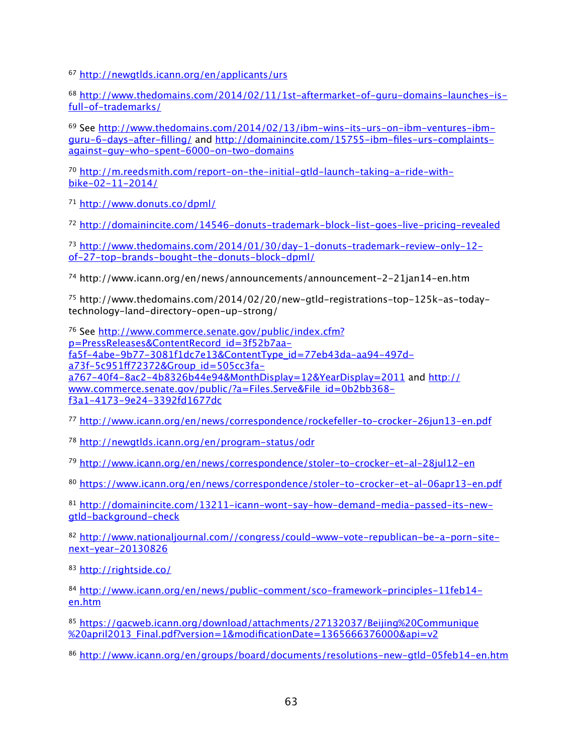<span id="page-62-0"></span><sup>67</sup> <http://newgtlds.icann.org/en/applicants/urs>

<span id="page-62-1"></span><sup>68</sup> [http://www.thedomains.com/2014/02/11/1st-aftermarket-of-guru-domains-launches-is](http://www.thedomains.com/2014/02/11/1st-aftermarket-of-guru-domains-launches-is-full-of-trademarks/)[full-of-trademarks/](http://www.thedomains.com/2014/02/11/1st-aftermarket-of-guru-domains-launches-is-full-of-trademarks/)

<span id="page-62-2"></span>69 See [http://www.thedomains.com/2014/02/13/ibm-wins-its-urs-on-ibm-ventures-ibm](http://www.thedomains.com/2014/02/13/ibm-wins-its-urs-on-ibm-ventures-ibm-guru-6-days-after-filling/)[guru-6-days-after-filling/](http://www.thedomains.com/2014/02/13/ibm-wins-its-urs-on-ibm-ventures-ibm-guru-6-days-after-filling/) and [http://domainincite.com/15755-ibm-files-urs-complaints](http://domainincite.com/15755-ibm-files-urs-complaints-against-guy-who-spent-6000-on-two-domains)[against-guy-who-spent-6000-on-two-domains](http://domainincite.com/15755-ibm-files-urs-complaints-against-guy-who-spent-6000-on-two-domains)

<span id="page-62-3"></span><sup>70</sup> [http://m.reedsmith.com/report-on-the-initial-gtld-launch-taking-a-ride-with](http://m.reedsmith.com/report-on-the-initial-gtld-launch-taking-a-ride-with-bike-02-11-2014/)[bike-02-11-2014/](http://m.reedsmith.com/report-on-the-initial-gtld-launch-taking-a-ride-with-bike-02-11-2014/)

<span id="page-62-4"></span><sup>71</sup> <http://www.donuts.co/dpml/>

<span id="page-62-5"></span><sup>72</sup> <http://domainincite.com/14546-donuts-trademark-block-list-goes-live-pricing-revealed>

<span id="page-62-6"></span><sup>73</sup> [http://www.thedomains.com/2014/01/30/day-1-donuts-trademark-review-only-12](http://www.thedomains.com/2014/01/30/day-1-donuts-trademark-review-only-12-of-27-top-brands-bought-the-donuts-block-dpml/) [of-27-top-brands-bought-the-donuts-block-dpml/](http://www.thedomains.com/2014/01/30/day-1-donuts-trademark-review-only-12-of-27-top-brands-bought-the-donuts-block-dpml/)

<span id="page-62-7"></span>74 http://www.icann.org/en/news/announcements/announcement-2-21jan14-en.htm

<span id="page-62-8"></span>75 http://www.thedomains.com/2014/02/20/new-gtld-registrations-top-125k-as-todaytechnology-land-directory-open-up-strong/

<span id="page-62-9"></span>76 See [http://www.commerce.senate.gov/public/index.cfm?](http://www.commerce.senate.gov/public/index.cfm?p=PressReleases&ContentRecord_id=3f52b7aa-fa5f-4abe-9b77-3081f1dc7e13&ContentType_id=77eb43da-aa94-497d-a73f-5c951ff72372&Group_id=505cc3fa-a767-40f4-8ac2-4b8326b44e94&MonthDisplay=12&YearDisplay=2011) [p=PressReleases&ContentRecord\\_id=3f52b7aa](http://www.commerce.senate.gov/public/index.cfm?p=PressReleases&ContentRecord_id=3f52b7aa-fa5f-4abe-9b77-3081f1dc7e13&ContentType_id=77eb43da-aa94-497d-a73f-5c951ff72372&Group_id=505cc3fa-a767-40f4-8ac2-4b8326b44e94&MonthDisplay=12&YearDisplay=2011)[fa5f-4abe-9b77-3081f1dc7e13&ContentType\\_id=77eb43da-aa94-497d](http://www.commerce.senate.gov/public/index.cfm?p=PressReleases&ContentRecord_id=3f52b7aa-fa5f-4abe-9b77-3081f1dc7e13&ContentType_id=77eb43da-aa94-497d-a73f-5c951ff72372&Group_id=505cc3fa-a767-40f4-8ac2-4b8326b44e94&MonthDisplay=12&YearDisplay=2011)a73f-5c951f[72372&Group\\_id=505cc3fa](http://www.commerce.senate.gov/public/index.cfm?p=PressReleases&ContentRecord_id=3f52b7aa-fa5f-4abe-9b77-3081f1dc7e13&ContentType_id=77eb43da-aa94-497d-a73f-5c951ff72372&Group_id=505cc3fa-a767-40f4-8ac2-4b8326b44e94&MonthDisplay=12&YearDisplay=2011) $a767-40f4-8ac2-4b8326b44e94&Monthly$ MonthDisplay=12&YearDisplay=2011 and [http://](http://www.commerce.senate.gov/public/?a=Files.Serve&File_id=0b2bb368-f3a1-4173-9e24-3392fd1677dc) [www.commerce.senate.gov/public/?a=Files.Serve&File\\_id=0b2bb368](http://www.commerce.senate.gov/public/?a=Files.Serve&File_id=0b2bb368-f3a1-4173-9e24-3392fd1677dc) [f3a1-4173-9e24-3392fd1677dc](http://www.commerce.senate.gov/public/?a=Files.Serve&File_id=0b2bb368-f3a1-4173-9e24-3392fd1677dc)

<span id="page-62-10"></span><sup>77</sup> <http://www.icann.org/en/news/correspondence/rockefeller-to-crocker-26jun13-en.pdf>

<span id="page-62-11"></span><sup>78</sup> <http://newgtlds.icann.org/en/program-status/odr>

<span id="page-62-12"></span><sup>79</sup> <http://www.icann.org/en/news/correspondence/stoler-to-crocker-et-al-28jul12-en>

<span id="page-62-13"></span><sup>80</sup> <https://www.icann.org/en/news/correspondence/stoler-to-crocker-et-al-06apr13-en.pdf>

<span id="page-62-14"></span><sup>81</sup> [http://domainincite.com/13211-icann-wont-say-how-demand-media-passed-its-new](http://domainincite.com/13211-icann-wont-say-how-demand-media-passed-its-new-gtld-background-check)[gtld-background-check](http://domainincite.com/13211-icann-wont-say-how-demand-media-passed-its-new-gtld-background-check)

<span id="page-62-15"></span><sup>82</sup> [http://www.nationaljournal.com//congress/could-www-vote-republican-be-a-porn-site](http://www.nationaljournal.com//congress/could-www-vote-republican-be-a-porn-site-next-year-20130826)[next-year-20130826](http://www.nationaljournal.com//congress/could-www-vote-republican-be-a-porn-site-next-year-20130826)

<span id="page-62-16"></span><sup>83</sup> <http://rightside.co/>

<span id="page-62-17"></span><sup>84</sup> [http://www.icann.org/en/news/public-comment/sco-framework-principles-11feb14](http://www.icann.org/en/news/public-comment/sco-framework-principles-11feb14-en.htm) [en.htm](http://www.icann.org/en/news/public-comment/sco-framework-principles-11feb14-en.htm)

<span id="page-62-18"></span><sup>85</sup> [https://gacweb.icann.org/download/attachments/27132037/Beijing%20Communique](https://gacweb.icann.org/download/attachments/27132037/Beijing%20Communique%20april2013_Final.pdf?version=1&modificationDate=1365666376000&api=v2) [%20april2013\\_Final.pdf?version=1&modificationDate=1365666376000&api=v2](https://gacweb.icann.org/download/attachments/27132037/Beijing%20Communique%20april2013_Final.pdf?version=1&modificationDate=1365666376000&api=v2)

<span id="page-62-19"></span><sup>86</sup> <http://www.icann.org/en/groups/board/documents/resolutions-new-gtld-05feb14-en.htm>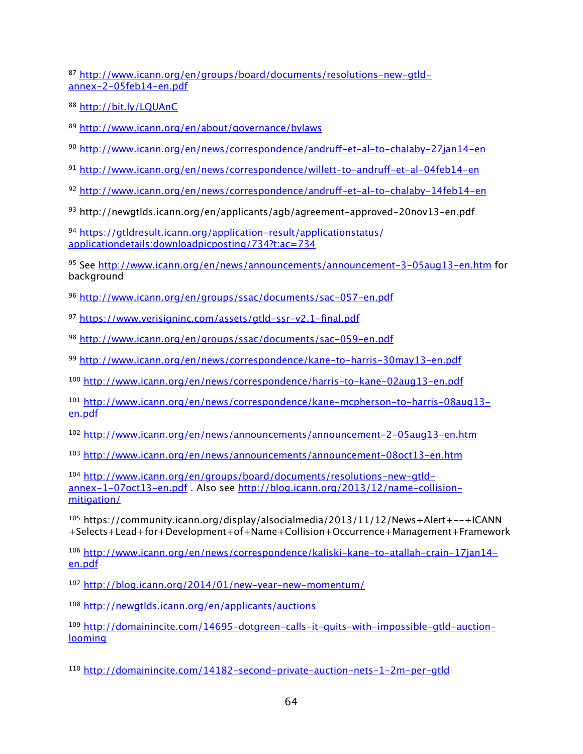<span id="page-63-0"></span> [http://www.icann.org/en/groups/board/documents/resolutions-new-gtld](http://www.icann.org/en/groups/board/documents/resolutions-new-gtld-annex-2-05feb14-en.pdf)[annex-2-05feb14-en.pdf](http://www.icann.org/en/groups/board/documents/resolutions-new-gtld-annex-2-05feb14-en.pdf)

<span id="page-63-1"></span><http://bit.ly/LQUAnC>

<span id="page-63-2"></span><http://www.icann.org/en/about/governance/bylaws>

<span id="page-63-3"></span>[http://www.icann.org/en/news/correspondence/andru](http://www.icann.org/en/news/correspondence/andruff-et-al-to-chalaby-27jan14-en)ff-et-al-to-chalaby-27jan14-en

<span id="page-63-4"></span>[http://www.icann.org/en/news/correspondence/willett-to-andru](http://www.icann.org/en/news/correspondence/willett-to-andruff-et-al-04feb14-en)ff-et-al-04feb14-en

<span id="page-63-5"></span>[http://www.icann.org/en/news/correspondence/andru](http://www.icann.org/en/news/correspondence/andruff-et-al-to-chalaby-14feb14-en)ff-et-al-to-chalaby-14feb14-en

<span id="page-63-6"></span><http://newgtlds.icann.org/en/applicants/agb/agreement-approved-20nov13-en.pdf>

<span id="page-63-7"></span>[https://gtldresult.icann.org/application-result/applicationstatus/](https://gtldresult.icann.org/application-result/applicationstatus/applicationdetails:downloadpicposting/734?t:ac=734) [applicationdetails:downloadpicposting/734?t:ac=734](https://gtldresult.icann.org/application-result/applicationstatus/applicationdetails:downloadpicposting/734?t:ac=734)

<span id="page-63-8"></span>95 See<http://www.icann.org/en/news/announcements/announcement-3-05aug13-en.htm> for background

<span id="page-63-9"></span><http://www.icann.org/en/groups/ssac/documents/sac-057-en.pdf>

<span id="page-63-10"></span><https://www.verisigninc.com/assets/gtld-ssr-v2.1-final.pdf>

<span id="page-63-11"></span><http://www.icann.org/en/groups/ssac/documents/sac-059-en.pdf>

<span id="page-63-12"></span><http://www.icann.org/en/news/correspondence/kane-to-harris-30may13-en.pdf>

<span id="page-63-13"></span><http://www.icann.org/en/news/correspondence/harris-to-kane-02aug13-en.pdf>

<span id="page-63-14"></span> [http://www.icann.org/en/news/correspondence/kane-mcpherson-to-harris-08aug13](http://www.icann.org/en/news/correspondence/kane-mcpherson-to-harris-08aug13-en.pdf) [en.pdf](http://www.icann.org/en/news/correspondence/kane-mcpherson-to-harris-08aug13-en.pdf)

<span id="page-63-15"></span><http://www.icann.org/en/news/announcements/announcement-2-05aug13-en.htm>

<span id="page-63-16"></span><http://www.icann.org/en/news/announcements/announcement-08oct13-en.htm>

<span id="page-63-17"></span> [http://www.icann.org/en/groups/board/documents/resolutions-new-gtld](http://www.icann.org/en/groups/board/documents/resolutions-new-gtld-annex-1-07oct13-en.pdf)[annex-1-07oct13-en.pdf](http://www.icann.org/en/groups/board/documents/resolutions-new-gtld-annex-1-07oct13-en.pdf) . Also see [http://blog.icann.org/2013/12/name-collision](http://blog.icann.org/2013/12/name-collision-mitigation/)[mitigation/](http://blog.icann.org/2013/12/name-collision-mitigation/)

<span id="page-63-18"></span>105 https://community.icann.org/display/alsocialmedia/2013/11/12/News+Alert+--+ICANN +Selects+Lead+for+Development+of+Name+Collision+Occurrence+Management+Framework

<span id="page-63-19"></span> [http://www.icann.org/en/news/correspondence/kaliski-kane-to-atallah-crain-17jan14](http://www.icann.org/en/news/correspondence/kaliski-kane-to-atallah-crain-17jan14-en.pdf) [en.pdf](http://www.icann.org/en/news/correspondence/kaliski-kane-to-atallah-crain-17jan14-en.pdf)

<span id="page-63-20"></span><http://blog.icann.org/2014/01/new-year-new-momentum/>

<span id="page-63-21"></span><http://newgtlds.icann.org/en/applicants/auctions>

<span id="page-63-22"></span> [http://domainincite.com/14695-dotgreen-calls-it-quits-with-impossible-gtld-auction](http://domainincite.com/14695-dotgreen-calls-it-quits-with-impossible-gtld-auction-looming)[looming](http://domainincite.com/14695-dotgreen-calls-it-quits-with-impossible-gtld-auction-looming)

<span id="page-63-23"></span><http://domainincite.com/14182-second-private-auction-nets-1-2m-per-gtld>